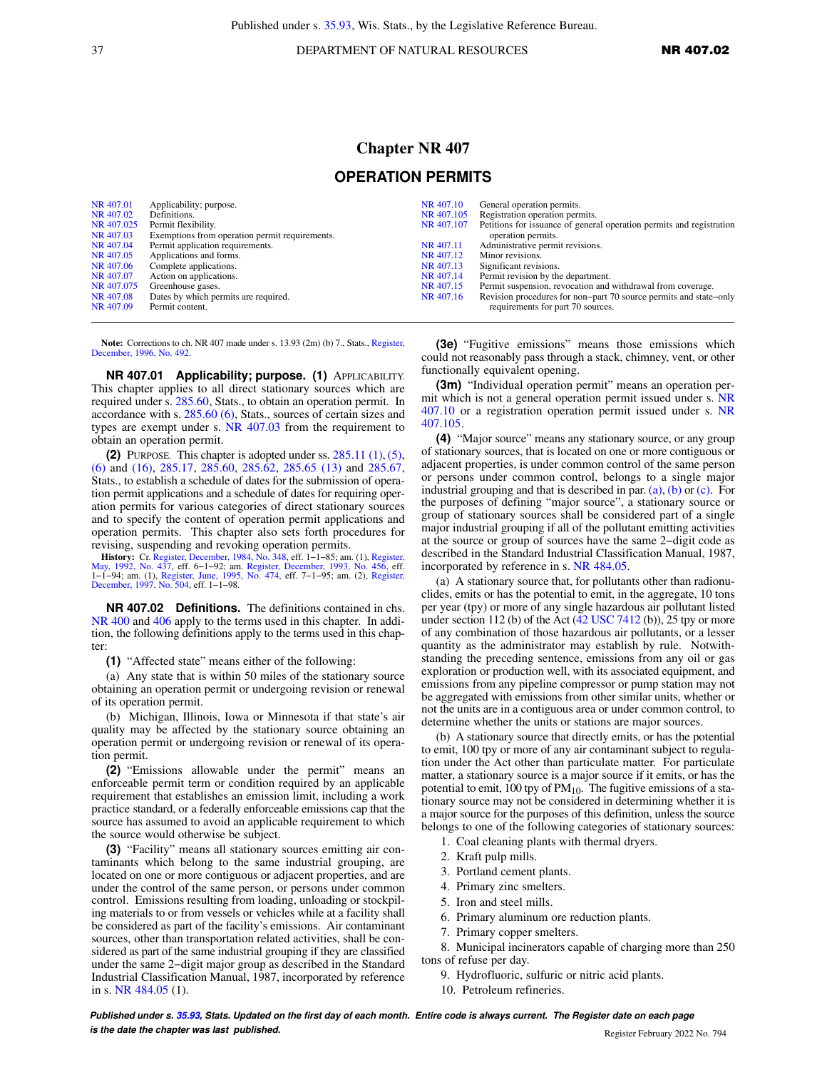37 DEPARTMENT OF NATURAL RESOURCES **NR 407.02** 

## **Chapter NR 407**

## **OPERATION PERMITS**

| NR 407.01  | Applicability; purpose.                        | NR 407.10  | General operation permits.                                           |
|------------|------------------------------------------------|------------|----------------------------------------------------------------------|
| NR 407.02  | Definitions.                                   | NR 407.105 | Registration operation permits.                                      |
| NR 407.025 | Permit flexibility.                            | NR 407.107 | Petitions for issuance of general operation permits and registration |
| NR 407.03  | Exemptions from operation permit requirements. |            | operation permits.                                                   |
| NR 407.04  | Permit application requirements.               | NR 407.11  | Administrative permit revisions.                                     |
| NR 407.05  | Applications and forms.                        | NR 407.12  | Minor revisions.                                                     |
| NR 407.06  | Complete applications.                         | NR 407.13  | Significant revisions.                                               |
| NR 407.07  | Action on applications.                        | NR 407.14  | Permit revision by the department.                                   |
| NR 407.075 | Greenhouse gases.                              | NR 407.15  | Permit suspension, revocation and withdrawal from coverage.          |
| NR 407.08  | Dates by which permits are required.           | NR 407.16  | Revision procedures for non-part 70 source permits and state-only    |
| NR 407.09  | Permit content.                                |            | requirements for part 70 sources.                                    |

**Note:** Corrections to ch. NR 407 made under s. 13.93 (2m) (b) 7., Stats., [Register,](https://docs-preview.legis.wisconsin.gov/document/register/492/B/toc) [December, 1996, No. 492.](https://docs-preview.legis.wisconsin.gov/document/register/492/B/toc)

**NR 407.01 Applicability; purpose. (1)** APPLICABILITY. This chapter applies to all direct stationary sources which are required under s. [285.60,](https://docs-preview.legis.wisconsin.gov/document/statutes/285.60) Stats., to obtain an operation permit. In accordance with s. [285.60 \(6\),](https://docs-preview.legis.wisconsin.gov/document/statutes/285.60(6)) Stats., sources of certain sizes and types are exempt under s. [NR 407.03](https://docs-preview.legis.wisconsin.gov/document/administrativecode/NR%20407.03) from the requirement to obtain an operation permit.

**(2)** PURPOSE. This chapter is adopted under ss. [285.11 \(1\)](https://docs-preview.legis.wisconsin.gov/document/statutes/285.11(1)), [\(5\),](https://docs-preview.legis.wisconsin.gov/document/statutes/285.11(5)) [\(6\)](https://docs-preview.legis.wisconsin.gov/document/statutes/285.11(6)) and [\(16\),](https://docs-preview.legis.wisconsin.gov/document/statutes/285.11(16)) [285.17](https://docs-preview.legis.wisconsin.gov/document/statutes/285.17), [285.60,](https://docs-preview.legis.wisconsin.gov/document/statutes/285.60) [285.62](https://docs-preview.legis.wisconsin.gov/document/statutes/285.62), [285.65 \(13\)](https://docs-preview.legis.wisconsin.gov/document/statutes/285.65(13)) and [285.67,](https://docs-preview.legis.wisconsin.gov/document/statutes/285.67) Stats., to establish a schedule of dates for the submission of operation permit applications and a schedule of dates for requiring operation permits for various categories of direct stationary sources and to specify the content of operation permit applications and operation permits. This chapter also sets forth procedures for revising, suspending and revoking operation permits.

**History:** Cr. [Register, December, 1984, No. 348](https://docs-preview.legis.wisconsin.gov/document/register/348/B/toc), eff. 1–1–85; am. (1), [Register,](https://docs-preview.legis.wisconsin.gov/document/register/437/B/toc) [May, 1992, No. 437](https://docs-preview.legis.wisconsin.gov/document/register/437/B/toc), eff. 1–1–85; am. (1), Register, Day, 1992, No. 456, eff. 1–1–94; am. (1), [Register, June, 1995, No. 474,](https://docs-preview.legis.wisconsin.gov/document/register/474/B/toc) eff. 7–1–95; am [December, 1997, No. 504,](https://docs-preview.legis.wisconsin.gov/document/register/504/B/toc) eff. 1−1−98.

**NR 407.02 Definitions.** The definitions contained in chs. [NR 400](https://docs-preview.legis.wisconsin.gov/document/administrativecode/ch.%20NR%20400) and [406](https://docs-preview.legis.wisconsin.gov/document/administrativecode/ch.%20NR%20406) apply to the terms used in this chapter. In addition, the following definitions apply to the terms used in this chapter:

**(1)** "Affected state" means either of the following:

(a) Any state that is within 50 miles of the stationary source obtaining an operation permit or undergoing revision or renewal of its operation permit.

(b) Michigan, Illinois, Iowa or Minnesota if that state's air quality may be affected by the stationary source obtaining an operation permit or undergoing revision or renewal of its operation permit.

**(2)** "Emissions allowable under the permit" means an enforceable permit term or condition required by an applicable requirement that establishes an emission limit, including a work practice standard, or a federally enforceable emissions cap that the source has assumed to avoid an applicable requirement to which the source would otherwise be subject.

**(3)** "Facility" means all stationary sources emitting air contaminants which belong to the same industrial grouping, are located on one or more contiguous or adjacent properties, and are under the control of the same person, or persons under common control. Emissions resulting from loading, unloading or stockpiling materials to or from vessels or vehicles while at a facility shall be considered as part of the facility's emissions. Air contaminant sources, other than transportation related activities, shall be considered as part of the same industrial grouping if they are classified under the same 2−digit major group as described in the Standard Industrial Classification Manual, 1987, incorporated by reference in s. [NR 484.05](https://docs-preview.legis.wisconsin.gov/document/administrativecode/NR%20484.05) (1).

**(3e)** "Fugitive emissions" means those emissions which could not reasonably pass through a stack, chimney, vent, or other functionally equivalent opening.

**(3m)** "Individual operation permit" means an operation permit which is not a general operation permit issued under s. [NR](https://docs-preview.legis.wisconsin.gov/document/administrativecode/NR%20407.10) [407.10](https://docs-preview.legis.wisconsin.gov/document/administrativecode/NR%20407.10) or a registration operation permit issued under s. [NR](https://docs-preview.legis.wisconsin.gov/document/administrativecode/NR%20407.105) [407.105.](https://docs-preview.legis.wisconsin.gov/document/administrativecode/NR%20407.105)

**(4)** "Major source" means any stationary source, or any group of stationary sources, that is located on one or more contiguous or adjacent properties, is under common control of the same person or persons under common control, belongs to a single major industrial grouping and that is described in par.  $(a)$ ,  $(b)$  or  $(c)$ . For the purposes of defining "major source", a stationary source or group of stationary sources shall be considered part of a single major industrial grouping if all of the pollutant emitting activities at the source or group of sources have the same 2−digit code as described in the Standard Industrial Classification Manual, 1987, incorporated by reference in s. [NR 484.05](https://docs-preview.legis.wisconsin.gov/document/administrativecode/NR%20484.05).

(a) A stationary source that, for pollutants other than radionuclides, emits or has the potential to emit, in the aggregate, 10 tons per year (tpy) or more of any single hazardous air pollutant listed under section 112 (b) of the Act  $(42$  USC 7412 (b)), 25 tpy or more of any combination of those hazardous air pollutants, or a lesser quantity as the administrator may establish by rule. Notwithstanding the preceding sentence, emissions from any oil or gas exploration or production well, with its associated equipment, and emissions from any pipeline compressor or pump station may not be aggregated with emissions from other similar units, whether or not the units are in a contiguous area or under common control, to determine whether the units or stations are major sources.

(b) A stationary source that directly emits, or has the potential to emit, 100 tpy or more of any air contaminant subject to regulation under the Act other than particulate matter. For particulate matter, a stationary source is a major source if it emits, or has the potential to emit, 100 tpy of  $PM_{10}$ . The fugitive emissions of a stationary source may not be considered in determining whether it is a major source for the purposes of this definition, unless the source belongs to one of the following categories of stationary sources:

- 1. Coal cleaning plants with thermal dryers.
- 2. Kraft pulp mills.
- 3. Portland cement plants.
- 4. Primary zinc smelters.
- 5. Iron and steel mills.
- 6. Primary aluminum ore reduction plants.
- 7. Primary copper smelters.

8. Municipal incinerators capable of charging more than 250 tons of refuse per day.

- 9. Hydrofluoric, sulfuric or nitric acid plants.
- 10. Petroleum refineries.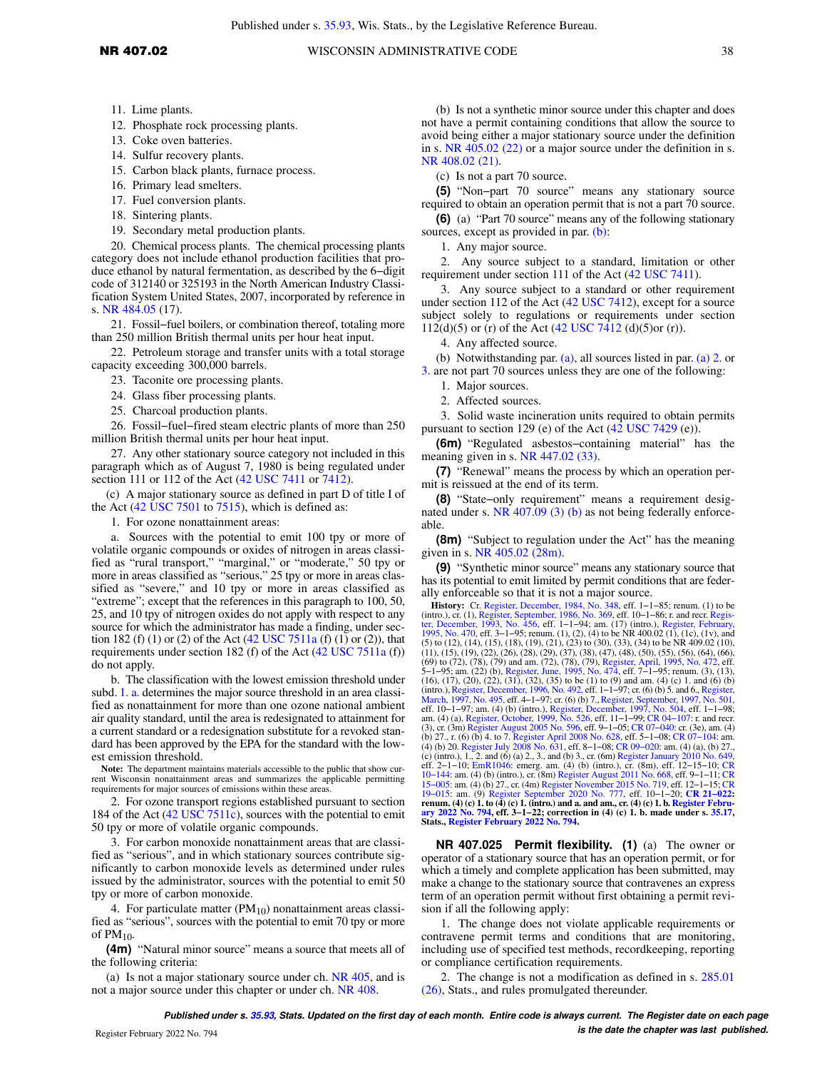Published under s. [35.93](https://docs-preview.legis.wisconsin.gov/document/statutes/35.93), Wis. Stats., by the Legislative Reference Bureau.

- 11. Lime plants.
- 12. Phosphate rock processing plants.
- 13. Coke oven batteries.
- 14. Sulfur recovery plants.
- 15. Carbon black plants, furnace process.
- 16. Primary lead smelters.
- 17. Fuel conversion plants.
- 18. Sintering plants.
- 19. Secondary metal production plants.

20. Chemical process plants. The chemical processing plants category does not include ethanol production facilities that produce ethanol by natural fermentation, as described by the 6−digit code of 312140 or 325193 in the North American Industry Classification System United States, 2007, incorporated by reference in s. [NR 484.05](https://docs-preview.legis.wisconsin.gov/document/administrativecode/NR%20484.05) (17).

21. Fossil–fuel boilers, or combination thereof, totaling more than 250 million British thermal units per hour heat input.

22. Petroleum storage and transfer units with a total storage capacity exceeding 300,000 barrels.

- 23. Taconite ore processing plants.
- 24. Glass fiber processing plants.
- 25. Charcoal production plants.

26. Fossil−fuel−fired steam electric plants of more than 250 million British thermal units per hour heat input.

27. Any other stationary source category not included in this paragraph which as of August 7, 1980 is being regulated under section 111 or 112 of the Act ([42 USC 7411](https://docs-preview.legis.wisconsin.gov/document/usc/42%20USC%207411) or [7412\)](https://docs-preview.legis.wisconsin.gov/document/usc/42%20USC%207412).

(c) A major stationary source as defined in part D of title I of the Act [\(42 USC 7501](https://docs-preview.legis.wisconsin.gov/document/usc/42%20USC%207501) to [7515](https://docs-preview.legis.wisconsin.gov/document/usc/42%20USC%207515)), which is defined as:

1. For ozone nonattainment areas:

a. Sources with the potential to emit 100 tpy or more of volatile organic compounds or oxides of nitrogen in areas classified as "rural transport," "marginal," or "moderate," 50 tpy or more in areas classified as "serious," 25 tpy or more in areas classified as "severe," and 10 tpy or more in areas classified as "extreme"; except that the references in this paragraph to 100, 50, 25, and 10 tpy of nitrogen oxides do not apply with respect to any source for which the administrator has made a finding, under sec-tion 182 (f) (1) or (2) of the Act [\(42 USC 7511a](https://docs-preview.legis.wisconsin.gov/document/usc/42%20USC%207511a) (f) (1) or (2)), that requirements under section 182 (f) of the Act ([42 USC 7511a](https://docs-preview.legis.wisconsin.gov/document/usc/42%20USC%207511a) (f)) do not apply.

b. The classification with the lowest emission threshold under subd. [1. a.](https://docs-preview.legis.wisconsin.gov/document/administrativecode/NR%20407.02(4)(c)1.a.) determines the major source threshold in an area classified as nonattainment for more than one ozone national ambient air quality standard, until the area is redesignated to attainment for a current standard or a redesignation substitute for a revoked standard has been approved by the EPA for the standard with the lowest emission threshold.

**Note:** The department maintains materials accessible to the public that show current Wisconsin nonattainment areas and summarizes the applicable permitting requirements for major sources of emissions within these areas.

2. For ozone transport regions established pursuant to section 184 of the Act [\(42 USC 7511c\)](https://docs-preview.legis.wisconsin.gov/document/usc/42%20USC%207511c), sources with the potential to emit 50 tpy or more of volatile organic compounds.

3. For carbon monoxide nonattainment areas that are classified as "serious", and in which stationary sources contribute significantly to carbon monoxide levels as determined under rules issued by the administrator, sources with the potential to emit 50 tpy or more of carbon monoxide.

4. For particulate matter  $(PM_{10})$  nonattainment areas classified as "serious", sources with the potential to emit 70 tpy or more of  $PM_{10}$ .

**(4m)** "Natural minor source" means a source that meets all of the following criteria:

(a) Is not a major stationary source under ch. [NR 405,](https://docs-preview.legis.wisconsin.gov/document/administrativecode/ch.%20NR%20405) and is not a major source under this chapter or under ch. [NR 408](https://docs-preview.legis.wisconsin.gov/document/administrativecode/ch.%20NR%20408).

(b) Is not a synthetic minor source under this chapter and does not have a permit containing conditions that allow the source to avoid being either a major stationary source under the definition in s. [NR 405.02 \(22\)](https://docs-preview.legis.wisconsin.gov/document/administrativecode/NR%20405.02(22)) or a major source under the definition in s. [NR 408.02 \(21\)](https://docs-preview.legis.wisconsin.gov/document/administrativecode/NR%20408.02(21)).

(c) Is not a part 70 source.

**(5)** "Non−part 70 source" means any stationary source required to obtain an operation permit that is not a part 70 source.

**(6)** (a) "Part 70 source" means any of the following stationary sources, except as provided in par. [\(b\)](https://docs-preview.legis.wisconsin.gov/document/administrativecode/NR%20407.02(6)(b)):

1. Any major source.

2. Any source subject to a standard, limitation or other requirement under section 111 of the Act ([42 USC 7411](https://docs-preview.legis.wisconsin.gov/document/usc/42%20USC%207411)).

3. Any source subject to a standard or other requirement under section 112 of the Act [\(42 USC 7412](https://docs-preview.legis.wisconsin.gov/document/usc/42%20USC%207412)), except for a source subject solely to regulations or requirements under section 112(d)(5) or (r) of the Act [\(42 USC 7412](https://docs-preview.legis.wisconsin.gov/document/usc/42%20USC%207412) (d)(5)or (r)).

4. Any affected source.

(b) Notwithstanding par. [\(a\)](https://docs-preview.legis.wisconsin.gov/document/administrativecode/NR%20407.02(6)(a)), all sources listed in par. [\(a\) 2.](https://docs-preview.legis.wisconsin.gov/document/administrativecode/NR%20407.02(6)(a)2.) or [3.](https://docs-preview.legis.wisconsin.gov/document/administrativecode/NR%20407.02(6)(a)3.) are not part 70 sources unless they are one of the following:

- 1. Major sources.
- 2. Affected sources.

3. Solid waste incineration units required to obtain permits pursuant to section 129 (e) of the Act [\(42 USC 7429](https://docs-preview.legis.wisconsin.gov/document/usc/42%20USC%207429) (e)).

**(6m)** "Regulated asbestos−containing material" has the meaning given in s. [NR 447.02 \(33\)](https://docs-preview.legis.wisconsin.gov/document/administrativecode/NR%20447.02(33)).

**(7)** "Renewal" means the process by which an operation permit is reissued at the end of its term.

**(8)** "State−only requirement" means a requirement designated under s. [NR 407.09 \(3\) \(b\)](https://docs-preview.legis.wisconsin.gov/document/administrativecode/NR%20407.09(3)(b)) as not being federally enforceable.

**(8m)** "Subject to regulation under the Act" has the meaning given in s. [NR 405.02 \(28m\).](https://docs-preview.legis.wisconsin.gov/document/administrativecode/NR%20405.02(28m))

**(9)** "Synthetic minor source" means any stationary source that has its potential to emit limited by permit conditions that are federally enforceable so that it is not a major source.

**History:** Cr. [Register, December, 1984, No. 348](https://docs-preview.legis.wisconsin.gov/document/register/348/B/toc), eff. 1–1–85; renum. (1) to be<br>(intro.), cr. (1), [Register, September, 1986, No. 369](https://docs-preview.legis.wisconsin.gov/document/register/369/B/toc), eff. 10–1–86; r. and recr. Regis-<br>[ter, December, 1993, No. 456,](https://docs-preview.legis.wisconsin.gov/document/register/456/B/toc) eff. 1–1–94; am. (17) ( (69) to (72), (78), (79) and am. (72), (78), (79), [Register, April, 1995, No. 472](https://docs-preview.legis.wisconsin.gov/document/register/472/B/toc), eff.<br>5–1–95; ann. (22) (b), [Register, June, 1995, No. 474,](https://docs-preview.legis.wisconsin.gov/document/register/474/B/toc) eff. 7–1–95; renum. (3), (13), (16), (16), (16), (16), (16), (16), (16), (16), ( [March, 1997, No. 495](https://docs-preview.legis.wisconsin.gov/document/register/495/B/toc), eff. 4–1–97; cr. (6) (b) 7., [Register, September, 1997, No. 501](https://docs-preview.legis.wisconsin.gov/document/register/501/B/toc), am. (4) (b) (intro.), Register, December, 1997, No. 501, am. (4) (b) (intro.), [Register, December, 1997, No. 504](https://docs-preview.legis.wisconsin.gov/document/register/504/B/toc), eff. 1–1–98; am. (4) (b) 27., r. (6) (b) 4. to 7. [Register April 2008 No. 628](https://docs-preview.legis.wisconsin.gov/document/register/628/B/toc), eff. 5–1–08; CR 07–104: am.<br>(4) (b) 20. [Register July 2008 No. 631,](https://docs-preview.legis.wisconsin.gov/document/register/631/B/toc) eff. 8–1–08; CR 09–020: am. (4) (a), (b) 27.,<br>(c) (intro.), 1., 2. and (6) (a) 2., 3., and (b) 3 eff. 2–1–10; [EmR1046](https://docs-preview.legis.wisconsin.gov/document/emergencyrules/EmR1046): emerg. am. (4) (b) (intro.), cr. (8m), eff. 12–15–10; [CR](https://docs-preview.legis.wisconsin.gov/document/cr/2010/144)<br>10–144: am. (4) (b) (intro.), cr. (8m) [Register August 2011 No. 668,](https://docs-preview.legis.wisconsin.gov/document/register/668/B/toc) eff. 9–1–11; [CR](https://docs-preview.legis.wisconsin.gov/document/cr/2019/15)<br>15–005: am. (4) (b) 27., cr. (4m) Register November 2015 N 19–015: am. (9) [Register September 2020 No. 777,](https://docs-preview.legis.wisconsin.gov/document/register/777/B/toc) eff. 10–1–20; CR 21–022:<br>renum. (4) (e) 1. to (4) (e) 1. (intro.) and a. and am., cr. (4) (e) 1. b. Register Febru-<br>[ary 2022 No. 794,](https://docs-preview.legis.wisconsin.gov/document/register/794/B/toc) eff. 3–1–22; correction in (4) (c) 1. b **Stats., [Register February 2022 No. 794](https://docs-preview.legis.wisconsin.gov/document/register/794/B/toc).**

**NR 407.025 Permit flexibility. (1)** (a) The owner or operator of a stationary source that has an operation permit, or for which a timely and complete application has been submitted, may make a change to the stationary source that contravenes an express term of an operation permit without first obtaining a permit revision if all the following apply:

1. The change does not violate applicable requirements or contravene permit terms and conditions that are monitoring, including use of specified test methods, recordkeeping, reporting or compliance certification requirements.

2. The change is not a modification as defined in s. [285.01](https://docs-preview.legis.wisconsin.gov/document/statutes/285.01(26)) [\(26\)](https://docs-preview.legis.wisconsin.gov/document/statutes/285.01(26)), Stats., and rules promulgated thereunder.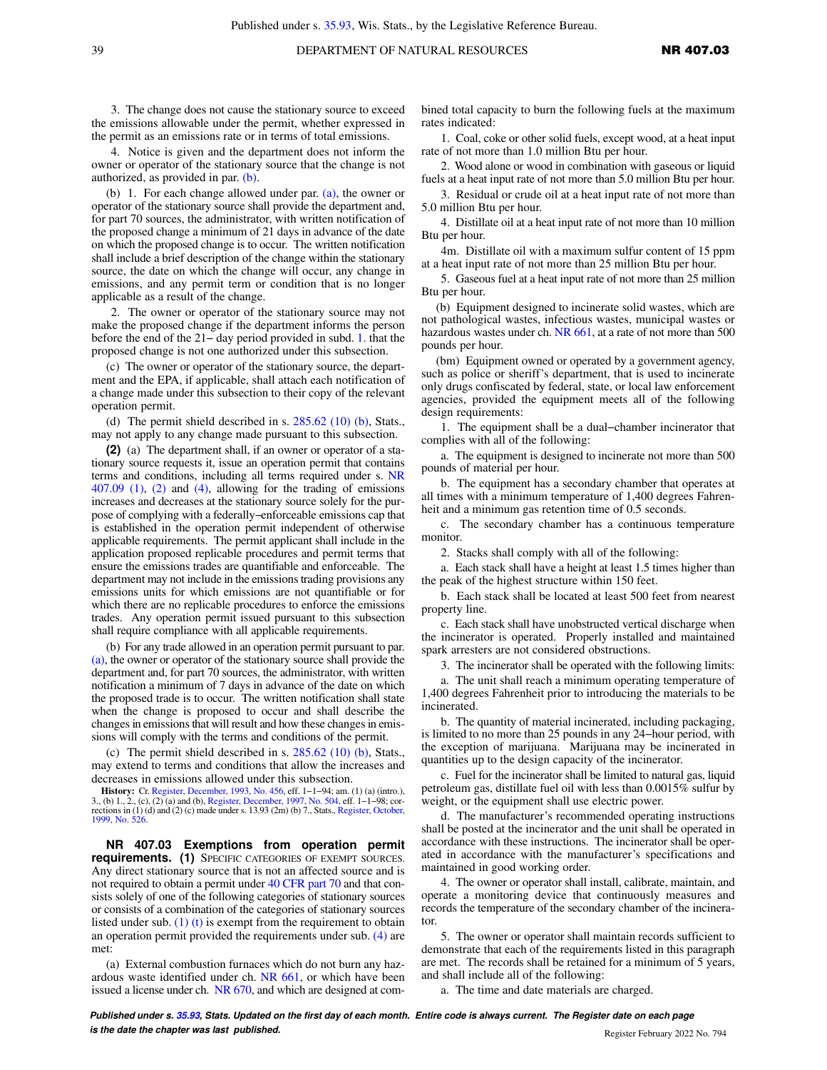3. The change does not cause the stationary source to exceed the emissions allowable under the permit, whether expressed in the permit as an emissions rate or in terms of total emissions.

4. Notice is given and the department does not inform the owner or operator of the stationary source that the change is not authorized, as provided in par. [\(b\)](https://docs-preview.legis.wisconsin.gov/document/administrativecode/NR%20407.025(1)(b)).

(b) 1. For each change allowed under par. [\(a\),](https://docs-preview.legis.wisconsin.gov/document/administrativecode/NR%20407.025(1)(a)) the owner or operator of the stationary source shall provide the department and, for part 70 sources, the administrator, with written notification of the proposed change a minimum of 21 days in advance of the date on which the proposed change is to occur. The written notification shall include a brief description of the change within the stationary source, the date on which the change will occur, any change in emissions, and any permit term or condition that is no longer applicable as a result of the change.

2. The owner or operator of the stationary source may not make the proposed change if the department informs the person before the end of the 21− day period provided in subd. [1.](https://docs-preview.legis.wisconsin.gov/document/administrativecode/NR%20407.025(1)(b)1.) that the proposed change is not one authorized under this subsection.

(c) The owner or operator of the stationary source, the department and the EPA, if applicable, shall attach each notification of a change made under this subsection to their copy of the relevant operation permit.

(d) The permit shield described in s.  $285.62$  (10) (b), Stats., may not apply to any change made pursuant to this subsection.

**(2)** (a) The department shall, if an owner or operator of a stationary source requests it, issue an operation permit that contains terms and conditions, including all terms required under s. [NR](https://docs-preview.legis.wisconsin.gov/document/administrativecode/NR%20407.09(1)) [407.09 \(1\),](https://docs-preview.legis.wisconsin.gov/document/administrativecode/NR%20407.09(1)) [\(2\)](https://docs-preview.legis.wisconsin.gov/document/administrativecode/NR%20407.09(2)) and [\(4\)](https://docs-preview.legis.wisconsin.gov/document/administrativecode/NR%20407.09(4)), allowing for the trading of emissions increases and decreases at the stationary source solely for the purpose of complying with a federally−enforceable emissions cap that is established in the operation permit independent of otherwise applicable requirements. The permit applicant shall include in the application proposed replicable procedures and permit terms that ensure the emissions trades are quantifiable and enforceable. The department may not include in the emissions trading provisions any emissions units for which emissions are not quantifiable or for which there are no replicable procedures to enforce the emissions trades. Any operation permit issued pursuant to this subsection shall require compliance with all applicable requirements.

(b) For any trade allowed in an operation permit pursuant to par. [\(a\),](https://docs-preview.legis.wisconsin.gov/document/administrativecode/NR%20407.025(2)(a)) the owner or operator of the stationary source shall provide the department and, for part 70 sources, the administrator, with written notification a minimum of 7 days in advance of the date on which the proposed trade is to occur. The written notification shall state when the change is proposed to occur and shall describe the changes in emissions that will result and how these changes in emissions will comply with the terms and conditions of the permit.

(c) The permit shield described in s. [285.62 \(10\) \(b\),](https://docs-preview.legis.wisconsin.gov/document/statutes/285.62(10)(b)) Stats., may extend to terms and conditions that allow the increases and decreases in emissions allowed under this subsection.

**History:** Cr. [Register, December, 1993, No. 456,](https://docs-preview.legis.wisconsin.gov/document/register/456/B/toc) eff. 1−1−94; am. (1) (a) (intro.), 3., (b) 1., 2., (c), (2) (a) and (b), [Register, December, 1997, No. 504,](https://docs-preview.legis.wisconsin.gov/document/register/504/B/toc) eff. 1−1−98; cor-rections in (1) (d) and (2) (c) made under s. 13.93 (2m) (b) 7., Stats., [Register, October,](https://docs-preview.legis.wisconsin.gov/document/register/526/B/toc) [1999, No. 526.](https://docs-preview.legis.wisconsin.gov/document/register/526/B/toc)

**NR 407.03 Exemptions from operation permit requirements. (1)** SPECIFIC CATEGORIES OF EXEMPT SOURCES. Any direct stationary source that is not an affected source and is not required to obtain a permit under [40 CFR part 70](https://docs-preview.legis.wisconsin.gov/document/cfr/40%20CFR%2070) and that consists solely of one of the following categories of stationary sources or consists of a combination of the categories of stationary sources listed under sub.  $(1)$  (t) is exempt from the requirement to obtain an operation permit provided the requirements under sub. [\(4\)](https://docs-preview.legis.wisconsin.gov/document/administrativecode/NR%20407.03(4)) are met:

(a) External combustion furnaces which do not burn any hazardous waste identified under ch. [NR 661](https://docs-preview.legis.wisconsin.gov/document/administrativecode/ch.%20NR%20661), or which have been issued a license under ch. [NR 670](https://docs-preview.legis.wisconsin.gov/document/administrativecode/ch.%20NR%20670), and which are designed at combined total capacity to burn the following fuels at the maximum rates indicated:

1. Coal, coke or other solid fuels, except wood, at a heat input rate of not more than 1.0 million Btu per hour.

2. Wood alone or wood in combination with gaseous or liquid fuels at a heat input rate of not more than 5.0 million Btu per hour.

3. Residual or crude oil at a heat input rate of not more than 5.0 million Btu per hour.

4. Distillate oil at a heat input rate of not more than 10 million Btu per hour.

4m. Distillate oil with a maximum sulfur content of 15 ppm at a heat input rate of not more than 25 million Btu per hour.

5. Gaseous fuel at a heat input rate of not more than 25 million Btu per hour.

(b) Equipment designed to incinerate solid wastes, which are not pathological wastes, infectious wastes, municipal wastes or hazardous wastes under ch. [NR 661](https://docs-preview.legis.wisconsin.gov/document/administrativecode/ch.%20NR%20661), at a rate of not more than 500 pounds per hour.

(bm) Equipment owned or operated by a government agency, such as police or sheriff's department, that is used to incinerate only drugs confiscated by federal, state, or local law enforcement agencies, provided the equipment meets all of the following design requirements:

1. The equipment shall be a dual−chamber incinerator that complies with all of the following:

a. The equipment is designed to incinerate not more than 500 pounds of material per hour.

b. The equipment has a secondary chamber that operates at all times with a minimum temperature of 1,400 degrees Fahrenheit and a minimum gas retention time of 0.5 seconds.

c. The secondary chamber has a continuous temperature monitor.

2. Stacks shall comply with all of the following:

a. Each stack shall have a height at least 1.5 times higher than the peak of the highest structure within 150 feet.

b. Each stack shall be located at least 500 feet from nearest property line.

c. Each stack shall have unobstructed vertical discharge when the incinerator is operated. Properly installed and maintained spark arresters are not considered obstructions.

3. The incinerator shall be operated with the following limits:

a. The unit shall reach a minimum operating temperature of 1,400 degrees Fahrenheit prior to introducing the materials to be incinerated.

b. The quantity of material incinerated, including packaging, is limited to no more than 25 pounds in any 24−hour period, with the exception of marijuana. Marijuana may be incinerated in quantities up to the design capacity of the incinerator.

c. Fuel for the incinerator shall be limited to natural gas, liquid petroleum gas, distillate fuel oil with less than 0.0015% sulfur by weight, or the equipment shall use electric power.

d. The manufacturer's recommended operating instructions shall be posted at the incinerator and the unit shall be operated in accordance with these instructions. The incinerator shall be operated in accordance with the manufacturer's specifications and maintained in good working order.

4. The owner or operator shall install, calibrate, maintain, and operate a monitoring device that continuously measures and records the temperature of the secondary chamber of the incinerator.

5. The owner or operator shall maintain records sufficient to demonstrate that each of the requirements listed in this paragraph are met. The records shall be retained for a minimum of 5 years, and shall include all of the following:

a. The time and date materials are charged.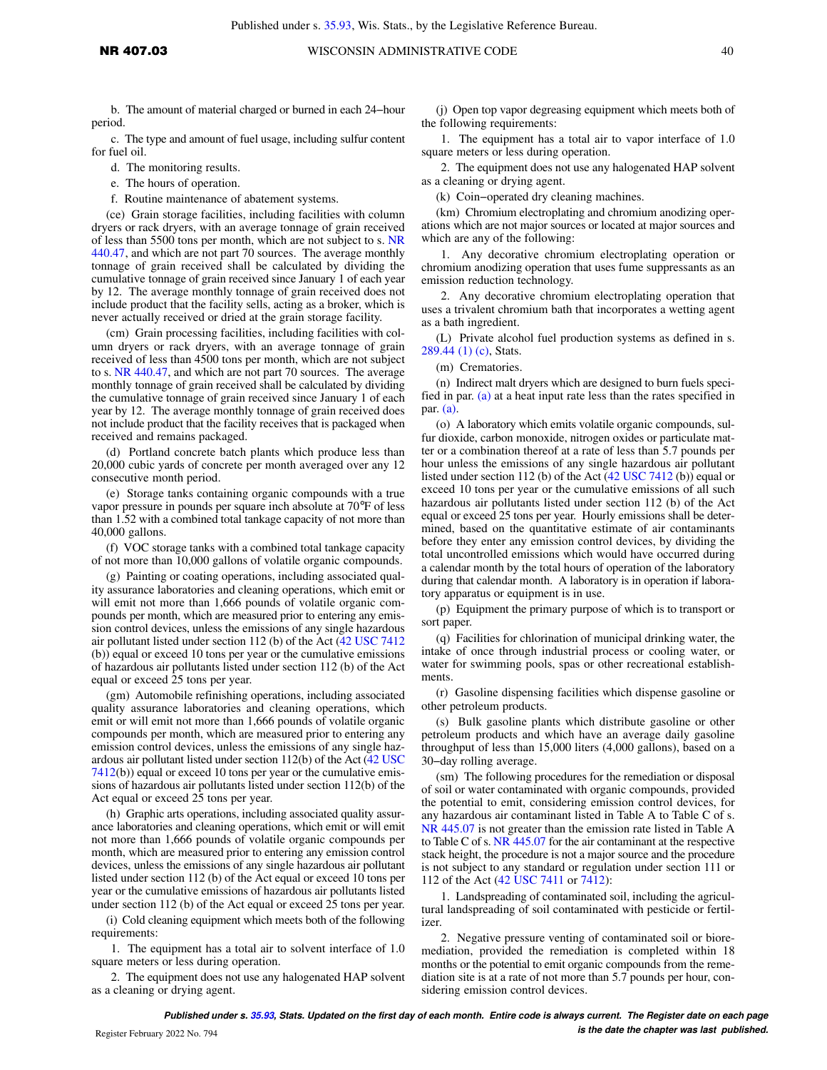b. The amount of material charged or burned in each 24−hour period.

c. The type and amount of fuel usage, including sulfur content for fuel oil.

d. The monitoring results.

- e. The hours of operation.
- f. Routine maintenance of abatement systems.

(ce) Grain storage facilities, including facilities with column dryers or rack dryers, with an average tonnage of grain received of less than 5500 tons per month, which are not subject to s. [NR](https://docs-preview.legis.wisconsin.gov/document/administrativecode/NR%20440.47) [440.47,](https://docs-preview.legis.wisconsin.gov/document/administrativecode/NR%20440.47) and which are not part 70 sources. The average monthly tonnage of grain received shall be calculated by dividing the cumulative tonnage of grain received since January 1 of each year by 12. The average monthly tonnage of grain received does not include product that the facility sells, acting as a broker, which is never actually received or dried at the grain storage facility.

(cm) Grain processing facilities, including facilities with column dryers or rack dryers, with an average tonnage of grain received of less than 4500 tons per month, which are not subject to s. [NR 440.47](https://docs-preview.legis.wisconsin.gov/document/administrativecode/NR%20440.47), and which are not part 70 sources. The average monthly tonnage of grain received shall be calculated by dividing the cumulative tonnage of grain received since January 1 of each year by 12. The average monthly tonnage of grain received does not include product that the facility receives that is packaged when received and remains packaged.

(d) Portland concrete batch plants which produce less than 20,000 cubic yards of concrete per month averaged over any 12 consecutive month period.

(e) Storage tanks containing organic compounds with a true vapor pressure in pounds per square inch absolute at 70°F of less than 1.52 with a combined total tankage capacity of not more than 40,000 gallons.

(f) VOC storage tanks with a combined total tankage capacity of not more than 10,000 gallons of volatile organic compounds.

(g) Painting or coating operations, including associated quality assurance laboratories and cleaning operations, which emit or will emit not more than 1,666 pounds of volatile organic compounds per month, which are measured prior to entering any emission control devices, unless the emissions of any single hazardous air pollutant listed under section 112 (b) of the Act ([42 USC 7412](https://docs-preview.legis.wisconsin.gov/document/usc/42%20USC%207412) (b)) equal or exceed 10 tons per year or the cumulative emissions of hazardous air pollutants listed under section 112 (b) of the Act equal or exceed 25 tons per year.

(gm) Automobile refinishing operations, including associated quality assurance laboratories and cleaning operations, which emit or will emit not more than 1,666 pounds of volatile organic compounds per month, which are measured prior to entering any emission control devices, unless the emissions of any single hazardous air pollutant listed under section 112(b) of the Act [\(42 USC](https://docs-preview.legis.wisconsin.gov/document/usc/42%20USC%207412) [7412\(](https://docs-preview.legis.wisconsin.gov/document/usc/42%20USC%207412)b)) equal or exceed 10 tons per year or the cumulative emissions of hazardous air pollutants listed under section 112(b) of the Act equal or exceed 25 tons per year.

(h) Graphic arts operations, including associated quality assurance laboratories and cleaning operations, which emit or will emit not more than 1,666 pounds of volatile organic compounds per month, which are measured prior to entering any emission control devices, unless the emissions of any single hazardous air pollutant listed under section 112 (b) of the Act equal or exceed 10 tons per year or the cumulative emissions of hazardous air pollutants listed under section 112 (b) of the Act equal or exceed 25 tons per year.

(i) Cold cleaning equipment which meets both of the following requirements:

1. The equipment has a total air to solvent interface of 1.0 square meters or less during operation.

2. The equipment does not use any halogenated HAP solvent as a cleaning or drying agent.

(j) Open top vapor degreasing equipment which meets both of the following requirements:

1. The equipment has a total air to vapor interface of 1.0 square meters or less during operation.

2. The equipment does not use any halogenated HAP solvent as a cleaning or drying agent.

(k) Coin−operated dry cleaning machines.

(km) Chromium electroplating and chromium anodizing operations which are not major sources or located at major sources and which are any of the following:

1. Any decorative chromium electroplating operation or chromium anodizing operation that uses fume suppressants as an emission reduction technology.

2. Any decorative chromium electroplating operation that uses a trivalent chromium bath that incorporates a wetting agent as a bath ingredient.

(L) Private alcohol fuel production systems as defined in s. [289.44 \(1\) \(c\)](https://docs-preview.legis.wisconsin.gov/document/statutes/289.44(1)(c)), Stats.

(m) Crematories.

(n) Indirect malt dryers which are designed to burn fuels specified in par.  $(a)$  at a heat input rate less than the rates specified in par. [\(a\).](https://docs-preview.legis.wisconsin.gov/document/administrativecode/NR%20407.03(1)(a))

(o) A laboratory which emits volatile organic compounds, sulfur dioxide, carbon monoxide, nitrogen oxides or particulate matter or a combination thereof at a rate of less than 5.7 pounds per hour unless the emissions of any single hazardous air pollutant listed under section 112 (b) of the Act [\(42 USC 7412](https://docs-preview.legis.wisconsin.gov/document/usc/42%20USC%207412) (b)) equal or exceed 10 tons per year or the cumulative emissions of all such hazardous air pollutants listed under section 112 (b) of the Act equal or exceed 25 tons per year. Hourly emissions shall be determined, based on the quantitative estimate of air contaminants before they enter any emission control devices, by dividing the total uncontrolled emissions which would have occurred during a calendar month by the total hours of operation of the laboratory during that calendar month. A laboratory is in operation if laboratory apparatus or equipment is in use.

(p) Equipment the primary purpose of which is to transport or sort paper.

(q) Facilities for chlorination of municipal drinking water, the intake of once through industrial process or cooling water, or water for swimming pools, spas or other recreational establishments.

(r) Gasoline dispensing facilities which dispense gasoline or other petroleum products.

(s) Bulk gasoline plants which distribute gasoline or other petroleum products and which have an average daily gasoline throughput of less than 15,000 liters (4,000 gallons), based on a 30−day rolling average.

(sm) The following procedures for the remediation or disposal of soil or water contaminated with organic compounds, provided the potential to emit, considering emission control devices, for any hazardous air contaminant listed in Table A to Table C of s. [NR 445.07](https://docs-preview.legis.wisconsin.gov/document/administrativecode/NR%20445.07) is not greater than the emission rate listed in Table A to Table C of s. [NR 445.07](https://docs-preview.legis.wisconsin.gov/document/administrativecode/NR%20445.07) for the air contaminant at the respective stack height, the procedure is not a major source and the procedure is not subject to any standard or regulation under section 111 or 112 of the Act [\(42 USC 7411](https://docs-preview.legis.wisconsin.gov/document/usc/42%20USC%207411) or [7412](https://docs-preview.legis.wisconsin.gov/document/usc/42%20USC%207412)):

1. Landspreading of contaminated soil, including the agricultural landspreading of soil contaminated with pesticide or fertilizer.

2. Negative pressure venting of contaminated soil or bioremediation, provided the remediation is completed within 18 months or the potential to emit organic compounds from the remediation site is at a rate of not more than 5.7 pounds per hour, considering emission control devices.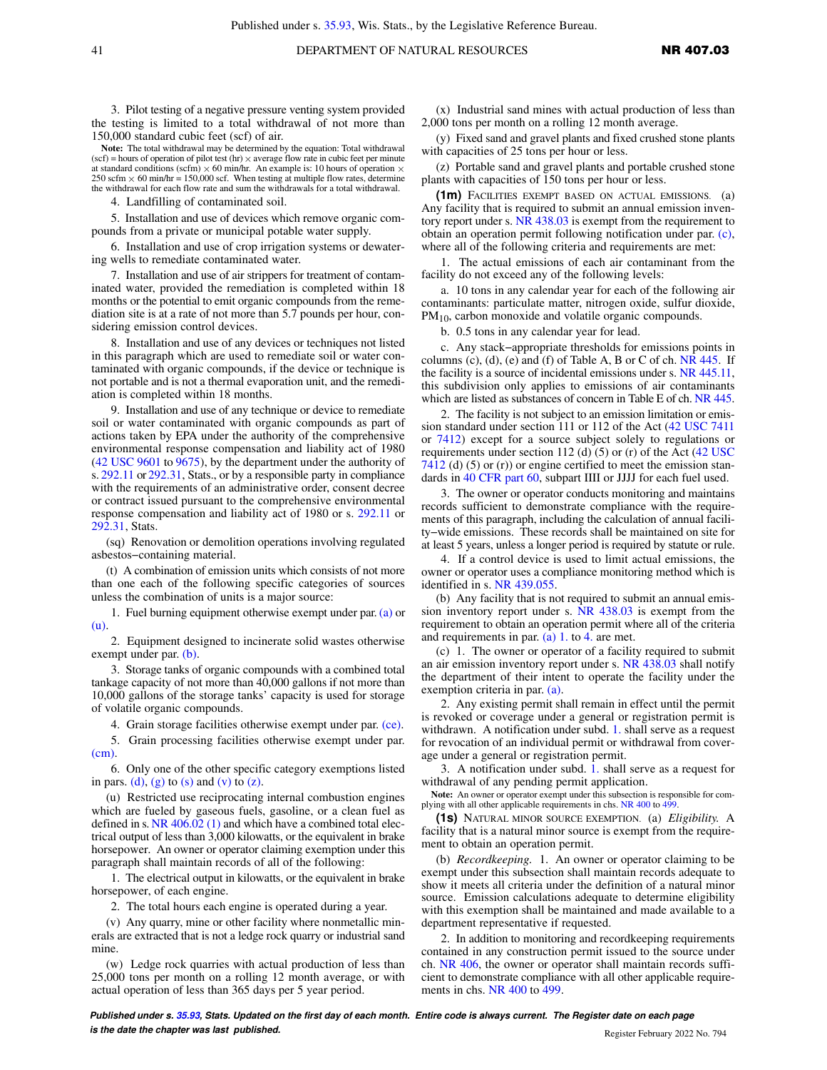3. Pilot testing of a negative pressure venting system provided the testing is limited to a total withdrawal of not more than 150,000 standard cubic feet (scf) of air.

**Note:** The total withdrawal may be determined by the equation: Total withdrawal (scf) = hours of operation of pilot test (hr)  $\times$  average flow rate in cubic feet per minute at standard conditions (scfm)  $\times$  60 min/hr. An example is: 10 hours of operation  $\times$  $250$  scfm  $\times$  60 min/hr = 150,000 scf. When testing at multiple flow rates, determine the withdrawal for each flow rate and sum the withdrawals for a total withdrawal.

4. Landfilling of contaminated soil.

5. Installation and use of devices which remove organic compounds from a private or municipal potable water supply.

6. Installation and use of crop irrigation systems or dewatering wells to remediate contaminated water.

7. Installation and use of air strippers for treatment of contaminated water, provided the remediation is completed within 18 months or the potential to emit organic compounds from the remediation site is at a rate of not more than 5.7 pounds per hour, considering emission control devices.

8. Installation and use of any devices or techniques not listed in this paragraph which are used to remediate soil or water contaminated with organic compounds, if the device or technique is not portable and is not a thermal evaporation unit, and the remediation is completed within 18 months.

9. Installation and use of any technique or device to remediate soil or water contaminated with organic compounds as part of actions taken by EPA under the authority of the comprehensive environmental response compensation and liability act of 1980 ([42 USC 9601](https://docs-preview.legis.wisconsin.gov/document/usc/42%20USC%209601) to [9675](https://docs-preview.legis.wisconsin.gov/document/usc/42%20USC%209675)), by the department under the authority of s. [292.11](https://docs-preview.legis.wisconsin.gov/document/statutes/292.11) or [292.31,](https://docs-preview.legis.wisconsin.gov/document/statutes/292.31) Stats., or by a responsible party in compliance with the requirements of an administrative order, consent decree or contract issued pursuant to the comprehensive environmental response compensation and liability act of 1980 or s. [292.11](https://docs-preview.legis.wisconsin.gov/document/statutes/292.11) or [292.31,](https://docs-preview.legis.wisconsin.gov/document/statutes/292.31) Stats.

(sq) Renovation or demolition operations involving regulated asbestos−containing material.

(t) A combination of emission units which consists of not more than one each of the following specific categories of sources unless the combination of units is a major source:

1. Fuel burning equipment otherwise exempt under par. [\(a\)](https://docs-preview.legis.wisconsin.gov/document/administrativecode/NR%20407.03(1)(a)) or [\(u\)](https://docs-preview.legis.wisconsin.gov/document/administrativecode/NR%20407.03(1)(u)).

2. Equipment designed to incinerate solid wastes otherwise exempt under par. [\(b\).](https://docs-preview.legis.wisconsin.gov/document/administrativecode/NR%20407.03(1)(b))

3. Storage tanks of organic compounds with a combined total tankage capacity of not more than 40,000 gallons if not more than 10,000 gallons of the storage tanks' capacity is used for storage of volatile organic compounds.

4. Grain storage facilities otherwise exempt under par. [\(ce\).](https://docs-preview.legis.wisconsin.gov/document/administrativecode/NR%20407.03(1)(ce))

5. Grain processing facilities otherwise exempt under par. [\(cm\).](https://docs-preview.legis.wisconsin.gov/document/administrativecode/NR%20407.03(1)(cm))

6. Only one of the other specific category exemptions listed in pars. [\(d\)](https://docs-preview.legis.wisconsin.gov/document/administrativecode/NR%20407.03(1)(d)), [\(g\)](https://docs-preview.legis.wisconsin.gov/document/administrativecode/NR%20407.03(1)(g)) to [\(s\)](https://docs-preview.legis.wisconsin.gov/document/administrativecode/NR%20407.03(1)(s)) and [\(v\)](https://docs-preview.legis.wisconsin.gov/document/administrativecode/NR%20407.03(1)(v)) to [\(z\)](https://docs-preview.legis.wisconsin.gov/document/administrativecode/NR%20407.03(1)(z)).

(u) Restricted use reciprocating internal combustion engines which are fueled by gaseous fuels, gasoline, or a clean fuel as defined in s. [NR 406.02 \(1\)](https://docs-preview.legis.wisconsin.gov/document/administrativecode/NR%20406.02(1)) and which have a combined total electrical output of less than 3,000 kilowatts, or the equivalent in brake horsepower. An owner or operator claiming exemption under this paragraph shall maintain records of all of the following:

1. The electrical output in kilowatts, or the equivalent in brake horsepower, of each engine.

2. The total hours each engine is operated during a year.

(v) Any quarry, mine or other facility where nonmetallic minerals are extracted that is not a ledge rock quarry or industrial sand mine.

(w) Ledge rock quarries with actual production of less than 25,000 tons per month on a rolling 12 month average, or with actual operation of less than 365 days per 5 year period.

(x) Industrial sand mines with actual production of less than 2,000 tons per month on a rolling 12 month average.

(y) Fixed sand and gravel plants and fixed crushed stone plants with capacities of 25 tons per hour or less.

(z) Portable sand and gravel plants and portable crushed stone plants with capacities of 150 tons per hour or less.

**(1m)** FACILITIES EXEMPT BASED ON ACTUAL EMISSIONS. (a) Any facility that is required to submit an annual emission inventory report under s. [NR 438.03](https://docs-preview.legis.wisconsin.gov/document/administrativecode/NR%20438.03) is exempt from the requirement to obtain an operation permit following notification under par. [\(c\),](https://docs-preview.legis.wisconsin.gov/document/administrativecode/NR%20407.03(1m)(c)) where all of the following criteria and requirements are met:

1. The actual emissions of each air contaminant from the facility do not exceed any of the following levels:

a. 10 tons in any calendar year for each of the following air contaminants: particulate matter, nitrogen oxide, sulfur dioxide, PM<sub>10</sub>, carbon monoxide and volatile organic compounds.

b. 0.5 tons in any calendar year for lead.

c. Any stack−appropriate thresholds for emissions points in columns  $(c)$ ,  $(d)$ ,  $(e)$  and  $(f)$  of Table A, B or C of ch. [NR 445.](https://docs-preview.legis.wisconsin.gov/document/administrativecode/ch.%20NR%20445) If the facility is a source of incidental emissions under s. [NR 445.11,](https://docs-preview.legis.wisconsin.gov/document/administrativecode/NR%20445.11) this subdivision only applies to emissions of air contaminants which are listed as substances of concern in Table E of ch. [NR 445.](https://docs-preview.legis.wisconsin.gov/document/administrativecode/ch.%20NR%20445)

2. The facility is not subject to an emission limitation or emission standard under section 111 or 112 of the Act [\(42 USC 7411](https://docs-preview.legis.wisconsin.gov/document/usc/42%20USC%207411) or [7412\)](https://docs-preview.legis.wisconsin.gov/document/usc/42%20USC%207412) except for a source subject solely to regulations or requirements under section 112 (d)  $(5)$  or (r) of the Act [\(42 USC](https://docs-preview.legis.wisconsin.gov/document/usc/42%20USC%207412) [7412](https://docs-preview.legis.wisconsin.gov/document/usc/42%20USC%207412) (d) (5) or (r)) or engine certified to meet the emission standards in [40 CFR part 60](https://docs-preview.legis.wisconsin.gov/document/cfr/40%20CFR%2060), subpart IIII or JJJJ for each fuel used.

3. The owner or operator conducts monitoring and maintains records sufficient to demonstrate compliance with the requirements of this paragraph, including the calculation of annual facility−wide emissions. These records shall be maintained on site for at least 5 years, unless a longer period is required by statute or rule.

4. If a control device is used to limit actual emissions, the owner or operator uses a compliance monitoring method which is identified in s. [NR 439.055.](https://docs-preview.legis.wisconsin.gov/document/administrativecode/NR%20439.055)

(b) Any facility that is not required to submit an annual emission inventory report under s. [NR 438.03](https://docs-preview.legis.wisconsin.gov/document/administrativecode/NR%20438.03) is exempt from the requirement to obtain an operation permit where all of the criteria and requirements in par. [\(a\) 1.](https://docs-preview.legis.wisconsin.gov/document/administrativecode/NR%20407.03(1m)(a)1.) to [4.](https://docs-preview.legis.wisconsin.gov/document/administrativecode/NR%20407.03(1m)(a)4.) are met.

(c) 1. The owner or operator of a facility required to submit an air emission inventory report under s. [NR 438.03](https://docs-preview.legis.wisconsin.gov/document/administrativecode/NR%20438.03) shall notify the department of their intent to operate the facility under the exemption criteria in par. [\(a\)](https://docs-preview.legis.wisconsin.gov/document/administrativecode/NR%20407.03(1m)(a)).

2. Any existing permit shall remain in effect until the permit is revoked or coverage under a general or registration permit is withdrawn. A notification under subd. [1.](https://docs-preview.legis.wisconsin.gov/document/administrativecode/NR%20407.03(1m)(c)1.) shall serve as a request for revocation of an individual permit or withdrawal from coverage under a general or registration permit.

3. A notification under subd. [1.](https://docs-preview.legis.wisconsin.gov/document/administrativecode/NR%20407.03(1m)(c)1.) shall serve as a request for withdrawal of any pending permit application.

**Note:** An owner or operator exempt under this subsection is responsible for complying with all other applicable requirements in chs. [NR 400](https://docs-preview.legis.wisconsin.gov/document/administrativecode/ch.%20NR%20400) to [499](https://docs-preview.legis.wisconsin.gov/document/administrativecode/ch.%20NR%20499).

**(1s)** NATURAL MINOR SOURCE EXEMPTION. (a) *Eligibility.* A facility that is a natural minor source is exempt from the requirement to obtain an operation permit.

(b) *Recordkeeping.* 1. An owner or operator claiming to be exempt under this subsection shall maintain records adequate to show it meets all criteria under the definition of a natural minor source. Emission calculations adequate to determine eligibility with this exemption shall be maintained and made available to a department representative if requested.

2. In addition to monitoring and recordkeeping requirements contained in any construction permit issued to the source under ch. [NR 406](https://docs-preview.legis.wisconsin.gov/document/administrativecode/ch.%20NR%20406), the owner or operator shall maintain records sufficient to demonstrate compliance with all other applicable require-ments in chs. [NR 400](https://docs-preview.legis.wisconsin.gov/document/administrativecode/ch.%20NR%20400) to [499](https://docs-preview.legis.wisconsin.gov/document/administrativecode/ch.%20NR%20499).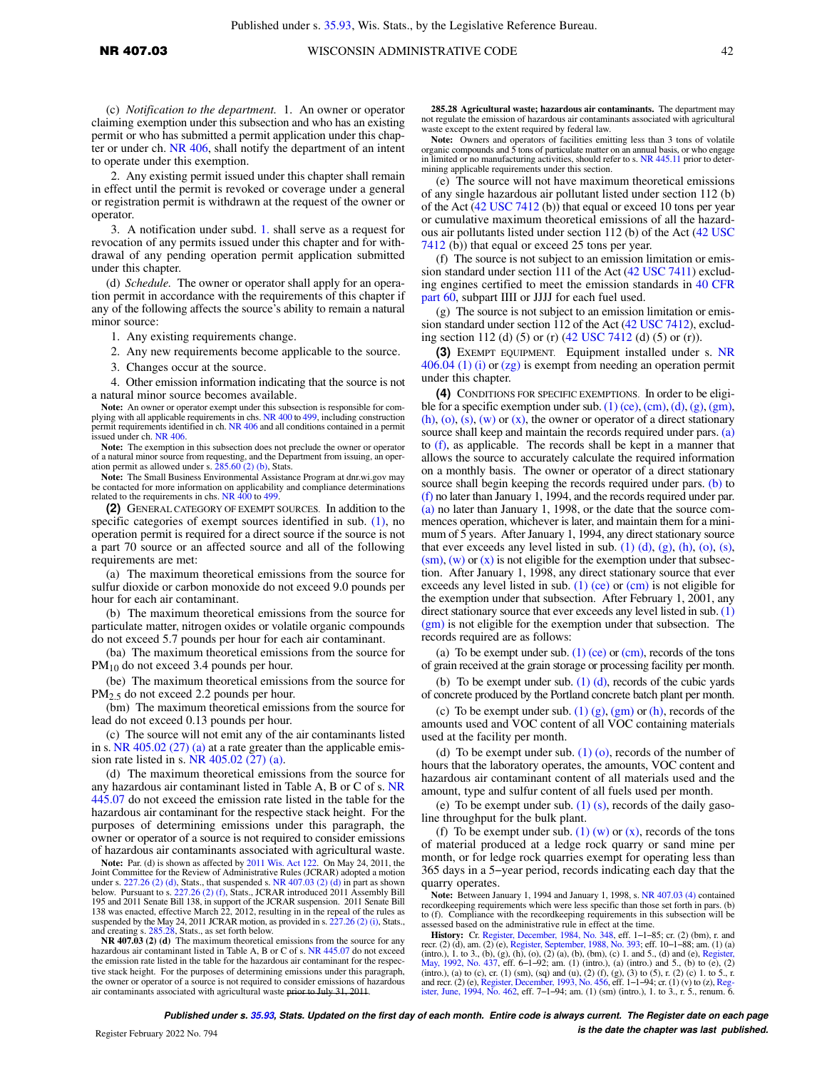2. Any existing permit issued under this chapter shall remain in effect until the permit is revoked or coverage under a general or registration permit is withdrawn at the request of the owner or operator.

3. A notification under subd. [1.](https://docs-preview.legis.wisconsin.gov/document/administrativecode/NR%20407.03(1s)(c)1.) shall serve as a request for revocation of any permits issued under this chapter and for withdrawal of any pending operation permit application submitted under this chapter.

(d) *Schedule.* The owner or operator shall apply for an operation permit in accordance with the requirements of this chapter if any of the following affects the source's ability to remain a natural minor source:

1. Any existing requirements change.

2. Any new requirements become applicable to the source.

3. Changes occur at the source.

4. Other emission information indicating that the source is not a natural minor source becomes available.

**Note:** An owner or operator exempt under this subsection is responsible for complying with all applicable requirements in chs. [NR 400](https://docs-preview.legis.wisconsin.gov/document/administrativecode/ch.%20NR%20400) to [499,](https://docs-preview.legis.wisconsin.gov/document/administrativecode/ch.%20NR%20499) including construction permit requirements identified in ch. [NR 406](https://docs-preview.legis.wisconsin.gov/document/administrativecode/ch.%20NR%20406) and all conditions contained in a permit issued under ch. [NR 406.](https://docs-preview.legis.wisconsin.gov/document/administrativecode/ch.%20NR%20406)

**Note:** The exemption in this subsection does not preclude the owner or operator of a natural minor source from requesting, and the Department from issuing, an operation permit as allowed under s.  $285.60(2)$  (b), Stats.

**Note:** The Small Business Environmental Assistance Program at dnr.wi.gov may be contacted for more information on applicability and compliance determinations related to the requirements in chs. [NR 400](https://docs-preview.legis.wisconsin.gov/document/administrativecode/ch.%20NR%20400) to [499.](https://docs-preview.legis.wisconsin.gov/document/administrativecode/ch.%20NR%20499)

**(2)** GENERAL CATEGORY OF EXEMPT SOURCES. In addition to the specific categories of exempt sources identified in sub.  $(1)$ , no operation permit is required for a direct source if the source is not a part 70 source or an affected source and all of the following requirements are met:

(a) The maximum theoretical emissions from the source for sulfur dioxide or carbon monoxide do not exceed 9.0 pounds per hour for each air contaminant.

(b) The maximum theoretical emissions from the source for particulate matter, nitrogen oxides or volatile organic compounds do not exceed 5.7 pounds per hour for each air contaminant.

(ba) The maximum theoretical emissions from the source for PM<sub>10</sub> do not exceed 3.4 pounds per hour.

(be) The maximum theoretical emissions from the source for PM2.5 do not exceed 2.2 pounds per hour.

(bm) The maximum theoretical emissions from the source for lead do not exceed 0.13 pounds per hour.

(c) The source will not emit any of the air contaminants listed in s. NR 405.02  $(27)$  (a) at a rate greater than the applicable emission rate listed in s. [NR 405.02 \(27\) \(a\)](https://docs-preview.legis.wisconsin.gov/document/administrativecode/NR%20405.02(27)(a)).

(d) The maximum theoretical emissions from the source for any hazardous air contaminant listed in Table A, B or C of s. [NR](https://docs-preview.legis.wisconsin.gov/document/administrativecode/NR%20445.07) [445.07](https://docs-preview.legis.wisconsin.gov/document/administrativecode/NR%20445.07) do not exceed the emission rate listed in the table for the hazardous air contaminant for the respective stack height. For the purposes of determining emissions under this paragraph, the owner or operator of a source is not required to consider emissions of hazardous air contaminants associated with agricultural waste.

**Note:** Par. (d) is shown as affected by [2011 Wis. Act 122.](https://docs-preview.legis.wisconsin.gov/document/acts/2011/122) On May 24, 2011, the Joint Committee for the Review of Administrative Rules (JCRAR) adopted a motion under s.  $227.26$  (2) (d), Stats., that suspended s. [NR 407.03 \(2\) \(d\)](https://docs-preview.legis.wisconsin.gov/document/administrativecode/NR%20407.03(2)(d)) in part as shown below. Pursuant to s.  $227.26$  (2) (f), Stats., JCRAR introduced 2011 Assembly Bill 195 and 2011 Senate Bill 138, in support of the JCRAR suspension. 2011 Senate Bill 138 was enacted, effective March 22, 2012, resulting in in the repeal of the rules as suspended by the May 24, 2011 JCRAR motion, as provided in s. [227.26 \(2\) \(i\)](https://docs-preview.legis.wisconsin.gov/document/statutes/227.26(2)(i)), Stats., and creating s. [285.28,](https://docs-preview.legis.wisconsin.gov/document/statutes/285.28) Stats., as set forth below.

**NR 407.03 (2) (d)** The maximum theoretical emissions from the source for any hazardous air contaminant listed in Table A, B or C of s. [NR 445.07](https://docs-preview.legis.wisconsin.gov/document/administrativecode/NR%20445.07) do not exceed the emission rate listed in the table for the hazardous air contaminant for the respective stack height. For the purposes of determining emissions under this paragraph, the owner or operator of a source is not required to consider emissions of hazardous air contaminants associated with agricultural waste prior to July 31, 2011.

**285.28 Agricultural waste; hazardous air contaminants.** The department may not regulate the emission of hazardous air contaminants associated with agricultural waste except to the extent required by federal law.

Note: Owners and operators of facilities emitting less than 3 tons of volatile organic compounds and  $\frac{1}{5}$  tons of particulate matter on an annual basis, or who engage in limited or no manufacturing activities, should refer to s. [NR 445.11](https://docs-preview.legis.wisconsin.gov/document/administrativecode/NR%20445.11) prior to determining applicable requirements under this section.

(e) The source will not have maximum theoretical emissions of any single hazardous air pollutant listed under section 112 (b) of the Act [\(42 USC 7412](https://docs-preview.legis.wisconsin.gov/document/usc/42%20USC%207412) (b)) that equal or exceed 10 tons per year or cumulative maximum theoretical emissions of all the hazardous air pollutants listed under section 112 (b) of the Act ([42 USC](https://docs-preview.legis.wisconsin.gov/document/usc/42%20USC%207412) [7412](https://docs-preview.legis.wisconsin.gov/document/usc/42%20USC%207412) (b)) that equal or exceed 25 tons per year.

(f) The source is not subject to an emission limitation or emission standard under section 111 of the Act ([42 USC 7411\)](https://docs-preview.legis.wisconsin.gov/document/usc/42%20USC%207411) excluding engines certified to meet the emission standards in [40 CFR](https://docs-preview.legis.wisconsin.gov/document/cfr/40%20CFR%2060) [part 60](https://docs-preview.legis.wisconsin.gov/document/cfr/40%20CFR%2060), subpart IIII or JJJJ for each fuel used.

(g) The source is not subject to an emission limitation or emission standard under section 112 of the Act [\(42 USC 7412](https://docs-preview.legis.wisconsin.gov/document/usc/42%20USC%207412)), excluding section 112 (d) (5) or (r) [\(42 USC 7412](https://docs-preview.legis.wisconsin.gov/document/usc/42%20USC%207412) (d) (5) or (r)).

**(3)** EXEMPT EQUIPMENT. Equipment installed under s. [NR](https://docs-preview.legis.wisconsin.gov/document/administrativecode/NR%20406.04(1)(i)) [406.04 \(1\) \(i\)](https://docs-preview.legis.wisconsin.gov/document/administrativecode/NR%20406.04(1)(i)) or [\(zg\)](https://docs-preview.legis.wisconsin.gov/document/administrativecode/NR%20406.04(1)(zg)) is exempt from needing an operation permit under this chapter.

**(4)** CONDITIONS FOR SPECIFIC EXEMPTIONS. In order to be eligible for a specific exemption under sub.  $(1)$  (ce), [\(cm\)](https://docs-preview.legis.wisconsin.gov/document/administrativecode/NR%20407.03(1)(cm)), [\(d\)](https://docs-preview.legis.wisconsin.gov/document/administrativecode/NR%20407.03(1)(d)), [\(g\)](https://docs-preview.legis.wisconsin.gov/document/administrativecode/NR%20407.03(1)(g)), [\(gm\),](https://docs-preview.legis.wisconsin.gov/document/administrativecode/NR%20407.03(1)(gm))  $(h)$ ,  $(o)$ ,  $(s)$ ,  $(w)$  or  $(x)$ , the owner or operator of a direct stationary source shall keep and maintain the records required under pars. [\(a\)](https://docs-preview.legis.wisconsin.gov/document/administrativecode/NR%20407.03(4)(a)) to [\(f\),](https://docs-preview.legis.wisconsin.gov/document/administrativecode/NR%20407.03(4)(f)) as applicable. The records shall be kept in a manner that allows the source to accurately calculate the required information on a monthly basis. The owner or operator of a direct stationary source shall begin keeping the records required under pars. [\(b\)](https://docs-preview.legis.wisconsin.gov/document/administrativecode/NR%20407.03(4)(b)) to [\(f\)](https://docs-preview.legis.wisconsin.gov/document/administrativecode/NR%20407.03(4)(f)) no later than January 1, 1994, and the records required under par. [\(a\)](https://docs-preview.legis.wisconsin.gov/document/administrativecode/NR%20407.03(4)(a)) no later than January 1, 1998, or the date that the source commences operation, whichever is later, and maintain them for a minimum of 5 years. After January 1, 1994, any direct stationary source that ever exceeds any level listed in sub.  $(1)$   $(d)$ ,  $(g)$ ,  $(h)$ ,  $(o)$ ,  $(s)$ ,  $(\text{sm})$ ,  $(w)$  or  $(x)$  is not eligible for the exemption under that subsection. After January 1, 1998, any direct stationary source that ever exceeds any level listed in sub.  $(1)$  (ce) or [\(cm\)](https://docs-preview.legis.wisconsin.gov/document/administrativecode/NR%20407.03(1)(cm)) is not eligible for the exemption under that subsection. After February 1, 2001, any direct stationary source that ever exceeds any level listed in sub. [\(1\)](https://docs-preview.legis.wisconsin.gov/document/administrativecode/NR%20407.03(1)(gm)) [\(gm\)](https://docs-preview.legis.wisconsin.gov/document/administrativecode/NR%20407.03(1)(gm)) is not eligible for the exemption under that subsection. The records required are as follows:

(a) To be exempt under sub.  $(1)$  (ce) or [\(cm\),](https://docs-preview.legis.wisconsin.gov/document/administrativecode/NR%20407.03(1)(cm)) records of the tons of grain received at the grain storage or processing facility per month.

(b) To be exempt under sub.  $(1)$   $(d)$ , records of the cubic yards of concrete produced by the Portland concrete batch plant per month.

(c) To be exempt under sub.  $(1)$   $(g)$ ,  $(gm)$  or  $(h)$ , records of the amounts used and VOC content of all VOC containing materials used at the facility per month.

(d) To be exempt under sub.  $(1)$  (o), records of the number of hours that the laboratory operates, the amounts, VOC content and hazardous air contaminant content of all materials used and the amount, type and sulfur content of all fuels used per month.

(e) To be exempt under sub.  $(1)$  (s), records of the daily gasoline throughput for the bulk plant.

(f) To be exempt under sub. [\(1\) \(w\)](https://docs-preview.legis.wisconsin.gov/document/administrativecode/NR%20407.03(1)(w)) or  $(x)$ , records of the tons of material produced at a ledge rock quarry or sand mine per month, or for ledge rock quarries exempt for operating less than 365 days in a 5−year period, records indicating each day that the quarry operates.

**Note:** Between January 1, 1994 and January 1, 1998, s. [NR 407.03 \(4\)](https://docs-preview.legis.wisconsin.gov/document/administrativecode/NR%20407.03(4)) contained recordkeeping requirements which were less specific than those set forth in pars. (b) to (f). Compliance with the recordkeeping requirements in this subsection will be assessed based on the administrative rule in effect at the time.

**History:** Cr. [Register, December, 1984, No. 348](https://docs-preview.legis.wisconsin.gov/document/register/348/B/toc), eff. 1−1−85; cr. (2) (bm), r. and recr. (2) (d), am. (2) (e), [Register, September, 1988, No. 393](https://docs-preview.legis.wisconsin.gov/document/register/393/B/toc); eff. 10−1−88; am. (1) (a) (intro.), 1. to 3., (b), (g), (h), (o), (2) (a), (b), (bm), (c) 1. and 5., (d) and (e), [Register,](https://docs-preview.legis.wisconsin.gov/document/register/437/B/toc) [May, 1992, No. 437,](https://docs-preview.legis.wisconsin.gov/document/register/437/B/toc) eff. 6–1–92; am. (1) (intro.), (a) (intro.) and 5., (b) to (e), (2), (intro.), (a) (intro.), (a) (intro. [ister, June, 1994, No. 462,](https://docs-preview.legis.wisconsin.gov/document/register/462/B/toc) eff. 7−1−94; am. (1) (sm) (intro.), 1. to 3., r. 5., renum. 6.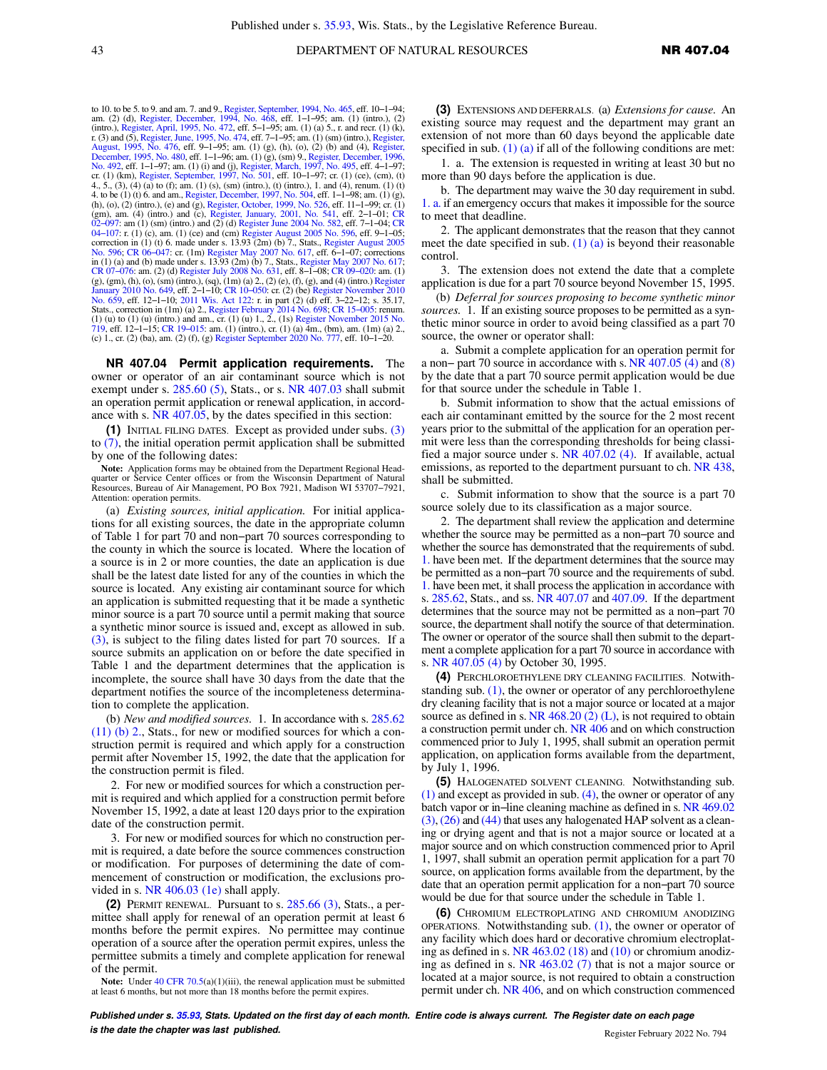to 10. to be 5. to 9. and am. 7. and 9., [Register, September, 1994, No. 465,](https://docs-preview.legis.wisconsin.gov/document/register/465/B/toc) eff. 10–1–94;<br>am. (2) (d), [Register, December, 1994, No. 468,](https://docs-preview.legis.wisconsin.gov/document/register/468/B/toc) eff. 1–1–95; am. (1) (intro.), (2)<br>(intro.), [Register, April, 1995, No. 472,](https://docs-preview.legis.wisconsin.gov/document/register/472/B/toc) eff. 5 r. (3) and (5), [Register, June, 1995, No. 474,](https://docs-preview.legis.wisconsin.gov/document/register/474/B/toc) eff. 7−1−95; am. (1) (sm) (intro.), [Register,](https://docs-preview.legis.wisconsin.gov/document/register/476/B/toc) [August, 1995, No. 476,](https://docs-preview.legis.wisconsin.gov/document/register/476/B/toc) eff. 9−1−95; am. (1) (g), (h), (o), (2) (b) and (4), [Register,](https://docs-preview.legis.wisconsin.gov/document/register/480/B/toc) [December, 1995, No. 480](https://docs-preview.legis.wisconsin.gov/document/register/480/B/toc), eff. 1–1–96; am. (1) (g), (sm) 9., [Register, December, 1996,](https://docs-preview.legis.wisconsin.gov/document/register/492/B/toc) [No. 492,](https://docs-preview.legis.wisconsin.gov/document/register/492/B/toc) eff. 1–1–97; am. (1) (i) and (j), [Register, March, 1997, No. 495,](https://docs-preview.legis.wisconsin.gov/document/register/495/B/toc) eff. 4–1–97; am. (1) (i) and (j), Register, March, 1997, No. 4. to be (1) (t) 6. and am., [Register, December, 1997, No. 504,](https://docs-preview.legis.wisconsin.gov/document/register/504/B/toc) eff. 1–1–98; am. (1) (g), (h), (o), (2) (intro.), (e) and (g), [Register, October, 1999, No. 526,](https://docs-preview.legis.wisconsin.gov/document/register/526/B/toc) eff. 11–1–99; cr. (1) (gn), am. (4) (intro.) and (c), Registe [02−097](https://docs-preview.legis.wisconsin.gov/document/cr/2002/97): am (1) (sm) (intro.) and (2) (d) [Register June 2004 No. 582,](https://docs-preview.legis.wisconsin.gov/document/register/582/B/toc) eff. 7−1−04; [CR](https://docs-preview.legis.wisconsin.gov/document/cr/2004/107) [04−107](https://docs-preview.legis.wisconsin.gov/document/cr/2004/107): r. (1) (c), am. (1) (ce) and (cm) [Register August 2005 No. 596,](https://docs-preview.legis.wisconsin.gov/document/register/596/B/toc) eff. 9−1−05; correction in (1) (t) 6. made under s. 13.93 (2m) (b) 7., Stats., [Register August 2005](https://docs-preview.legis.wisconsin.gov/document/register/596/B/toc) [No. 596](https://docs-preview.legis.wisconsin.gov/document/register/596/B/toc); [CR 06−047:](https://docs-preview.legis.wisconsin.gov/document/cr/2006/47) cr. (1m) [Register May 2007 No. 617,](https://docs-preview.legis.wisconsin.gov/document/register/617/B/toc) eff. 6−1−07; corrections in (1) (a) and (b) made under s. 13.93 (2m) (b) 7., Stats., [Register May 2007 No. 617;](https://docs-preview.legis.wisconsin.gov/document/register/617/B/toc) [CR 07−076:](https://docs-preview.legis.wisconsin.gov/document/cr/2007/76) am. (2) (d) [Register July 2008 No. 631,](https://docs-preview.legis.wisconsin.gov/document/register/631/B/toc) eff. 8−1−08; [CR 09−020:](https://docs-preview.legis.wisconsin.gov/document/cr/2009/20) am. (1) (g), (gm), (h), (o), (sm) (intro.), (sq), (1m) (a) 2., (2) (e), (f), (g), and (4) (intro.) [Register](https://docs-preview.legis.wisconsin.gov/document/register/649/B/toc) [January 2010 No. 649](https://docs-preview.legis.wisconsin.gov/document/register/649/B/toc), eff. 2–1–10; CR 10–050: cr. (2) (be) [Register November 2010](https://docs-preview.legis.wisconsin.gov/document/register/659/B/toc)<br>[No. 659](https://docs-preview.legis.wisconsin.gov/document/register/659/B/toc), eff. 12–1–10; [2011 Wis. Act 122](https://docs-preview.legis.wisconsin.gov/document/acts/2011/122): r. in part (2) (d) eff. 3–22–12; s. 35.17,<br>Stats., correction in (1m) (a) 2., Register February 20

**NR 407.04 Permit application requirements.** The owner or operator of an air contaminant source which is not exempt under s. [285.60 \(5\)](https://docs-preview.legis.wisconsin.gov/document/statutes/285.60(5)), Stats., or s. [NR 407.03](https://docs-preview.legis.wisconsin.gov/document/administrativecode/NR%20407.03) shall submit an operation permit application or renewal application, in accordance with s. [NR 407.05,](https://docs-preview.legis.wisconsin.gov/document/administrativecode/NR%20407.05) by the dates specified in this section:

**(1)** INITIAL FILING DATES. Except as provided under subs. [\(3\)](https://docs-preview.legis.wisconsin.gov/document/administrativecode/NR%20407.04(3)) to [\(7\),](https://docs-preview.legis.wisconsin.gov/document/administrativecode/NR%20407.04(7)) the initial operation permit application shall be submitted by one of the following dates:

**Note:** Application forms may be obtained from the Department Regional Headquarter or Service Center offices or from the Wisconsin Department of Natural Resources, Bureau of Air Management, PO Box 7921, Madison WI 53707−7921, Attention: operation permits.

(a) *Existing sources, initial application.* For initial applications for all existing sources, the date in the appropriate column of Table 1 for part 70 and non−part 70 sources corresponding to the county in which the source is located. Where the location of a source is in 2 or more counties, the date an application is due shall be the latest date listed for any of the counties in which the source is located. Any existing air contaminant source for which an application is submitted requesting that it be made a synthetic minor source is a part 70 source until a permit making that source a synthetic minor source is issued and, except as allowed in sub. [\(3\)](https://docs-preview.legis.wisconsin.gov/document/administrativecode/NR%20407.04(3)), is subject to the filing dates listed for part 70 sources. If a source submits an application on or before the date specified in Table 1 and the department determines that the application is incomplete, the source shall have 30 days from the date that the department notifies the source of the incompleteness determination to complete the application.

(b) *New and modified sources.* 1. In accordance with s. [285.62](https://docs-preview.legis.wisconsin.gov/document/statutes/285.62(11)(b)2.) [\(11\) \(b\) 2.,](https://docs-preview.legis.wisconsin.gov/document/statutes/285.62(11)(b)2.) Stats., for new or modified sources for which a construction permit is required and which apply for a construction permit after November 15, 1992, the date that the application for the construction permit is filed.

2. For new or modified sources for which a construction permit is required and which applied for a construction permit before November 15, 1992, a date at least 120 days prior to the expiration date of the construction permit.

3. For new or modified sources for which no construction permit is required, a date before the source commences construction or modification. For purposes of determining the date of commencement of construction or modification, the exclusions provided in s. [NR 406.03 \(1e\)](https://docs-preview.legis.wisconsin.gov/document/administrativecode/NR%20406.03(1e)) shall apply.

**(2)** PERMIT RENEWAL. Pursuant to s. [285.66 \(3\)](https://docs-preview.legis.wisconsin.gov/document/statutes/285.66(3)), Stats., a permittee shall apply for renewal of an operation permit at least 6 months before the permit expires. No permittee may continue operation of a source after the operation permit expires, unless the permittee submits a timely and complete application for renewal of the permit.

Note: Under [40 CFR 70.5\(](https://docs-preview.legis.wisconsin.gov/document/cfr/40%20CFR%2070.5)a)(1)(iii), the renewal application must be submitted at least 6 months, but not more than 18 months before the permit expires.

**(3)** EXTENSIONS AND DEFERRALS. (a) *Extensions for cause.* An existing source may request and the department may grant an extension of not more than 60 days beyond the applicable date specified in sub.  $(1)$  (a) if all of the following conditions are met:

1. a. The extension is requested in writing at least 30 but no more than 90 days before the application is due.

b. The department may waive the 30 day requirement in subd. [1. a.](https://docs-preview.legis.wisconsin.gov/document/administrativecode/NR%20407.04(3)(a)1.a.) if an emergency occurs that makes it impossible for the source to meet that deadline.

2. The applicant demonstrates that the reason that they cannot meet the date specified in sub.  $(1)$   $(a)$  is beyond their reasonable control.

3. The extension does not extend the date that a complete application is due for a part 70 source beyond November 15, 1995.

(b) *Deferral for sources proposing to become synthetic minor sources.* 1. If an existing source proposes to be permitted as a synthetic minor source in order to avoid being classified as a part 70 source, the owner or operator shall:

a. Submit a complete application for an operation permit for a non− part 70 source in accordance with s. [NR 407.05 \(4\)](https://docs-preview.legis.wisconsin.gov/document/administrativecode/NR%20407.05(4)) and [\(8\)](https://docs-preview.legis.wisconsin.gov/document/administrativecode/NR%20407.05(8)) by the date that a part 70 source permit application would be due for that source under the schedule in Table 1.

b. Submit information to show that the actual emissions of each air contaminant emitted by the source for the 2 most recent years prior to the submittal of the application for an operation permit were less than the corresponding thresholds for being classified a major source under s. [NR 407.02 \(4\)](https://docs-preview.legis.wisconsin.gov/document/administrativecode/NR%20407.02(4)). If available, actual emissions, as reported to the department pursuant to ch. [NR 438,](https://docs-preview.legis.wisconsin.gov/document/administrativecode/ch.%20NR%20438) shall be submitted.

c. Submit information to show that the source is a part 70 source solely due to its classification as a major source.

2. The department shall review the application and determine whether the source may be permitted as a non−part 70 source and whether the source has demonstrated that the requirements of subd. [1.](https://docs-preview.legis.wisconsin.gov/document/administrativecode/NR%20407.04(3)(b)1.) have been met. If the department determines that the source may be permitted as a non−part 70 source and the requirements of subd. [1.](https://docs-preview.legis.wisconsin.gov/document/administrativecode/NR%20407.04(3)(b)1.) have been met, it shall process the application in accordance with s. [285.62](https://docs-preview.legis.wisconsin.gov/document/statutes/285.62), Stats., and ss. [NR 407.07](https://docs-preview.legis.wisconsin.gov/document/administrativecode/NR%20407.07) and [407.09.](https://docs-preview.legis.wisconsin.gov/document/administrativecode/NR%20407.09) If the department determines that the source may not be permitted as a non−part 70 source, the department shall notify the source of that determination. The owner or operator of the source shall then submit to the department a complete application for a part 70 source in accordance with s. [NR 407.05 \(4\)](https://docs-preview.legis.wisconsin.gov/document/administrativecode/NR%20407.05(4)) by October 30, 1995.

**(4)** PERCHLOROETHYLENE DRY CLEANING FACILITIES. Notwithstanding sub.  $(1)$ , the owner or operator of any perchloroethylene dry cleaning facility that is not a major source or located at a major source as defined in s.  $NR$  468.20 (2) (L), is not required to obtain a construction permit under ch. [NR 406](https://docs-preview.legis.wisconsin.gov/document/administrativecode/ch.%20NR%20406) and on which construction commenced prior to July 1, 1995, shall submit an operation permit application, on application forms available from the department, by July 1, 1996.

**(5)** HALOGENATED SOLVENT CLEANING. Notwithstanding sub. [\(1\)](https://docs-preview.legis.wisconsin.gov/document/administrativecode/NR%20407.04(1)) and except as provided in sub. [\(4\)](https://docs-preview.legis.wisconsin.gov/document/administrativecode/NR%20407.04(4)), the owner or operator of any batch vapor or in−line cleaning machine as defined in s. [NR 469.02](https://docs-preview.legis.wisconsin.gov/document/administrativecode/NR%20469.02(3)) [\(3\)](https://docs-preview.legis.wisconsin.gov/document/administrativecode/NR%20469.02(3)),[\(26\)](https://docs-preview.legis.wisconsin.gov/document/administrativecode/NR%20469.02(26)) and [\(44\)](https://docs-preview.legis.wisconsin.gov/document/administrativecode/NR%20469.02(44)) that uses any halogenated HAP solvent as a cleaning or drying agent and that is not a major source or located at a major source and on which construction commenced prior to April 1, 1997, shall submit an operation permit application for a part 70 source, on application forms available from the department, by the date that an operation permit application for a non−part 70 source would be due for that source under the schedule in Table 1.

**(6)** CHROMIUM ELECTROPLATING AND CHROMIUM ANODIZING OPERATIONS. Notwithstanding sub.  $(1)$ , the owner or operator of any facility which does hard or decorative chromium electroplating as defined in s. [NR 463.02 \(18\)](https://docs-preview.legis.wisconsin.gov/document/administrativecode/NR%20463.02(18)) and [\(10\)](https://docs-preview.legis.wisconsin.gov/document/administrativecode/NR%20463.02(10)) or chromium anodizing as defined in s. [NR 463.02 \(7\)](https://docs-preview.legis.wisconsin.gov/document/administrativecode/NR%20463.02(7)) that is not a major source or located at a major source, is not required to obtain a construction permit under ch. [NR 406](https://docs-preview.legis.wisconsin.gov/document/administrativecode/ch.%20NR%20406), and on which construction commenced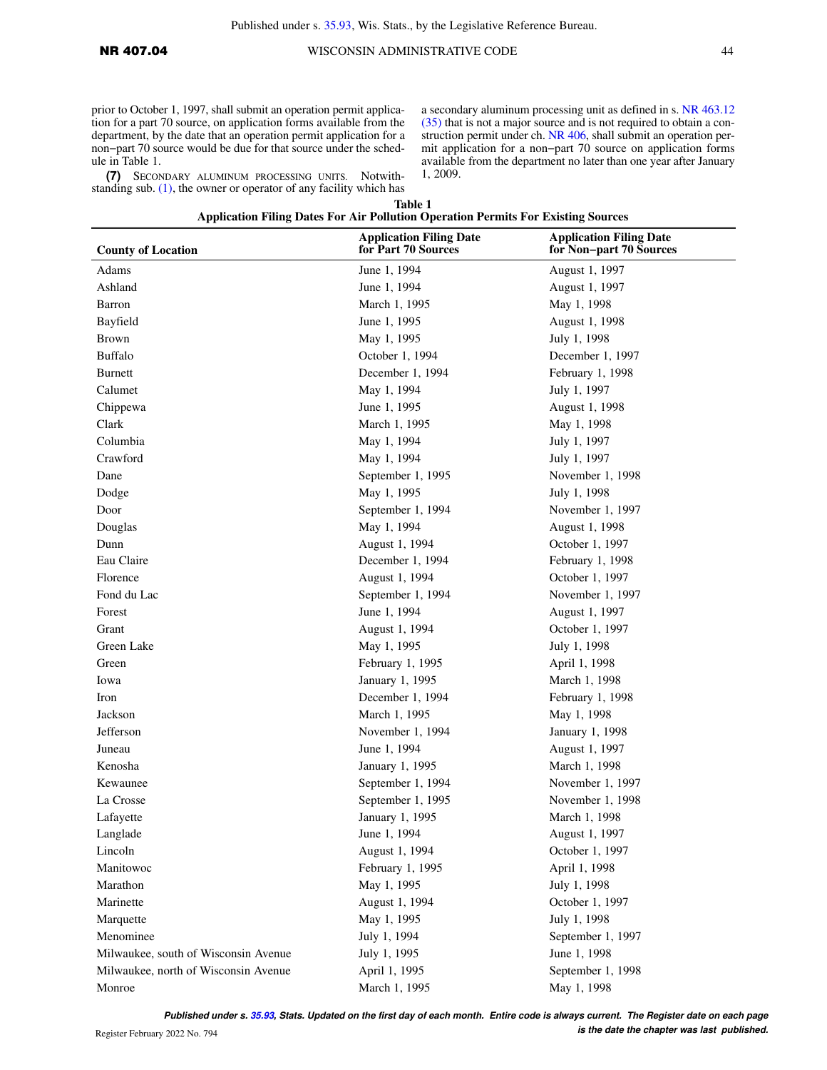prior to October 1, 1997, shall submit an operation permit application for a part 70 source, on application forms available from the department, by the date that an operation permit application for a non−part 70 source would be due for that source under the schedule in Table 1.

**(7)** SECONDARY ALUMINUM PROCESSING UNITS. Notwithstanding sub.  $(1)$ , the owner or operator of any facility which has a secondary aluminum processing unit as defined in s. [NR 463.12](https://docs-preview.legis.wisconsin.gov/document/administrativecode/NR%20463.12(35)) [\(35\)](https://docs-preview.legis.wisconsin.gov/document/administrativecode/NR%20463.12(35)) that is not a major source and is not required to obtain a con-struction permit under ch. [NR 406,](https://docs-preview.legis.wisconsin.gov/document/administrativecode/ch.%20NR%20406) shall submit an operation permit application for a non−part 70 source on application forms available from the department no later than one year after January 1, 2009.

**Table 1**

## **Application Filing Dates For Air Pollution Operation Permits For Existing Sources Application Filing Date**

| <b>County of Location</b>            | <b>Application Filing Date</b><br>for Part 70 Sources | <b>Application Filing Date</b><br>for Non-part 70 Sources |  |
|--------------------------------------|-------------------------------------------------------|-----------------------------------------------------------|--|
| Adams                                | June 1, 1994                                          | August 1, 1997                                            |  |
| Ashland                              | June 1, 1994                                          | August 1, 1997                                            |  |
| Barron                               | March 1, 1995                                         | May 1, 1998                                               |  |
| Bayfield                             | June 1, 1995                                          | August 1, 1998                                            |  |
| <b>Brown</b>                         | May 1, 1995                                           | July 1, 1998                                              |  |
| <b>Buffalo</b>                       | October 1, 1994                                       | December 1, 1997                                          |  |
| <b>Burnett</b>                       | December 1, 1994                                      | February 1, 1998                                          |  |
| Calumet                              | May 1, 1994                                           | July 1, 1997                                              |  |
| Chippewa                             | June 1, 1995                                          | August 1, 1998                                            |  |
| Clark                                | March 1, 1995                                         | May 1, 1998                                               |  |
| Columbia                             | May 1, 1994                                           | July 1, 1997                                              |  |
| Crawford                             | May 1, 1994                                           | July 1, 1997                                              |  |
| Dane                                 | September 1, 1995                                     | November 1, 1998                                          |  |
| Dodge                                | May 1, 1995                                           | July 1, 1998                                              |  |
| Door                                 | September 1, 1994                                     | November 1, 1997                                          |  |
| Douglas                              | May 1, 1994                                           | August 1, 1998                                            |  |
| Dunn                                 | August 1, 1994                                        | October 1, 1997                                           |  |
| Eau Claire                           | December 1, 1994                                      | February 1, 1998                                          |  |
| Florence                             | August 1, 1994                                        | October 1, 1997                                           |  |
| Fond du Lac                          | September 1, 1994                                     | November 1, 1997                                          |  |
| Forest                               | June 1, 1994                                          | August 1, 1997                                            |  |
| Grant                                | August 1, 1994                                        | October 1, 1997                                           |  |
| Green Lake                           | May 1, 1995                                           | July 1, 1998                                              |  |
| Green                                | February 1, 1995                                      | April 1, 1998                                             |  |
| Iowa                                 | January 1, 1995                                       | March 1, 1998                                             |  |
| Iron                                 | December 1, 1994                                      | February 1, 1998                                          |  |
| Jackson                              | March 1, 1995                                         | May 1, 1998                                               |  |
| Jefferson                            | November 1, 1994                                      | January 1, 1998                                           |  |
| Juneau                               | June 1, 1994                                          | August 1, 1997                                            |  |
| Kenosha                              | January 1, 1995                                       | March 1, 1998                                             |  |
| Kewaunee                             | September 1, 1994                                     | November 1, 1997                                          |  |
| La Crosse                            | September 1, 1995                                     | November 1, 1998                                          |  |
| Lafayette                            | January 1, 1995                                       | March 1, 1998                                             |  |
| Langlade                             | June 1, 1994                                          | August 1, 1997                                            |  |
| Lincoln                              | August 1, 1994                                        | October 1, 1997                                           |  |
| Manitowoc                            | February 1, 1995                                      | April 1, 1998                                             |  |
| Marathon                             | May 1, 1995                                           | July 1, 1998                                              |  |
| Marinette                            | August 1, 1994                                        | October 1, 1997                                           |  |
| Marquette                            | May 1, 1995                                           | July 1, 1998                                              |  |
| Menominee                            | July 1, 1994                                          | September 1, 1997                                         |  |
| Milwaukee, south of Wisconsin Avenue | July 1, 1995                                          | June 1, 1998                                              |  |
| Milwaukee, north of Wisconsin Avenue | April 1, 1995                                         | September 1, 1998                                         |  |
| Monroe                               | March 1, 1995                                         | May 1, 1998                                               |  |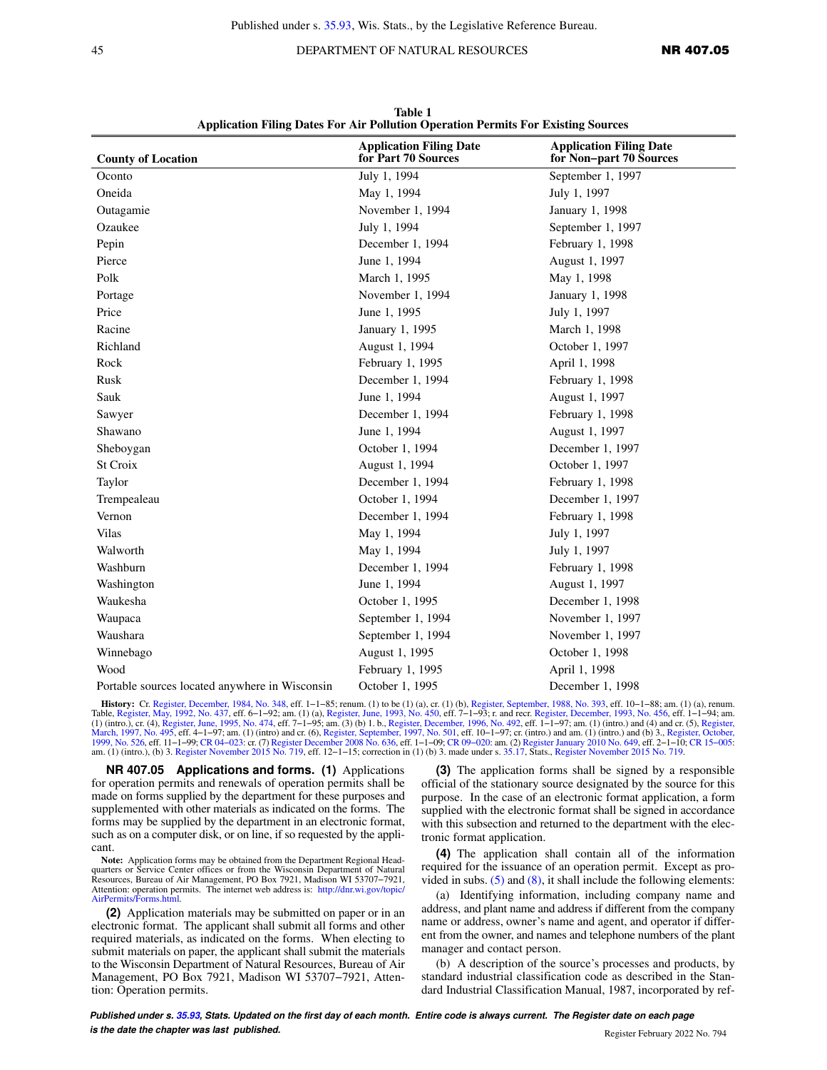## 45 DEPARTMENT OF NATURAL RESOURCES **NR 407.05**

| <b>County of Location</b>                      | <b>Application Filing Date</b><br>for Part 70 Sources | <b>Application Filing Date</b><br>for Non-part 70 Sources |
|------------------------------------------------|-------------------------------------------------------|-----------------------------------------------------------|
| Oconto                                         | July 1, 1994                                          | September 1, 1997                                         |
| Oneida                                         | May 1, 1994                                           | July 1, 1997                                              |
| Outagamie                                      | November 1, 1994                                      | January 1, 1998                                           |
| Ozaukee                                        | July 1, 1994                                          | September 1, 1997                                         |
| Pepin                                          | December 1, 1994                                      | February 1, 1998                                          |
| Pierce                                         | June 1, 1994                                          | August 1, 1997                                            |
| Polk                                           | March 1, 1995                                         | May 1, 1998                                               |
| Portage                                        | November 1, 1994                                      | January 1, 1998                                           |
| Price                                          | June 1, 1995                                          | July 1, 1997                                              |
| Racine                                         | January 1, 1995                                       | March 1, 1998                                             |
| Richland                                       | August 1, 1994                                        | October 1, 1997                                           |
| Rock                                           | February 1, 1995                                      | April 1, 1998                                             |
| Rusk                                           | December 1, 1994                                      | February 1, 1998                                          |
| Sauk                                           | June 1, 1994                                          | August 1, 1997                                            |
| Sawyer                                         | December 1, 1994                                      | February 1, 1998                                          |
| Shawano                                        | June 1, 1994                                          | August 1, 1997                                            |
| Sheboygan                                      | October 1, 1994                                       | December 1, 1997                                          |
| St Croix                                       | August 1, 1994                                        | October 1, 1997                                           |
| Taylor                                         | December 1, 1994                                      | February 1, 1998                                          |
| Trempealeau                                    | October 1, 1994                                       | December 1, 1997                                          |
| Vernon                                         | December 1, 1994                                      | February 1, 1998                                          |
| Vilas                                          | May 1, 1994                                           | July 1, 1997                                              |
| Walworth                                       | May 1, 1994                                           | July 1, 1997                                              |
| Washburn                                       | December 1, 1994                                      | February 1, 1998                                          |
| Washington                                     | June 1, 1994                                          | August 1, 1997                                            |
| Waukesha                                       | October 1, 1995                                       | December 1, 1998                                          |
| Waupaca                                        | September 1, 1994                                     | November 1, 1997                                          |
| Waushara                                       | September 1, 1994                                     | November 1, 1997                                          |
| Winnebago                                      | August 1, 1995                                        | October 1, 1998                                           |
| Wood                                           | February 1, 1995                                      | April 1, 1998                                             |
| Portable sources located anywhere in Wisconsin | October 1, 1995                                       | December 1, 1998                                          |

**Table 1 Application Filing Dates For Air Pollution Operation Permits For Existing Sources**

**History:** Cr. [Register, December, 1984, No. 348,](https://docs-preview.legis.wisconsin.gov/document/register/348/B/toc) eff. 1-1-85; renum. (1) to be (1) (a), cr. (1) (b), [Register, September, 1988, No. 393,](https://docs-preview.legis.wisconsin.gov/document/register/393/B/toc) eff. 10-1-88; am. (1) (a), renum. Table, [Register, May, 1992, No. 437](https://docs-preview.legis.wisconsin.gov/document/register/437/B/toc), eff. 6-1-92; (1) (intro.), cr. (4), [Register, June, 1995, No. 474](https://docs-preview.legis.wisconsin.gov/document/register/474/B/toc), eff. 7–1–95; am. (3) (b) 1. b., [Register, December, 1996, No. 492,](https://docs-preview.legis.wisconsin.gov/document/register/492/B/toc) eff. 1–1–97; am. (1) (intro.) and (4) and cr. (5), [Register,](https://docs-preview.legis.wisconsin.gov/document/register/495/B/toc) June, 1995, No. 474, eff. 7–1–95; am. (3

**NR 407.05 Applications and forms. (1)** Applications for operation permits and renewals of operation permits shall be made on forms supplied by the department for these purposes and supplemented with other materials as indicated on the forms. The forms may be supplied by the department in an electronic format, such as on a computer disk, or on line, if so requested by the applicant.

**Note:** Application forms may be obtained from the Department Regional Headquarters or Service Center offices or from the Wisconsin Department of Natural Resources, Bureau of Air Management, PO Box 7921, Madison WI 53707−7921, Attention: operation permits. The internet web address is: [http://dnr.wi.gov/topic/](http://dnr.wi.gov/topic/AirPermits/Forms.html) [AirPermits/Forms.html.](http://dnr.wi.gov/topic/AirPermits/Forms.html)

**(2)** Application materials may be submitted on paper or in an electronic format. The applicant shall submit all forms and other required materials, as indicated on the forms. When electing to submit materials on paper, the applicant shall submit the materials to the Wisconsin Department of Natural Resources, Bureau of Air Management, PO Box 7921, Madison WI 53707−7921, Attention: Operation permits.

**(3)** The application forms shall be signed by a responsible official of the stationary source designated by the source for this purpose. In the case of an electronic format application, a form supplied with the electronic format shall be signed in accordance with this subsection and returned to the department with the electronic format application.

**(4)** The application shall contain all of the information required for the issuance of an operation permit. Except as provided in subs.  $(5)$  and  $(8)$ , it shall include the following elements:

(a) Identifying information, including company name and address, and plant name and address if different from the company name or address, owner's name and agent, and operator if different from the owner, and names and telephone numbers of the plant manager and contact person.

(b) A description of the source's processes and products, by standard industrial classification code as described in the Standard Industrial Classification Manual, 1987, incorporated by ref-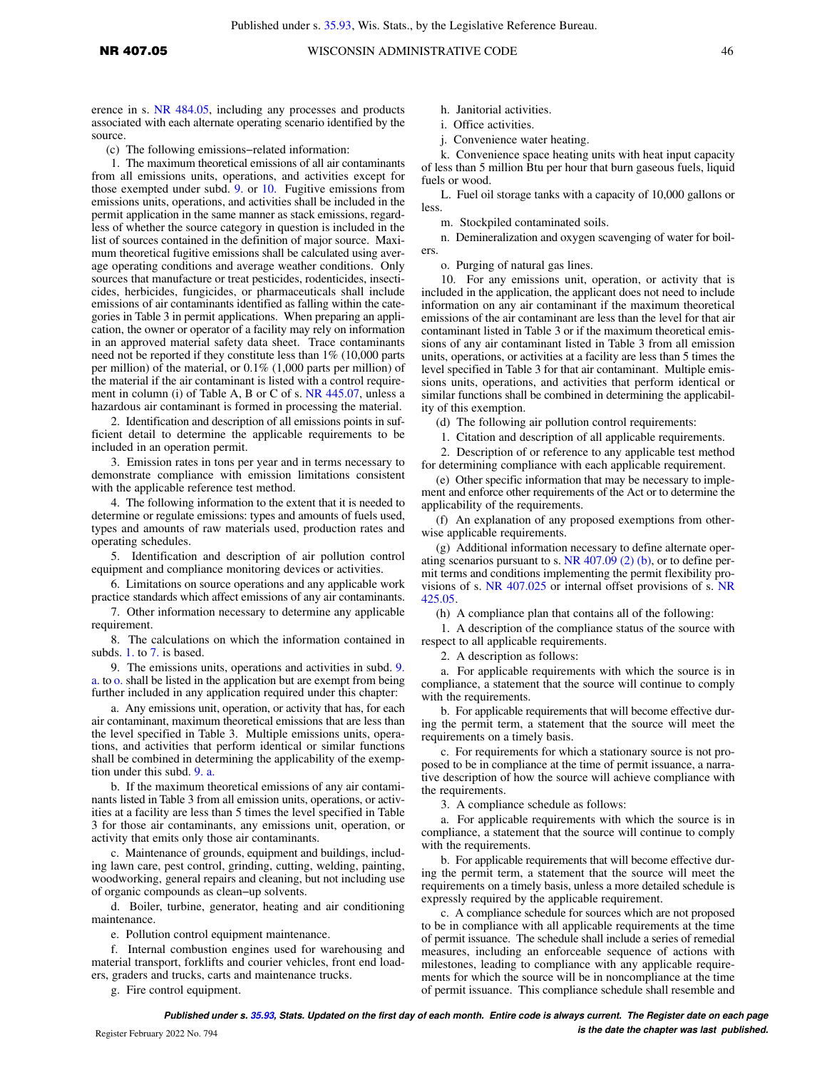erence in s. [NR 484.05,](https://docs-preview.legis.wisconsin.gov/document/administrativecode/NR%20484.05) including any processes and products associated with each alternate operating scenario identified by the source.

(c) The following emissions−related information:

1. The maximum theoretical emissions of all air contaminants from all emissions units, operations, and activities except for those exempted under subd. [9.](https://docs-preview.legis.wisconsin.gov/document/administrativecode/NR%20407.05(4)(c)9.) or [10.](https://docs-preview.legis.wisconsin.gov/document/administrativecode/NR%20407.05(4)(c)10.) Fugitive emissions from emissions units, operations, and activities shall be included in the permit application in the same manner as stack emissions, regardless of whether the source category in question is included in the list of sources contained in the definition of major source. Maximum theoretical fugitive emissions shall be calculated using average operating conditions and average weather conditions. Only sources that manufacture or treat pesticides, rodenticides, insecticides, herbicides, fungicides, or pharmaceuticals shall include emissions of air contaminants identified as falling within the categories in Table 3 in permit applications. When preparing an application, the owner or operator of a facility may rely on information in an approved material safety data sheet. Trace contaminants need not be reported if they constitute less than 1% (10,000 parts per million) of the material, or 0.1% (1,000 parts per million) of the material if the air contaminant is listed with a control requirement in column (i) of Table A, B or C of s. [NR 445.07](https://docs-preview.legis.wisconsin.gov/document/administrativecode/NR%20445.07), unless a hazardous air contaminant is formed in processing the material.

2. Identification and description of all emissions points in sufficient detail to determine the applicable requirements to be included in an operation permit.

3. Emission rates in tons per year and in terms necessary to demonstrate compliance with emission limitations consistent with the applicable reference test method.

4. The following information to the extent that it is needed to determine or regulate emissions: types and amounts of fuels used, types and amounts of raw materials used, production rates and operating schedules.

5. Identification and description of air pollution control equipment and compliance monitoring devices or activities.

6. Limitations on source operations and any applicable work practice standards which affect emissions of any air contaminants.

7. Other information necessary to determine any applicable requirement.

8. The calculations on which the information contained in subds. [1.](https://docs-preview.legis.wisconsin.gov/document/administrativecode/NR%20407.05(4)(c)1.) to [7.](https://docs-preview.legis.wisconsin.gov/document/administrativecode/NR%20407.05(4)(c)7.) is based.

9. The emissions units, operations and activities in subd. [9.](https://docs-preview.legis.wisconsin.gov/document/administrativecode/NR%20407.05(4)(c)9.a.) [a.](https://docs-preview.legis.wisconsin.gov/document/administrativecode/NR%20407.05(4)(c)9.a.) to [o.](https://docs-preview.legis.wisconsin.gov/document/administrativecode/NR%20407.05(4)(c)9.o.) shall be listed in the application but are exempt from being further included in any application required under this chapter:

a. Any emissions unit, operation, or activity that has, for each air contaminant, maximum theoretical emissions that are less than the level specified in Table 3. Multiple emissions units, operations, and activities that perform identical or similar functions shall be combined in determining the applicability of the exemption under this subd. [9. a.](https://docs-preview.legis.wisconsin.gov/document/administrativecode/NR%20407.05(4)(c)9.a.)

b. If the maximum theoretical emissions of any air contaminants listed in Table 3 from all emission units, operations, or activities at a facility are less than 5 times the level specified in Table 3 for those air contaminants, any emissions unit, operation, or activity that emits only those air contaminants.

c. Maintenance of grounds, equipment and buildings, including lawn care, pest control, grinding, cutting, welding, painting, woodworking, general repairs and cleaning, but not including use of organic compounds as clean−up solvents.

d. Boiler, turbine, generator, heating and air conditioning maintenance.

e. Pollution control equipment maintenance.

f. Internal combustion engines used for warehousing and material transport, forklifts and courier vehicles, front end loaders, graders and trucks, carts and maintenance trucks.

g. Fire control equipment.

h. Janitorial activities.

- i. Office activities.
- j. Convenience water heating.

k. Convenience space heating units with heat input capacity of less than 5 million Btu per hour that burn gaseous fuels, liquid fuels or wood.

L. Fuel oil storage tanks with a capacity of 10,000 gallons or less.

m. Stockpiled contaminated soils.

n. Demineralization and oxygen scavenging of water for boilers.

o. Purging of natural gas lines.

10. For any emissions unit, operation, or activity that is included in the application, the applicant does not need to include information on any air contaminant if the maximum theoretical emissions of the air contaminant are less than the level for that air contaminant listed in Table 3 or if the maximum theoretical emissions of any air contaminant listed in Table 3 from all emission units, operations, or activities at a facility are less than 5 times the level specified in Table 3 for that air contaminant. Multiple emissions units, operations, and activities that perform identical or similar functions shall be combined in determining the applicability of this exemption.

(d) The following air pollution control requirements:

1. Citation and description of all applicable requirements.

2. Description of or reference to any applicable test method for determining compliance with each applicable requirement.

(e) Other specific information that may be necessary to implement and enforce other requirements of the Act or to determine the applicability of the requirements.

(f) An explanation of any proposed exemptions from otherwise applicable requirements.

(g) Additional information necessary to define alternate operating scenarios pursuant to s.  $NR$  407.09 (2) (b), or to define permit terms and conditions implementing the permit flexibility provisions of s. [NR 407.025](https://docs-preview.legis.wisconsin.gov/document/administrativecode/NR%20407.025) or internal offset provisions of s. [NR](https://docs-preview.legis.wisconsin.gov/document/administrativecode/NR%20425.05) [425.05](https://docs-preview.legis.wisconsin.gov/document/administrativecode/NR%20425.05).

(h) A compliance plan that contains all of the following:

1. A description of the compliance status of the source with respect to all applicable requirements.

2. A description as follows:

a. For applicable requirements with which the source is in compliance, a statement that the source will continue to comply with the requirements.

b. For applicable requirements that will become effective during the permit term, a statement that the source will meet the requirements on a timely basis.

c. For requirements for which a stationary source is not proposed to be in compliance at the time of permit issuance, a narrative description of how the source will achieve compliance with the requirements.

3. A compliance schedule as follows:

a. For applicable requirements with which the source is in compliance, a statement that the source will continue to comply with the requirements.

b. For applicable requirements that will become effective during the permit term, a statement that the source will meet the requirements on a timely basis, unless a more detailed schedule is expressly required by the applicable requirement.

c. A compliance schedule for sources which are not proposed to be in compliance with all applicable requirements at the time of permit issuance. The schedule shall include a series of remedial measures, including an enforceable sequence of actions with milestones, leading to compliance with any applicable requirements for which the source will be in noncompliance at the time of permit issuance. This compliance schedule shall resemble and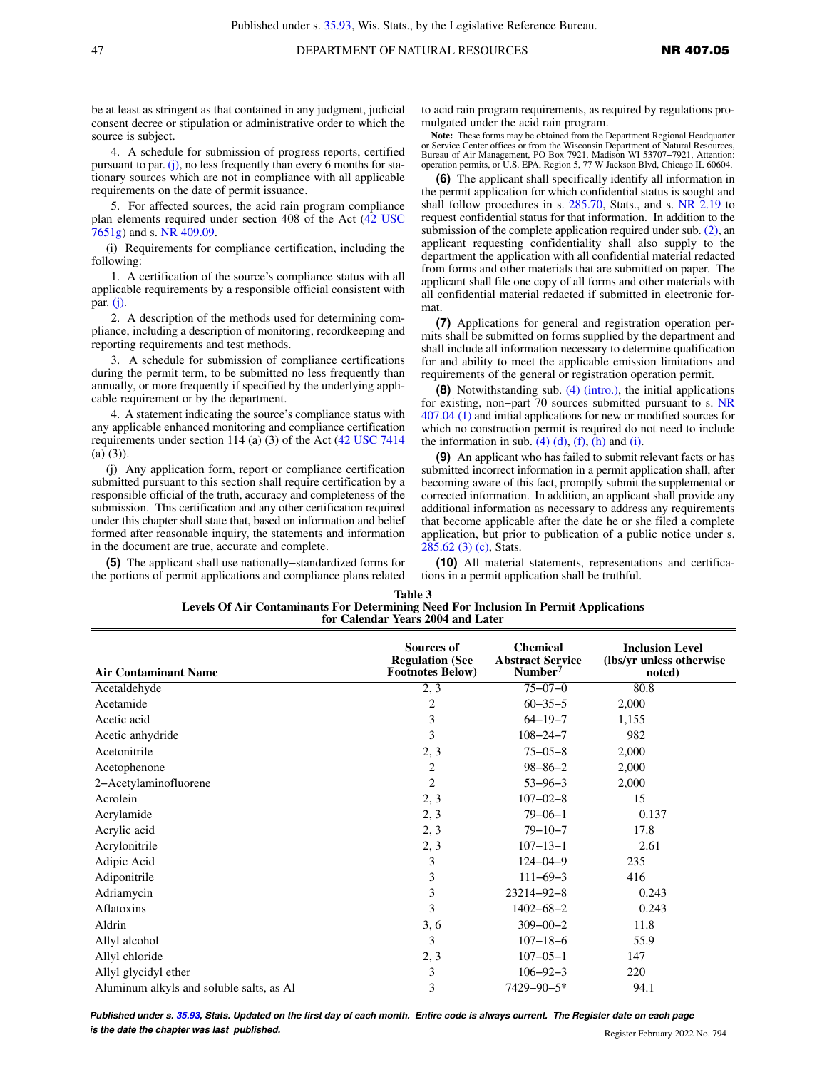be at least as stringent as that contained in any judgment, judicial consent decree or stipulation or administrative order to which the source is subject.

4. A schedule for submission of progress reports, certified pursuant to par.  $(i)$ , no less frequently than every 6 months for stationary sources which are not in compliance with all applicable requirements on the date of permit issuance.

5. For affected sources, the acid rain program compliance plan elements required under section 408 of the Act [\(42 USC](https://docs-preview.legis.wisconsin.gov/document/usc/42%20USC%207651g) [7651g](https://docs-preview.legis.wisconsin.gov/document/usc/42%20USC%207651g)) and s. [NR 409.09.](https://docs-preview.legis.wisconsin.gov/document/administrativecode/NR%20409.09)

(i) Requirements for compliance certification, including the following:

1. A certification of the source's compliance status with all applicable requirements by a responsible official consistent with par.  $(i)$ .

2. A description of the methods used for determining compliance, including a description of monitoring, recordkeeping and reporting requirements and test methods.

3. A schedule for submission of compliance certifications during the permit term, to be submitted no less frequently than annually, or more frequently if specified by the underlying applicable requirement or by the department.

4. A statement indicating the source's compliance status with any applicable enhanced monitoring and compliance certification requirements under section 114 (a) (3) of the Act ([42 USC 7414](https://docs-preview.legis.wisconsin.gov/document/usc/42%20USC%207414) (a) (3)).

(j) Any application form, report or compliance certification submitted pursuant to this section shall require certification by a responsible official of the truth, accuracy and completeness of the submission. This certification and any other certification required under this chapter shall state that, based on information and belief formed after reasonable inquiry, the statements and information in the document are true, accurate and complete.

**(5)** The applicant shall use nationally−standardized forms for the portions of permit applications and compliance plans related to acid rain program requirements, as required by regulations promulgated under the acid rain program.

**Note:** These forms may be obtained from the Department Regional Headquarter or Service Center offices or from the Wisconsin Department of Natural Resources, Bureau of Air Management, PO Box 7921, Madison WI 53707−7921, Attention: operation permits, or U.S. EPA, Region 5, 77 W Jackson Blvd, Chicago IL 60604.

**(6)** The applicant shall specifically identify all information in the permit application for which confidential status is sought and shall follow procedures in s. [285.70](https://docs-preview.legis.wisconsin.gov/document/statutes/285.70), Stats., and s. [NR 2.19](https://docs-preview.legis.wisconsin.gov/document/administrativecode/NR%202.19) to request confidential status for that information. In addition to the submission of the complete application required under sub. [\(2\)](https://docs-preview.legis.wisconsin.gov/document/administrativecode/NR%20407.05(2)), an applicant requesting confidentiality shall also supply to the department the application with all confidential material redacted from forms and other materials that are submitted on paper. The applicant shall file one copy of all forms and other materials with all confidential material redacted if submitted in electronic format.

**(7)** Applications for general and registration operation permits shall be submitted on forms supplied by the department and shall include all information necessary to determine qualification for and ability to meet the applicable emission limitations and requirements of the general or registration operation permit.

**(8)** Notwithstanding sub. [\(4\) \(intro.\),](https://docs-preview.legis.wisconsin.gov/document/administrativecode/NR%20407.05(4)(intro.)) the initial applications for existing, non−part 70 sources submitted pursuant to s. [NR](https://docs-preview.legis.wisconsin.gov/document/administrativecode/NR%20407.04(1)) [407.04 \(1\)](https://docs-preview.legis.wisconsin.gov/document/administrativecode/NR%20407.04(1)) and initial applications for new or modified sources for which no construction permit is required do not need to include the information in sub.  $(4)$   $(d)$ ,  $(f)$ ,  $(h)$  and  $(i)$ .

**(9)** An applicant who has failed to submit relevant facts or has submitted incorrect information in a permit application shall, after becoming aware of this fact, promptly submit the supplemental or corrected information. In addition, an applicant shall provide any additional information as necessary to address any requirements that become applicable after the date he or she filed a complete application, but prior to publication of a public notice under s. [285.62 \(3\) \(c\)](https://docs-preview.legis.wisconsin.gov/document/statutes/285.62(3)(c)), Stats.

**(10)** All material statements, representations and certifications in a permit application shall be truthful.

| Table 3                                                                              |  |
|--------------------------------------------------------------------------------------|--|
| Levels Of Air Contaminants For Determining Need For Inclusion In Permit Applications |  |
| for Calendar Years 2004 and Later                                                    |  |

| <b>Air Contaminant Name</b>              | <b>Sources of</b><br><b>Regulation (See</b><br><b>Footnotes Below)</b> | <b>Chemical</b><br><b>Abstract Service</b><br>Number <sup>7</sup> | <b>Inclusion Level</b><br>(lbs/yr unless otherwise<br>noted) |
|------------------------------------------|------------------------------------------------------------------------|-------------------------------------------------------------------|--------------------------------------------------------------|
| Acetaldehyde                             | 2, 3                                                                   | $75 - 07 - 0$                                                     | 80.8                                                         |
| Acetamide                                | $\overline{2}$                                                         | $60 - 35 - 5$                                                     | 2,000                                                        |
| Acetic acid                              | 3                                                                      | $64 - 19 - 7$                                                     | 1,155                                                        |
| Acetic anhydride                         | 3                                                                      | $108 - 24 - 7$                                                    | 982                                                          |
| Acetonitrile                             | 2, 3                                                                   | $75 - 05 - 8$                                                     | 2,000                                                        |
| Acetophenone                             | 2                                                                      | $98 - 86 - 2$                                                     | 2,000                                                        |
| 2-Acetylaminofluorene                    | 2                                                                      | $53 - 96 - 3$                                                     | 2,000                                                        |
| Acrolein                                 | 2, 3                                                                   | $107 - 02 - 8$                                                    | 15                                                           |
| Acrylamide                               | 2, 3                                                                   | $79 - 06 - 1$                                                     | 0.137                                                        |
| Acrylic acid                             | 2, 3                                                                   | $79 - 10 - 7$                                                     | 17.8                                                         |
| Acrylonitrile                            | 2, 3                                                                   | $107 - 13 - 1$                                                    | 2.61                                                         |
| Adipic Acid                              | 3                                                                      | $124 - 04 - 9$                                                    | 235                                                          |
| Adiponitrile                             | 3                                                                      | $111 - 69 - 3$                                                    | 416                                                          |
| Adriamycin                               | 3                                                                      | 23214-92-8                                                        | 0.243                                                        |
| Aflatoxins                               | 3                                                                      | $1402 - 68 - 2$                                                   | 0.243                                                        |
| Aldrin                                   | 3, 6                                                                   | $309 - 00 - 2$                                                    | 11.8                                                         |
| Allyl alcohol                            | 3                                                                      | $107 - 18 - 6$                                                    | 55.9                                                         |
| Allyl chloride                           | 2, 3                                                                   | $107 - 05 - 1$                                                    | 147                                                          |
| Allyl glycidyl ether                     | 3                                                                      | $106 - 92 - 3$                                                    | 220                                                          |
| Aluminum alkyls and soluble salts, as Al | 3                                                                      | 7429-90-5*                                                        | 94.1                                                         |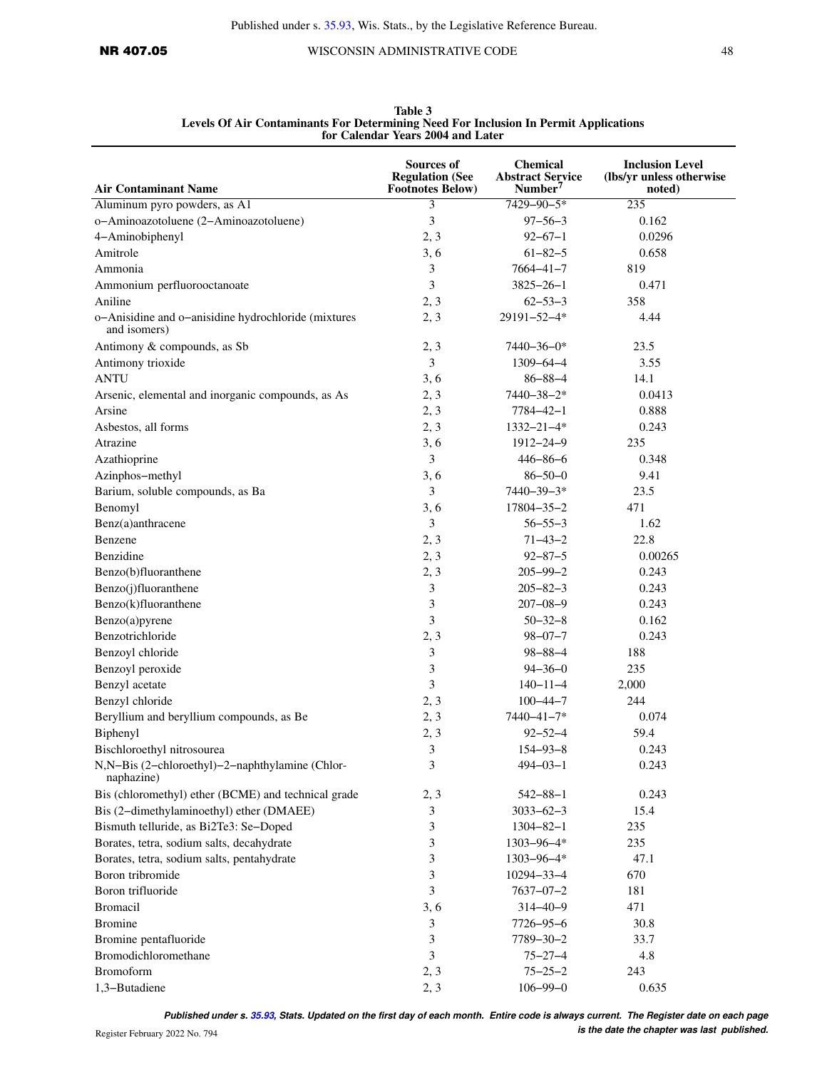| <b>Air Contaminant Name</b>                                                                 | Sources of<br><b>Regulation (See</b><br><b>Footnotes Below)</b> | <b>Chemical</b><br><b>Abstract Service</b><br>Number <sup>7</sup> | <b>Inclusion Level</b><br>(lbs/yr unless otherwise<br>noted) |
|---------------------------------------------------------------------------------------------|-----------------------------------------------------------------|-------------------------------------------------------------------|--------------------------------------------------------------|
| Aluminum pyro powders, as A1                                                                | 3                                                               | $7429 - 90 - 5*$                                                  | 235                                                          |
| o-Aminoazotoluene (2-Aminoazotoluene)                                                       | 3                                                               | $97 - 56 - 3$                                                     | 0.162                                                        |
| 4-Aminobiphenyl                                                                             | 2, 3                                                            | $92 - 67 - 1$                                                     | 0.0296                                                       |
| Amitrole                                                                                    | 3, 6                                                            | $61 - 82 - 5$                                                     | 0.658                                                        |
|                                                                                             | 3                                                               | $7664 - 41 - 7$                                                   | 819                                                          |
| Ammonia                                                                                     | 3                                                               | $3825 - 26 - 1$                                                   | 0.471                                                        |
| Ammonium perfluorooctanoate                                                                 |                                                                 |                                                                   |                                                              |
| Aniline<br>o-Anisidine and o-anisidine hydrochloride (mixtures<br>and isomers)              | 2, 3<br>2, 3                                                    | $62 - 53 - 3$<br>29191-52-4*                                      | 358<br>4.44                                                  |
| Antimony & compounds, as Sb                                                                 | 2, 3                                                            | $7440 - 36 - 0*$                                                  | 23.5                                                         |
| Antimony trioxide                                                                           | 3                                                               | $1309 - 64 - 4$                                                   | 3.55                                                         |
| <b>ANTU</b>                                                                                 | 3, 6                                                            | $86 - 88 - 4$                                                     | 14.1                                                         |
| Arsenic, elemental and inorganic compounds, as As                                           | 2, 3                                                            | 7440-38-2*                                                        | 0.0413                                                       |
| Arsine                                                                                      | 2, 3                                                            | $7784 - 42 - 1$                                                   | 0.888                                                        |
| Asbestos, all forms                                                                         | 2, 3                                                            | $1332 - 21 - 4*$                                                  | 0.243                                                        |
| Atrazine                                                                                    | 3, 6                                                            | 1912-24-9                                                         | 235                                                          |
| Azathioprine                                                                                | 3                                                               | $446 - 86 - 6$                                                    | 0.348                                                        |
| Azinphos-methyl                                                                             | 3, 6                                                            | $86 - 50 - 0$                                                     | 9.41                                                         |
| Barium, soluble compounds, as Ba                                                            | 3                                                               | 7440-39-3*                                                        | 23.5                                                         |
| Benomyl                                                                                     | 3, 6                                                            | $17804 - 35 - 2$                                                  | 471                                                          |
| Benz(a)anthracene                                                                           | 3                                                               | $56 - 55 - 3$                                                     | 1.62                                                         |
| Benzene                                                                                     | 2, 3                                                            | $71 - 43 - 2$                                                     | 22.8                                                         |
| Benzidine                                                                                   | 2, 3                                                            | $92 - 87 - 5$                                                     | 0.00265                                                      |
| Benzo(b)fluoranthene                                                                        | 2, 3                                                            | $205 - 99 - 2$                                                    | 0.243                                                        |
| Benzo(j)fluoranthene                                                                        | 3                                                               | $205 - 82 - 3$                                                    | 0.243                                                        |
| Benzo(k)fluoranthene                                                                        | 3                                                               | $207 - 08 - 9$                                                    | 0.243                                                        |
| Benzo(a)pyrene                                                                              | 3                                                               | $50 - 32 - 8$                                                     | 0.162                                                        |
| Benzotrichloride                                                                            | 2, 3                                                            | $98 - 07 - 7$                                                     | 0.243                                                        |
| Benzoyl chloride                                                                            | 3                                                               | $98 - 88 - 4$                                                     | 188                                                          |
| Benzoyl peroxide                                                                            | 3                                                               | $94 - 36 - 0$                                                     | 235                                                          |
| Benzyl acetate                                                                              | 3                                                               | $140 - 11 - 4$                                                    | 2,000                                                        |
| Benzyl chloride                                                                             |                                                                 |                                                                   |                                                              |
|                                                                                             | 2, 3                                                            | $100 - 44 - 7$                                                    | 244                                                          |
| Beryllium and beryllium compounds, as Be                                                    | 2, 3                                                            | 7440-41-7*                                                        | 0.074                                                        |
| Biphenyl                                                                                    | 2, 3                                                            | $92 - 52 - 4$                                                     | 59.4                                                         |
| Bischloroethyl nitrosourea<br>N,N-Bis (2-chloroethyl)-2-naphthylamine (Chlor-<br>naphazine) | 3<br>3                                                          | $154 - 93 - 8$<br>$494 - 03 - 1$                                  | 0.243<br>0.243                                               |
| Bis (chloromethyl) ether (BCME) and technical grade                                         | 2, 3                                                            | $542 - 88 - 1$                                                    | 0.243                                                        |
| Bis (2-dimethylaminoethyl) ether (DMAEE)                                                    | 3                                                               | $3033 - 62 - 3$                                                   | 15.4                                                         |
| Bismuth telluride, as Bi2Te3: Se-Doped                                                      | 3                                                               | $1304 - 82 - 1$                                                   | 235                                                          |
| Borates, tetra, sodium salts, decahydrate                                                   | 3                                                               | 1303-96-4*                                                        | 235                                                          |
| Borates, tetra, sodium salts, pentahydrate                                                  | 3                                                               | $1303 - 96 - 4*$                                                  | 47.1                                                         |
| Boron tribromide                                                                            | 3                                                               | $10294 - 33 - 4$                                                  | 670                                                          |
| Boron trifluoride                                                                           | 3                                                               | $7637 - 07 - 2$                                                   | 181                                                          |
| Bromacil                                                                                    | 3, 6                                                            | $314 - 40 - 9$                                                    | 471                                                          |
| <b>Bromine</b>                                                                              | 3                                                               | $7726 - 95 - 6$                                                   | 30.8                                                         |
| Bromine pentafluoride                                                                       | 3                                                               | 7789-30-2                                                         | 33.7                                                         |
| Bromodichloromethane                                                                        | 3                                                               | $75 - 27 - 4$                                                     | 4.8                                                          |
| Bromoform                                                                                   | 2, 3                                                            | $75 - 25 - 2$                                                     | 243                                                          |
| 1,3-Butadiene                                                                               | 2, 3                                                            | $106 - 99 - 0$                                                    | 0.635                                                        |
|                                                                                             |                                                                 |                                                                   |                                                              |

**Table 3 Levels Of Air Contaminants For Determining Need For Inclusion In Permit Applications for Calendar Years 2004 and Later**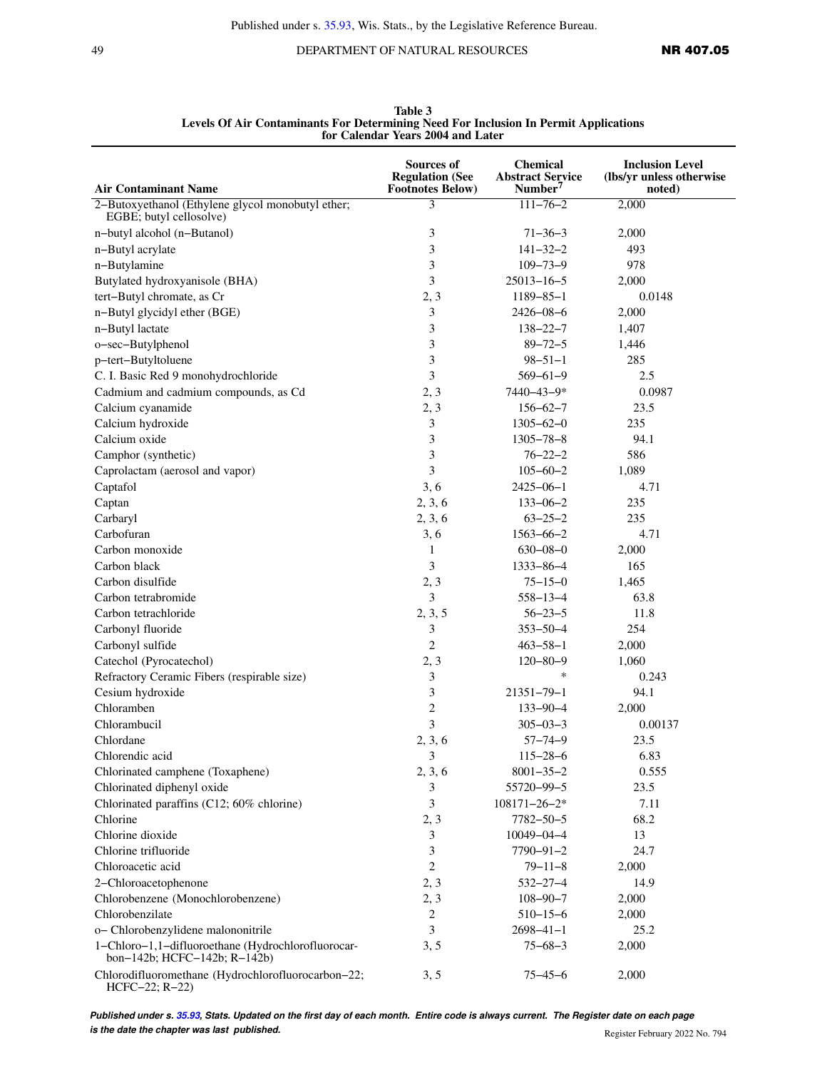49 DEPARTMENT OF NATURAL RESOURCES **NR 407.05** 

| <b>Air Contaminant Name</b>                                                        | <b>Sources of</b><br><b>Regulation (See</b><br><b>Footnotes Below)</b> | <b>Chemical</b><br><b>Abstract Service</b><br>Number <sup>7</sup> | <b>Inclusion Level</b><br>(lbs/yr unless otherwise)<br>noted) |
|------------------------------------------------------------------------------------|------------------------------------------------------------------------|-------------------------------------------------------------------|---------------------------------------------------------------|
| 2-Butoxyethanol (Ethylene glycol monobutyl ether;                                  | 3                                                                      | $111 - 76 - 2$                                                    | 2,000                                                         |
| EGBE; butyl cellosolve)                                                            |                                                                        |                                                                   |                                                               |
| n-butyl alcohol (n-Butanol)                                                        | 3                                                                      | $71 - 36 - 3$                                                     | 2,000                                                         |
| n-Butyl acrylate                                                                   | 3                                                                      | $141 - 32 - 2$                                                    | 493                                                           |
| n-Butylamine                                                                       | 3                                                                      | $109 - 73 - 9$                                                    | 978                                                           |
| Butylated hydroxyanisole (BHA)                                                     | 3                                                                      | $25013 - 16 - 5$                                                  | 2,000                                                         |
| tert-Butyl chromate, as Cr                                                         | 2, 3                                                                   | $1189 - 85 - 1$                                                   | 0.0148                                                        |
| n-Butyl glycidyl ether (BGE)                                                       | 3                                                                      | $2426 - 08 - 6$                                                   | 2,000                                                         |
| n-Butyl lactate                                                                    | 3                                                                      | $138 - 22 - 7$                                                    | 1,407                                                         |
| o-sec-Butylphenol                                                                  | 3                                                                      | $89 - 72 - 5$                                                     | 1,446                                                         |
| p-tert-Butyltoluene                                                                | 3                                                                      | $98 - 51 - 1$                                                     | 285                                                           |
| C. I. Basic Red 9 monohydrochloride                                                | 3                                                                      | $569 - 61 - 9$                                                    | 2.5                                                           |
| Cadmium and cadmium compounds, as Cd                                               | 2, 3                                                                   | 7440-43-9*                                                        | 0.0987                                                        |
| Calcium cyanamide                                                                  | 2, 3                                                                   | $156 - 62 - 7$                                                    | 23.5                                                          |
| Calcium hydroxide                                                                  | 3                                                                      | $1305 - 62 - 0$                                                   | 235                                                           |
| Calcium oxide                                                                      | 3                                                                      | $1305 - 78 - 8$                                                   | 94.1                                                          |
| Camphor (synthetic)                                                                | 3                                                                      | $76 - 22 - 2$                                                     | 586                                                           |
| Caprolactam (aerosol and vapor)                                                    | 3                                                                      | $105 - 60 - 2$                                                    | 1,089                                                         |
| Captafol                                                                           | 3, 6                                                                   | $2425 - 06 - 1$                                                   | 4.71                                                          |
| Captan                                                                             | 2, 3, 6                                                                | $133 - 06 - 2$                                                    | 235                                                           |
| Carbaryl                                                                           | 2, 3, 6                                                                | $63 - 25 - 2$                                                     | 235                                                           |
| Carbofuran                                                                         | 3, 6                                                                   | $1563 - 66 - 2$                                                   | 4.71                                                          |
| Carbon monoxide                                                                    | 1                                                                      | $630 - 08 - 0$                                                    | 2,000                                                         |
| Carbon black                                                                       | 3                                                                      | $1333 - 86 - 4$                                                   | 165                                                           |
| Carbon disulfide                                                                   | 2, 3                                                                   | $75 - 15 - 0$                                                     | 1,465                                                         |
| Carbon tetrabromide                                                                | 3                                                                      | $558 - 13 - 4$                                                    | 63.8                                                          |
| Carbon tetrachloride                                                               | 2, 3, 5                                                                | $56 - 23 - 5$                                                     | 11.8                                                          |
| Carbonyl fluoride                                                                  | 3                                                                      | $353 - 50 - 4$                                                    | 254                                                           |
| Carbonyl sulfide                                                                   | $\overline{2}$                                                         | $463 - 58 - 1$                                                    | 2,000                                                         |
| Catechol (Pyrocatechol)                                                            | 2, 3                                                                   | $120 - 80 - 9$                                                    | 1,060                                                         |
| Refractory Ceramic Fibers (respirable size)                                        | 3                                                                      | *                                                                 | 0.243                                                         |
| Cesium hydroxide                                                                   | 3                                                                      | $21351 - 79 - 1$                                                  | 94.1                                                          |
| Chloramben                                                                         | $\overline{c}$                                                         | $133 - 90 - 4$                                                    | 2,000                                                         |
| Chlorambucil                                                                       | 3                                                                      | $305 - 03 - 3$                                                    | 0.00137                                                       |
| Chlordane                                                                          | 2, 3, 6                                                                | $57 - 74 - 9$                                                     | 23.5                                                          |
| Chlorendic acid                                                                    | 3                                                                      | $115 - 28 - 6$                                                    | 6.83                                                          |
| Chlorinated camphene (Toxaphene)                                                   | 2, 3, 6                                                                | $8001 - 35 - 2$                                                   | 0.555                                                         |
| Chlorinated diphenyl oxide                                                         | 3                                                                      | 55720-99-5                                                        | 23.5                                                          |
| Chlorinated paraffins (C12; 60% chlorine)                                          | 3                                                                      | $108171 - 26 - 2*$                                                | 7.11                                                          |
| Chlorine                                                                           | 2, 3                                                                   | $7782 - 50 - 5$                                                   | 68.2                                                          |
| Chlorine dioxide                                                                   | 3                                                                      | $10049 - 04 - 4$                                                  | 13                                                            |
| Chlorine trifluoride                                                               | 3                                                                      | $7790 - 91 - 2$                                                   | 24.7                                                          |
| Chloroacetic acid                                                                  | $\mathbf{2}$                                                           | $79 - 11 - 8$                                                     | 2,000                                                         |
| 2-Chloroacetophenone                                                               | 2, 3                                                                   | $532 - 27 - 4$                                                    | 14.9                                                          |
| Chlorobenzene (Monochlorobenzene)                                                  | 2, 3                                                                   | $108 - 90 - 7$                                                    | 2,000                                                         |
| Chlorobenzilate                                                                    | $\overline{2}$                                                         | $510 - 15 - 6$                                                    | 2,000                                                         |
| o- Chlorobenzylidene malononitrile                                                 | 3                                                                      | $2698 - 41 - 1$                                                   | 25.2                                                          |
| 1-Chloro-1,1-difluoroethane (Hydrochlorofluorocar-<br>bon-142b; HCFC-142b; R-142b) | 3, 5                                                                   | $75 - 68 - 3$                                                     | 2,000                                                         |
| Chlorodifluoromethane (Hydrochlorofluorocarbon-22;<br>$HCFC-22; R-22)$             | 3, 5                                                                   | $75 - 45 - 6$                                                     | 2,000                                                         |

**Table 3 Levels Of Air Contaminants For Determining Need For Inclusion In Permit Applications for Calendar Years 2004 and Later**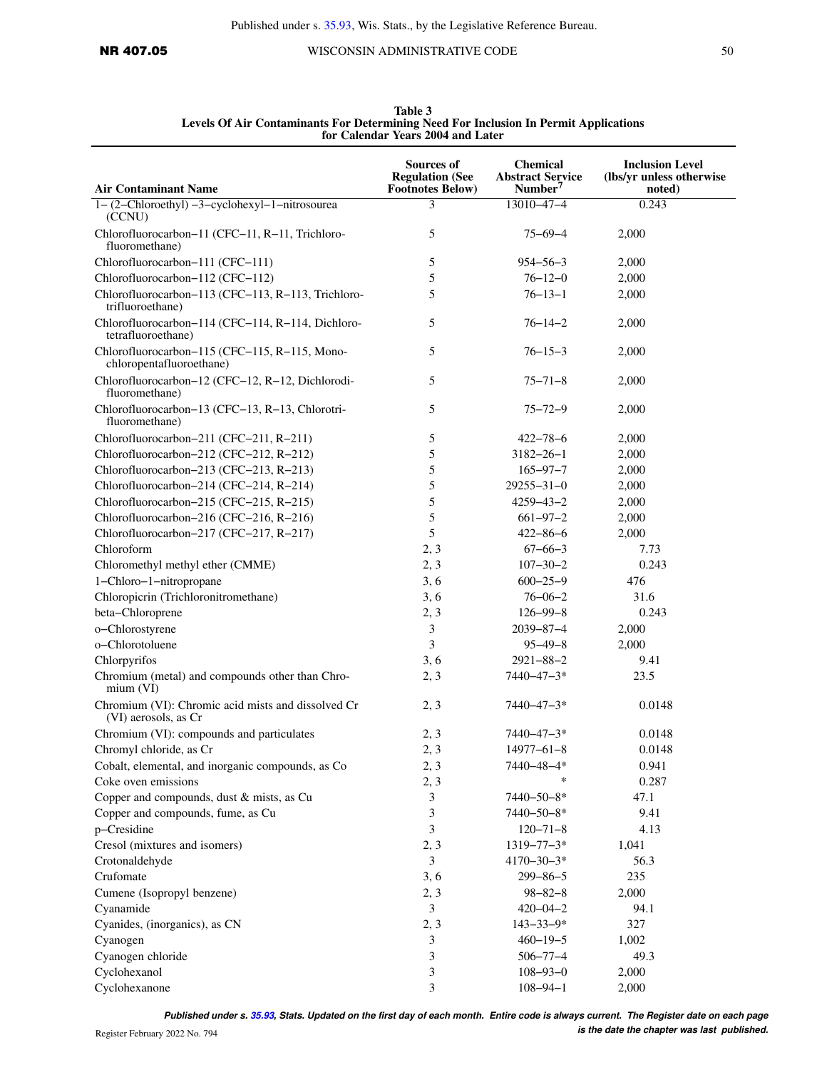| <b>Air Contaminant Name</b>                                                | <b>Sources of</b><br><b>Regulation (See</b><br><b>Footnotes Below)</b> | <b>Chemical</b><br><b>Abstract Service</b><br>Number <sup>7</sup> | <b>Inclusion Level</b><br>(lbs/yr unless otherwise<br>noted) |
|----------------------------------------------------------------------------|------------------------------------------------------------------------|-------------------------------------------------------------------|--------------------------------------------------------------|
| $1 - (2 - Chloroethyl) -3 - cyclohexyl-1-nitrosourea$<br>(CCNU)            | 3                                                                      | $13010 - 47 - 4$                                                  | 0.243                                                        |
| Chlorofluorocarbon-11 (CFC-11, R-11, Trichloro-<br>fluoromethane)          | 5                                                                      | $75 - 69 - 4$                                                     | 2,000                                                        |
| Chlorofluorocarbon-111 (CFC-111)                                           | 5                                                                      | $954 - 56 - 3$                                                    | 2,000                                                        |
| Chlorofluorocarbon-112 (CFC-112)                                           | 5                                                                      | $76 - 12 - 0$                                                     | 2,000                                                        |
| Chlorofluorocarbon-113 (CFC-113, R-113, Trichloro-                         | 5                                                                      | $76 - 13 - 1$                                                     | 2,000                                                        |
| trifluoroethane)                                                           |                                                                        |                                                                   |                                                              |
| Chlorofluorocarbon-114 (CFC-114, R-114, Dichloro-<br>tetrafluoroethane)    | 5                                                                      | $76 - 14 - 2$                                                     | 2,000                                                        |
| Chlorofluorocarbon-115 (CFC-115, R-115, Mono-<br>chloropentafluoroethane)  | 5                                                                      | $76 - 15 - 3$                                                     | 2,000                                                        |
| Chlorofluorocarbon-12 (CFC-12, R-12, Dichlorodi-<br>fluoromethane)         | 5                                                                      | $75 - 71 - 8$                                                     | 2,000                                                        |
| Chlorofluorocarbon-13 (CFC-13, R-13, Chlorotri-<br>fluoromethane)          | 5                                                                      | $75 - 72 - 9$                                                     | 2,000                                                        |
| Chlorofluorocarbon-211 (CFC-211, R-211)                                    | 5                                                                      | $422 - 78 - 6$                                                    | 2,000                                                        |
| Chlorofluorocarbon-212 (CFC-212, R-212)                                    | 5                                                                      | $3182 - 26 - 1$                                                   | 2,000                                                        |
| Chlorofluorocarbon-213 (CFC-213, R-213)                                    | 5                                                                      | $165 - 97 - 7$                                                    | 2,000                                                        |
| Chlorofluorocarbon-214 (CFC-214, R-214)                                    | 5                                                                      | $29255 - 31 - 0$                                                  | 2,000                                                        |
| Chlorofluorocarbon-215 (CFC-215, R-215)                                    | 5                                                                      | $4259 - 43 - 2$                                                   | 2,000                                                        |
| Chlorofluorocarbon-216 (CFC-216, R-216)                                    | 5                                                                      | $661 - 97 - 2$                                                    | 2,000                                                        |
| Chlorofluorocarbon-217 (CFC-217, R-217)                                    | 5                                                                      | $422 - 86 - 6$                                                    | 2,000                                                        |
| Chloroform                                                                 | 2, 3                                                                   | $67 - 66 - 3$                                                     | 7.73                                                         |
| Chloromethyl methyl ether (CMME)                                           | 2, 3                                                                   | $107 - 30 - 2$                                                    | 0.243                                                        |
| 1-Chloro-1-nitropropane                                                    | 3, 6                                                                   | $600 - 25 - 9$                                                    | 476                                                          |
| Chloropicrin (Trichloronitromethane)                                       | 3, 6                                                                   | $76 - 06 - 2$                                                     | 31.6                                                         |
|                                                                            |                                                                        |                                                                   |                                                              |
| beta-Chloroprene                                                           | 2, 3                                                                   | $126 - 99 - 8$                                                    | 0.243                                                        |
| o-Chlorostyrene                                                            | 3                                                                      | $2039 - 87 - 4$                                                   | 2,000                                                        |
| o-Chlorotoluene                                                            | 3                                                                      | $95 - 49 - 8$                                                     | 2,000                                                        |
| Chlorpyrifos                                                               | 3, 6                                                                   | $2921 - 88 - 2$                                                   | 9.41                                                         |
| Chromium (metal) and compounds other than Chro-<br>mium (VI)               | 2, 3                                                                   | 7440-47-3*                                                        | 23.5                                                         |
| Chromium (VI): Chromic acid mists and dissolved Cr<br>(VI) aerosols, as Cr | 2, 3                                                                   | $7440 - 47 - 3*$                                                  | 0.0148                                                       |
| Chromium (VI): compounds and particulates                                  | 2, 3                                                                   | $7440 - 47 - 3*$                                                  | 0.0148                                                       |
| Chromyl chloride, as Cr                                                    | 2, 3                                                                   | $14977 - 61 - 8$                                                  | 0.0148                                                       |
| Cobalt, elemental, and inorganic compounds, as Co                          | 2, 3                                                                   | 7440-48-4*                                                        | 0.941                                                        |
| Coke oven emissions                                                        | 2, 3                                                                   | *                                                                 | 0.287                                                        |
| Copper and compounds, dust & mists, as Cu                                  | 3                                                                      | 7440-50-8*                                                        | 47.1                                                         |
| Copper and compounds, fume, as Cu                                          | 3                                                                      | 7440-50-8*                                                        | 9.41                                                         |
| p-Cresidine                                                                | 3                                                                      | $120 - 71 - 8$                                                    | 4.13                                                         |
| Cresol (mixtures and isomers)                                              | 2, 3                                                                   | $1319 - 77 - 3*$                                                  | 1,041                                                        |
| Crotonaldehyde                                                             | 3                                                                      | $4170 - 30 - 3*$                                                  | 56.3                                                         |
| Crufomate                                                                  | 3, 6                                                                   | $299 - 86 - 5$                                                    | 235                                                          |
| Cumene (Isopropyl benzene)                                                 | 2, 3                                                                   | $98 - 82 - 8$                                                     | 2,000                                                        |
| Cyanamide                                                                  | $\mathfrak{Z}$                                                         | $420 - 04 - 2$                                                    | 94.1                                                         |
| Cyanides, (inorganics), as CN                                              | 2, 3                                                                   | $143 - 33 - 9*$                                                   | 327                                                          |
| Cyanogen                                                                   | $\mathfrak{Z}$                                                         | $460 - 19 - 5$                                                    | 1,002                                                        |
| Cyanogen chloride                                                          | 3                                                                      | $506 - 77 - 4$                                                    | 49.3                                                         |
| Cyclohexanol                                                               | 3                                                                      | $108 - 93 - 0$                                                    | 2,000                                                        |
| Cyclohexanone                                                              | 3                                                                      | $108 - 94 - 1$                                                    | 2,000                                                        |

**Table 3 Levels Of Air Contaminants For Determining Need For Inclusion In Permit Applications for Calendar Years 2004 and Later**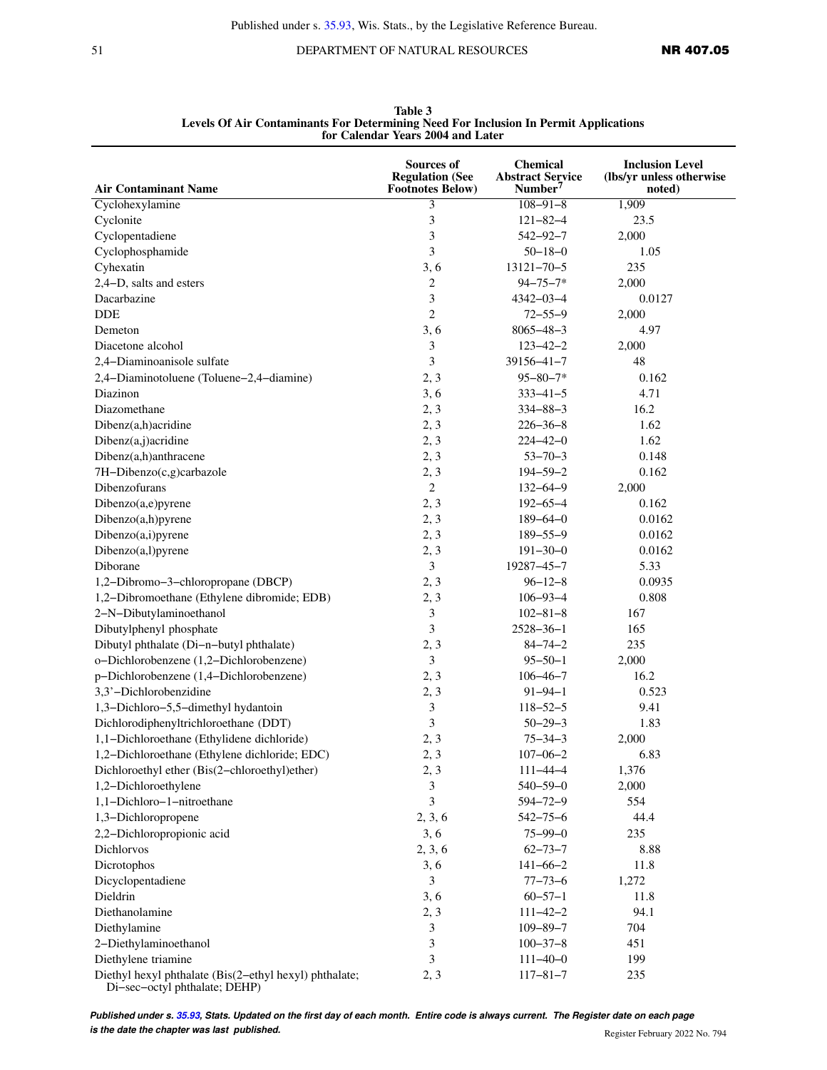51 DEPARTMENT OF NATURAL RESOURCES **NR 407.05** 

|                                                                                         | Sources of<br><b>Regulation (See</b> | <b>Chemical</b><br><b>Abstract Service</b> | <b>Inclusion Level</b><br>(lbs/yr unless otherwise |
|-----------------------------------------------------------------------------------------|--------------------------------------|--------------------------------------------|----------------------------------------------------|
| <b>Air Contaminant Name</b>                                                             | <b>Footnotes Below)</b>              | Number $7$                                 | noted)                                             |
| Cyclohexylamine                                                                         | 3                                    | $108 - 91 - 8$                             | 1,909                                              |
| Cyclonite                                                                               | 3                                    | $121 - 82 - 4$                             | 23.5                                               |
| Cyclopentadiene                                                                         | 3                                    | $542 - 92 - 7$                             | 2,000                                              |
| Cyclophosphamide                                                                        | 3                                    | $50 - 18 - 0$                              | 1.05                                               |
| Cyhexatin                                                                               | 3, 6                                 | $13121 - 70 - 5$                           | 235                                                |
| 2,4-D, salts and esters                                                                 | $\overline{c}$                       | $94 - 75 - 7*$                             | 2,000                                              |
| Dacarbazine                                                                             | $\mathfrak{Z}$                       | $4342 - 03 - 4$                            | 0.0127                                             |
| DDE                                                                                     | $\overline{c}$                       | $72 - 55 - 9$                              | 2,000                                              |
| Demeton                                                                                 | 3, 6                                 | $8065 - 48 - 3$                            | 4.97                                               |
| Diacetone alcohol                                                                       | 3                                    | $123 - 42 - 2$                             | 2,000                                              |
| 2,4-Diaminoanisole sulfate                                                              | 3                                    | $39156 - 41 - 7$                           | 48                                                 |
| 2,4-Diaminotoluene (Toluene-2,4-diamine)                                                | 2, 3                                 | $95 - 80 - 7*$                             | 0.162                                              |
| Diazinon                                                                                | 3, 6                                 | $333 - 41 - 5$                             | 4.71                                               |
| Diazomethane                                                                            | 2, 3                                 | $334 - 88 - 3$                             | 16.2                                               |
| Dibenz(a,h)acridine                                                                     | 2, 3                                 | $226 - 36 - 8$                             | 1.62                                               |
| Dibenz(a,j)acridine                                                                     | 2, 3                                 | $224 - 42 - 0$                             | 1.62                                               |
| Dibenz(a,h)anthracene                                                                   | 2, 3                                 | $53 - 70 - 3$                              | 0.148                                              |
| 7H-Dibenzo(c,g)carbazole                                                                | 2, 3                                 | $194 - 59 - 2$                             | 0.162                                              |
| Dibenzofurans                                                                           | $\overline{2}$                       | $132 - 64 - 9$                             | 2,000                                              |
| Dibenzo(a,e)pyrene                                                                      | 2, 3                                 | $192 - 65 - 4$                             | 0.162                                              |
| Dibenzo(a,h)pyrene                                                                      | 2, 3                                 | $189 - 64 - 0$                             | 0.0162                                             |
| Dibenzo(a,i)pyrene                                                                      | 2, 3                                 | $189 - 55 - 9$                             | 0.0162                                             |
| Dibenzo(a,l)pyrene                                                                      | 2, 3                                 | $191 - 30 - 0$                             | 0.0162                                             |
| Diborane                                                                                | 3                                    | 19287-45-7                                 | 5.33                                               |
| 1,2-Dibromo-3-chloropropane (DBCP)                                                      | 2, 3                                 | $96 - 12 - 8$                              | 0.0935                                             |
| 1,2-Dibromoethane (Ethylene dibromide; EDB)                                             | 2, 3                                 | $106 - 93 - 4$                             | 0.808                                              |
| 2-N-Dibutylaminoethanol                                                                 | 3                                    | $102 - 81 - 8$                             | 167                                                |
| Dibutylphenyl phosphate                                                                 | 3                                    | $2528 - 36 - 1$                            | 165                                                |
| Dibutyl phthalate (Di-n-butyl phthalate)                                                | 2, 3                                 | $84 - 74 - 2$                              | 235                                                |
| o-Dichlorobenzene (1,2-Dichlorobenzene)                                                 | 3                                    | $95 - 50 - 1$                              | 2,000                                              |
| p-Dichlorobenzene (1,4-Dichlorobenzene)                                                 | 2, 3                                 | $106 - 46 - 7$                             | 16.2                                               |
| 3,3'-Dichlorobenzidine                                                                  | 2, 3                                 | $91 - 94 - 1$                              | 0.523                                              |
| 1,3-Dichloro-5,5-dimethyl hydantoin                                                     | $\mathfrak{Z}$                       | $118 - 52 - 5$                             | 9.41                                               |
| Dichlorodiphenyltrichloroethane (DDT)                                                   | 3                                    | $50 - 29 - 3$                              | 1.83                                               |
| 1,1-Dichloroethane (Ethylidene dichloride)                                              | 2, 3                                 | $75 - 34 - 3$                              | 2,000                                              |
| 1,2-Dichloroethane (Ethylene dichloride; EDC)                                           | 2, 3                                 | $107 - 06 - 2$                             | 6.83                                               |
| Dichloroethyl ether (Bis(2-chloroethyl)ether)                                           | 2, 3                                 | $111 - 44 - 4$                             | 1,376                                              |
| 1,2-Dichloroethylene                                                                    | 3                                    | $540 - 59 - 0$                             | 2,000                                              |
| 1,1-Dichloro-1-nitroethane                                                              | 3                                    | $594 - 72 - 9$                             | 554                                                |
| 1,3-Dichloropropene                                                                     | 2, 3, 6                              | $542 - 75 - 6$                             | 44.4                                               |
| 2,2-Dichloropropionic acid                                                              | 3, 6                                 | $75 - 99 - 0$                              | 235                                                |
| Dichlorvos                                                                              | 2, 3, 6                              | $62 - 73 - 7$                              | 8.88                                               |
| Dicrotophos                                                                             |                                      | $141 - 66 - 2$                             | 11.8                                               |
| Dicyclopentadiene                                                                       | 3, 6<br>3                            |                                            |                                                    |
|                                                                                         |                                      | $77 - 73 - 6$                              | 1,272                                              |
| Dieldrin                                                                                | 3, 6                                 | $60 - 57 - 1$                              | 11.8                                               |
| Diethanolamine                                                                          | 2, 3                                 | $111 - 42 - 2$                             | 94.1                                               |
| Diethylamine                                                                            | 3                                    | $109 - 89 - 7$                             | 704                                                |
| 2-Diethylaminoethanol                                                                   | 3                                    | $100 - 37 - 8$                             | 451                                                |
| Diethylene triamine                                                                     | 3                                    | $111 - 40 - 0$                             | 199                                                |
| Diethyl hexyl phthalate (Bis(2-ethyl hexyl) phthalate;<br>Di-sec-octyl phthalate; DEHP) | 2, 3                                 | $117 - 81 - 7$                             | 235                                                |

**Table 3 Levels Of Air Contaminants For Determining Need For Inclusion In Permit Applications for Calendar Years 2004 and Later**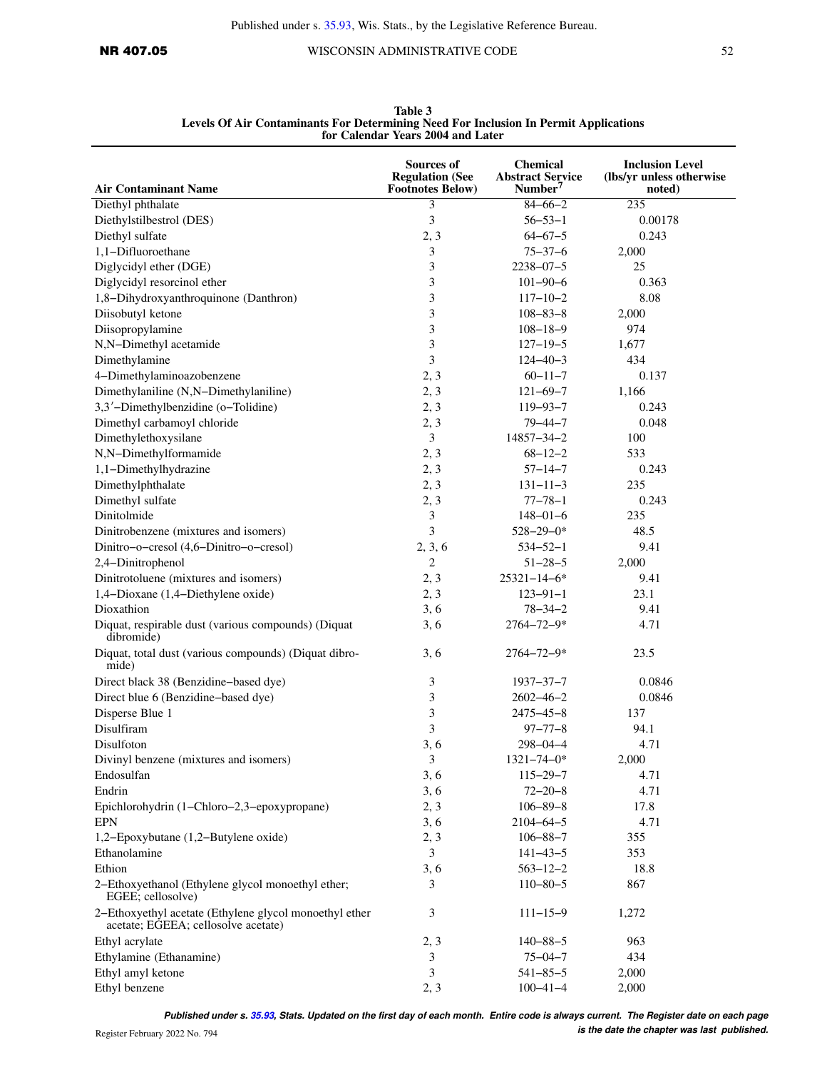| <b>Air Contaminant Name</b>                                                                   | <b>Sources of</b><br><b>Regulation (See</b><br><b>Footnotes Below)</b> | <b>Chemical</b><br><b>Abstract Service</b><br>Number <sup>7</sup> | <b>Inclusion Level</b><br>(lbs/yr unless otherwise)<br>noted) |  |
|-----------------------------------------------------------------------------------------------|------------------------------------------------------------------------|-------------------------------------------------------------------|---------------------------------------------------------------|--|
| Diethyl phthalate                                                                             | 3                                                                      | $84 - 66 - 2$                                                     | 235                                                           |  |
| Diethylstilbestrol (DES)                                                                      | 3                                                                      | $56 - 53 - 1$                                                     | 0.00178                                                       |  |
| Diethyl sulfate                                                                               | 2, 3                                                                   | $64 - 67 - 5$                                                     | 0.243                                                         |  |
| 1,1-Difluoroethane                                                                            | 3                                                                      | $75 - 37 - 6$                                                     | 2,000                                                         |  |
| Diglycidyl ether (DGE)                                                                        | 3                                                                      | $2238 - 07 - 5$                                                   | 25                                                            |  |
| Diglycidyl resorcinol ether                                                                   | 3                                                                      | $101 - 90 - 6$                                                    | 0.363                                                         |  |
| 1,8-Dihydroxyanthroquinone (Danthron)                                                         | 3                                                                      | $117 - 10 - 2$                                                    | 8.08                                                          |  |
| Diisobutyl ketone                                                                             | 3                                                                      | $108 - 83 - 8$                                                    | 2,000                                                         |  |
| Diisopropylamine                                                                              | 3                                                                      |                                                                   | 974                                                           |  |
|                                                                                               | 3                                                                      | $108 - 18 - 9$                                                    |                                                               |  |
| N,N-Dimethyl acetamide                                                                        | 3                                                                      | $127 - 19 - 5$                                                    | 1,677<br>434                                                  |  |
| Dimethylamine                                                                                 |                                                                        | $124 - 40 - 3$                                                    |                                                               |  |
| 4-Dimethylaminoazobenzene                                                                     | 2, 3                                                                   | $60 - 11 - 7$                                                     | 0.137                                                         |  |
| Dimethylaniline (N,N-Dimethylaniline)                                                         | 2, 3                                                                   | $121 - 69 - 7$                                                    | 1,166                                                         |  |
| 3,3'-Dimethylbenzidine (o-Tolidine)                                                           | 2, 3                                                                   | $119 - 93 - 7$                                                    | 0.243                                                         |  |
| Dimethyl carbamoyl chloride                                                                   | 2, 3                                                                   | $79 - 44 - 7$                                                     | 0.048                                                         |  |
| Dimethylethoxysilane                                                                          | 3                                                                      | 14857-34-2                                                        | 100                                                           |  |
| N,N-Dimethylformamide                                                                         | 2, 3                                                                   | $68 - 12 - 2$                                                     | 533                                                           |  |
| 1,1-Dimethylhydrazine                                                                         | 2, 3                                                                   | $57 - 14 - 7$                                                     | 0.243                                                         |  |
| Dimethylphthalate                                                                             | 2, 3                                                                   | $131 - 11 - 3$                                                    | 235                                                           |  |
| Dimethyl sulfate                                                                              | 2, 3                                                                   | $77 - 78 - 1$                                                     | 0.243                                                         |  |
| Dinitolmide                                                                                   | 3                                                                      | $148 - 01 - 6$                                                    | 235                                                           |  |
| Dinitrobenzene (mixtures and isomers)                                                         | 3                                                                      | $528 - 29 - 0*$                                                   | 48.5                                                          |  |
| Dinitro-o-cresol (4,6-Dinitro-o-cresol)                                                       | 2, 3, 6                                                                | $534 - 52 - 1$                                                    | 9.41                                                          |  |
| 2,4-Dinitrophenol                                                                             | $\overline{2}$                                                         | $51 - 28 - 5$                                                     | 2,000                                                         |  |
| Dinitrotoluene (mixtures and isomers)                                                         | 2, 3                                                                   | $25321 - 14 - 6*$                                                 | 9.41                                                          |  |
| 1,4-Dioxane (1,4-Diethylene oxide)                                                            | 2, 3                                                                   | $123 - 91 - 1$                                                    | 23.1                                                          |  |
| Dioxathion                                                                                    | 3, 6                                                                   | $78 - 34 - 2$                                                     | 9.41                                                          |  |
| Diquat, respirable dust (various compounds) (Diquat<br>dibromide)                             | 3, 6                                                                   | 2764-72-9*                                                        | 4.71                                                          |  |
| Diquat, total dust (various compounds) (Diquat dibro-<br>mide)                                | 3, 6                                                                   | $2764 - 72 - 9*$                                                  | 23.5                                                          |  |
| Direct black 38 (Benzidine-based dye)                                                         | 3                                                                      | $1937 - 37 - 7$                                                   | 0.0846                                                        |  |
| Direct blue 6 (Benzidine-based dye)                                                           | 3                                                                      | $2602 - 46 - 2$                                                   | 0.0846                                                        |  |
| Disperse Blue 1                                                                               | 3                                                                      | $2475 - 45 - 8$                                                   | 137                                                           |  |
| Disulfiram                                                                                    | 3                                                                      | $97 - 77 - 8$                                                     | 94.1                                                          |  |
| Disulfoton                                                                                    | 3, 6                                                                   | $298 - 04 - 4$                                                    | 4.71                                                          |  |
| Divinyl benzene (mixtures and isomers)                                                        | 3                                                                      | $1321 - 74 - 0*$                                                  | 2,000                                                         |  |
| Endosulfan                                                                                    | 3, 6                                                                   | $115 - 29 - 7$                                                    | 4.71                                                          |  |
| Endrin                                                                                        | 3, 6                                                                   | $72 - 20 - 8$                                                     | 4.71                                                          |  |
| Epichlorohydrin (1-Chloro-2,3-epoxypropane)                                                   | 2, 3                                                                   | $106 - 89 - 8$                                                    | 17.8                                                          |  |
| <b>EPN</b>                                                                                    | 3, 6                                                                   | $2104 - 64 - 5$                                                   | 4.71                                                          |  |
| 1,2-Epoxybutane (1,2-Butylene oxide)                                                          | 2, 3                                                                   | $106 - 88 - 7$                                                    | 355                                                           |  |
| Ethanolamine                                                                                  | 3                                                                      | $141 - 43 - 5$                                                    | 353                                                           |  |
| Ethion                                                                                        | 3, 6                                                                   | $563 - 12 - 2$                                                    | 18.8                                                          |  |
| 2-Ethoxyethanol (Ethylene glycol monoethyl ether;<br>EGEE; cellosolve)                        | 3                                                                      | $110 - 80 - 5$                                                    | 867                                                           |  |
| 2-Ethoxyethyl acetate (Ethylene glycol monoethyl ether<br>acetate; EGEEA; cellosolve acetate) | 3                                                                      | $111 - 15 - 9$                                                    | 1,272                                                         |  |
| Ethyl acrylate                                                                                | 2, 3                                                                   | $140 - 88 - 5$                                                    | 963                                                           |  |
| Ethylamine (Ethanamine)                                                                       | 3                                                                      | $75 - 04 - 7$                                                     | 434                                                           |  |
| Ethyl amyl ketone                                                                             | 3                                                                      | $541 - 85 - 5$                                                    | 2,000                                                         |  |
| Ethyl benzene                                                                                 | 2, 3                                                                   | $100 - 41 - 4$                                                    | 2,000                                                         |  |

**Table 3 Levels Of Air Contaminants For Determining Need For Inclusion In Permit Applications for Calendar Years 2004 and Later**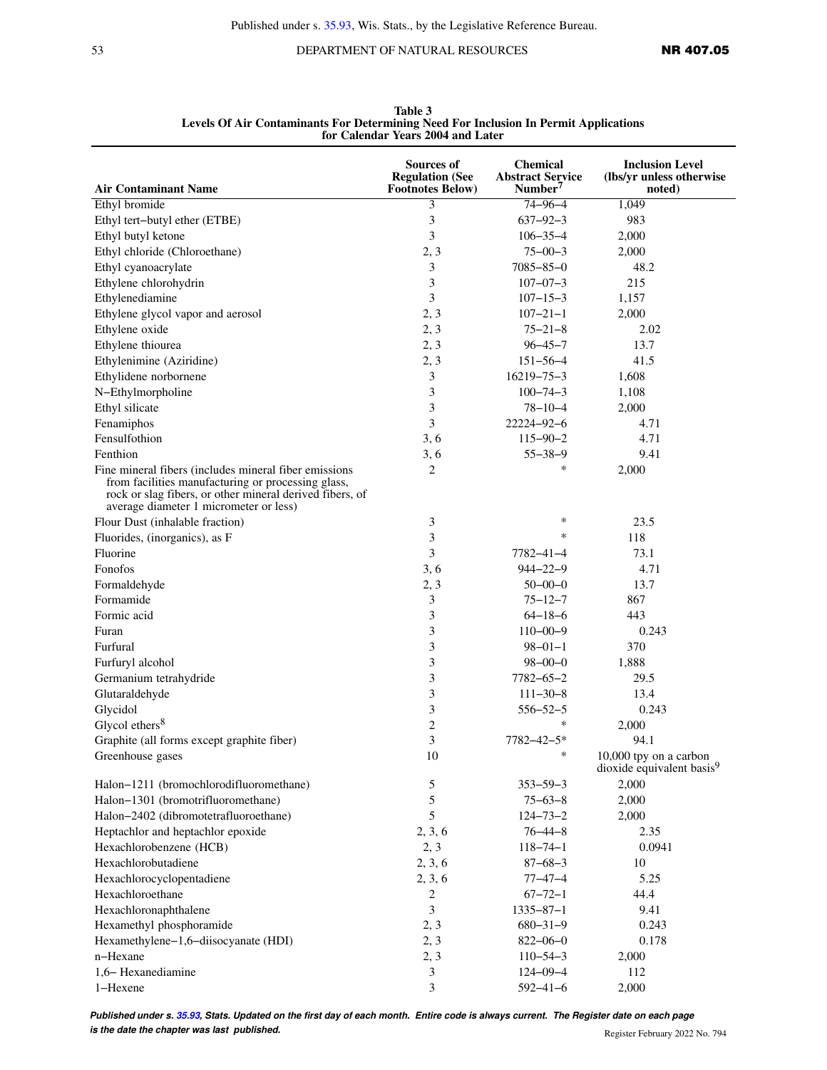53 DEPARTMENT OF NATURAL RESOURCES **NR 407.05** 

| <b>Air Contaminant Name</b>                                                                                                                                                                                        | Sources of<br><b>Regulation (See</b> | <b>Chemical</b><br><b>Abstract Service</b><br>Number <sup>7</sup> | <b>Inclusion Level</b><br>(lbs/yr unless otherwise              |
|--------------------------------------------------------------------------------------------------------------------------------------------------------------------------------------------------------------------|--------------------------------------|-------------------------------------------------------------------|-----------------------------------------------------------------|
|                                                                                                                                                                                                                    | <b>Footnotes Below)</b>              | $74 - 96 - 4$                                                     | noted)                                                          |
| Ethyl bromide                                                                                                                                                                                                      | 3                                    |                                                                   | 1,049                                                           |
| Ethyl tert-butyl ether (ETBE)                                                                                                                                                                                      | 3                                    | $637 - 92 - 3$                                                    | 983                                                             |
| Ethyl butyl ketone                                                                                                                                                                                                 | 3                                    | $106 - 35 - 4$                                                    | 2,000                                                           |
| Ethyl chloride (Chloroethane)                                                                                                                                                                                      | 2, 3                                 | $75 - 00 - 3$                                                     | 2,000                                                           |
| Ethyl cyanoacrylate                                                                                                                                                                                                | 3                                    | $7085 - 85 - 0$                                                   | 48.2                                                            |
| Ethylene chlorohydrin                                                                                                                                                                                              | 3                                    | $107 - 07 - 3$                                                    | 215                                                             |
| Ethylenediamine                                                                                                                                                                                                    | 3                                    | $107 - 15 - 3$                                                    | 1,157                                                           |
| Ethylene glycol vapor and aerosol                                                                                                                                                                                  | 2, 3                                 | $107 - 21 - 1$                                                    | 2,000                                                           |
| Ethylene oxide                                                                                                                                                                                                     | 2, 3                                 | $75 - 21 - 8$                                                     | 2.02                                                            |
| Ethylene thiourea                                                                                                                                                                                                  | 2, 3                                 | $96 - 45 - 7$                                                     | 13.7                                                            |
| Ethylenimine (Aziridine)                                                                                                                                                                                           | 2, 3                                 | $151 - 56 - 4$                                                    | 41.5                                                            |
| Ethylidene norbornene                                                                                                                                                                                              | 3                                    | $16219 - 75 - 3$                                                  | 1,608                                                           |
| N-Ethylmorpholine                                                                                                                                                                                                  | 3                                    | $100 - 74 - 3$                                                    | 1,108                                                           |
| Ethyl silicate                                                                                                                                                                                                     | 3                                    | $78 - 10 - 4$                                                     | 2,000                                                           |
| Fenamiphos                                                                                                                                                                                                         | 3                                    | $22224 - 92 - 6$                                                  | 4.71                                                            |
| Fensulfothion                                                                                                                                                                                                      | 3, 6                                 | $115 - 90 - 2$                                                    | 4.71                                                            |
| Fenthion                                                                                                                                                                                                           | 3, 6                                 | $55 - 38 - 9$                                                     | 9.41                                                            |
| Fine mineral fibers (includes mineral fiber emissions)<br>from facilities manufacturing or processing glass,<br>rock or slag fibers, or other mineral derived fibers, of<br>average diameter 1 micrometer or less) | 2                                    | ∗                                                                 | 2,000                                                           |
| Flour Dust (inhalable fraction)                                                                                                                                                                                    | 3                                    | ∗                                                                 | 23.5                                                            |
| Fluorides, (inorganics), as F                                                                                                                                                                                      | 3                                    | *                                                                 | 118                                                             |
| Fluorine                                                                                                                                                                                                           | 3                                    | 7782-41-4                                                         | 73.1                                                            |
| Fonofos                                                                                                                                                                                                            | 3, 6                                 | $944 - 22 - 9$                                                    | 4.71                                                            |
| Formaldehyde                                                                                                                                                                                                       | 2, 3                                 | $50 - 00 - 0$                                                     | 13.7                                                            |
| Formamide                                                                                                                                                                                                          | 3                                    | $75 - 12 - 7$                                                     | 867                                                             |
| Formic acid                                                                                                                                                                                                        | 3                                    | $64 - 18 - 6$                                                     | 443                                                             |
| Furan                                                                                                                                                                                                              | 3                                    | $110 - 00 - 9$                                                    | 0.243                                                           |
| Furfural                                                                                                                                                                                                           | 3                                    | $98 - 01 - 1$                                                     | 370                                                             |
| Furfuryl alcohol                                                                                                                                                                                                   | 3                                    | $98 - 00 - 0$                                                     | 1,888                                                           |
| Germanium tetrahydride                                                                                                                                                                                             | 3                                    | $7782 - 65 - 2$                                                   | 29.5                                                            |
| Glutaraldehyde                                                                                                                                                                                                     | 3                                    | $111 - 30 - 8$                                                    | 13.4                                                            |
| Glycidol                                                                                                                                                                                                           | 3                                    | $556 - 52 - 5$                                                    | 0.243                                                           |
| Glycol ethers $8$                                                                                                                                                                                                  | $\overline{c}$                       | *                                                                 | 2,000                                                           |
| Graphite (all forms except graphite fiber)                                                                                                                                                                         | 3                                    | 7782-42-5*                                                        | 94.1                                                            |
| Greenhouse gases                                                                                                                                                                                                   | 10                                   | ∗                                                                 | 10,000 tpy on a carbon<br>dioxide equivalent basis <sup>9</sup> |
| Halon-1211 (bromochlorodifluoromethane)                                                                                                                                                                            | 5                                    | $353 - 59 - 3$                                                    | 2,000                                                           |
| Halon-1301 (bromotrifluoromethane)                                                                                                                                                                                 | 5                                    | $75 - 63 - 8$                                                     | 2,000                                                           |
| Halon-2402 (dibromotetrafluoroethane)                                                                                                                                                                              | 5                                    | $124 - 73 - 2$                                                    | 2,000                                                           |
| Heptachlor and heptachlor epoxide                                                                                                                                                                                  | 2, 3, 6                              | $76 - 44 - 8$                                                     | 2.35                                                            |
| Hexachlorobenzene (HCB)                                                                                                                                                                                            | 2, 3                                 | $118 - 74 - 1$                                                    | 0.0941                                                          |
| Hexachlorobutadiene                                                                                                                                                                                                | 2, 3, 6                              | $87 - 68 - 3$                                                     | 10                                                              |
| Hexachlorocyclopentadiene                                                                                                                                                                                          | 2, 3, 6                              | $77 - 47 - 4$                                                     | 5.25                                                            |
| Hexachloroethane                                                                                                                                                                                                   | 2                                    | $67 - 72 - 1$                                                     | 44.4                                                            |
| Hexachloronaphthalene                                                                                                                                                                                              | 3                                    | $1335 - 87 - 1$                                                   | 9.41                                                            |
| Hexamethyl phosphoramide                                                                                                                                                                                           | 2, 3                                 | $680 - 31 - 9$                                                    | 0.243                                                           |
| Hexamethylene-1,6-diisocyanate (HDI)                                                                                                                                                                               | 2, 3                                 | $822 - 06 - 0$                                                    | 0.178                                                           |
| n-Hexane                                                                                                                                                                                                           | 2, 3                                 | $110 - 54 - 3$                                                    | 2,000                                                           |
| 1,6-Hexanediamine                                                                                                                                                                                                  | 3                                    | $124 - 09 - 4$                                                    | 112                                                             |
| 1-Hexene                                                                                                                                                                                                           | 3                                    | $592 - 41 - 6$                                                    | 2,000                                                           |

**Table 3 Levels Of Air Contaminants For Determining Need For Inclusion In Permit Applications for Calendar Years 2004 and Later**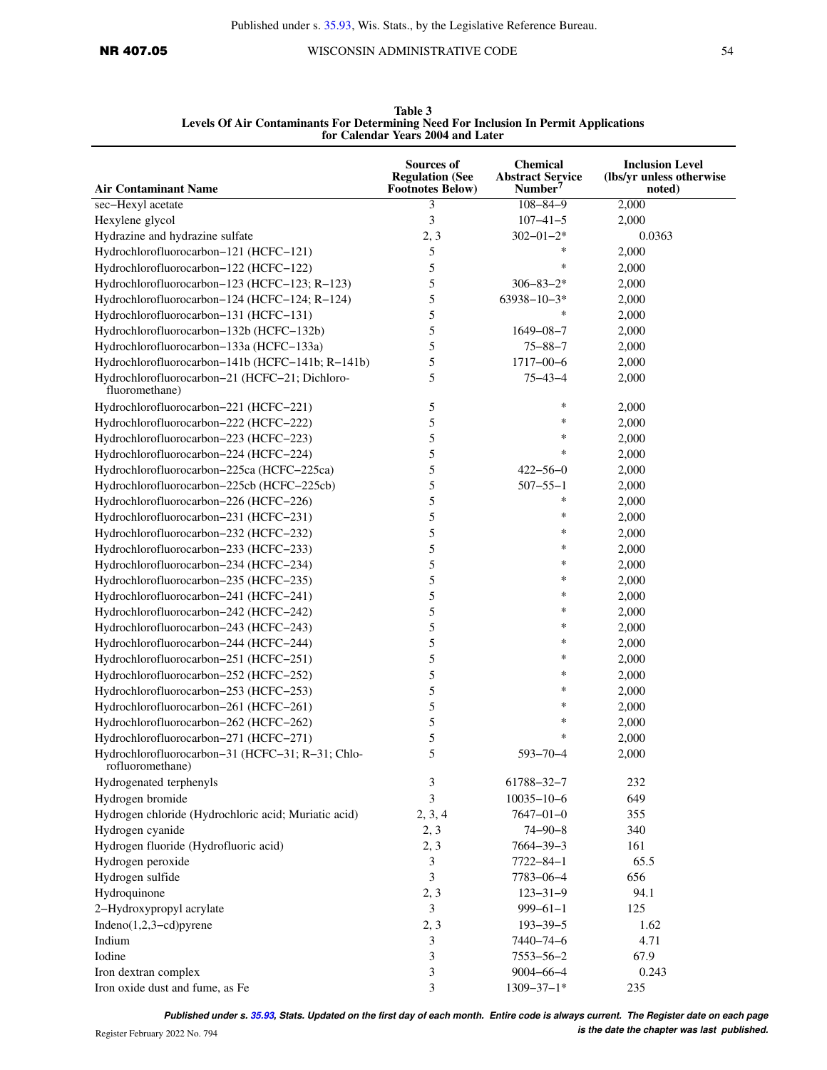|                                                                      | for Calendar Years 2004 and Later                               |                                                            |                                                              |  |  |
|----------------------------------------------------------------------|-----------------------------------------------------------------|------------------------------------------------------------|--------------------------------------------------------------|--|--|
| <b>Air Contaminant Name</b>                                          | Sources of<br><b>Regulation (See</b><br><b>Footnotes Below)</b> | Chemical<br><b>Abstract Service</b><br>Number <sup>7</sup> | <b>Inclusion Level</b><br>(lbs/yr unless otherwise<br>noted) |  |  |
| sec-Hexyl acetate                                                    | 3                                                               | $108 - 84 - 9$                                             | 2,000                                                        |  |  |
| Hexylene glycol                                                      | 3                                                               | $107 - 41 - 5$                                             | 2,000                                                        |  |  |
| Hydrazine and hydrazine sulfate                                      | 2, 3                                                            | $302 - 01 - 2*$                                            | 0.0363                                                       |  |  |
| Hydrochlorofluorocarbon-121 (HCFC-121)                               | 5                                                               | ∗                                                          | 2,000                                                        |  |  |
| Hydrochlorofluorocarbon-122 (HCFC-122)                               | 5                                                               | ∗                                                          | 2,000                                                        |  |  |
| Hydrochlorofluorocarbon-123 (HCFC-123; R-123)                        | 5                                                               | $306 - 83 - 2*$                                            | 2,000                                                        |  |  |
| Hydrochlorofluorocarbon-124 (HCFC-124; R-124)                        | 5                                                               | $63938 - 10 - 3*$                                          | 2,000                                                        |  |  |
| Hydrochlorofluorocarbon-131 (HCFC-131)                               | 5                                                               | $\ast$                                                     | 2,000                                                        |  |  |
| Hydrochlorofluorocarbon-132b (HCFC-132b)                             | 5                                                               | $1649 - 08 - 7$                                            | 2,000                                                        |  |  |
| Hydrochlorofluorocarbon-133a (HCFC-133a)                             | 5                                                               | $75 - 88 - 7$                                              | 2,000                                                        |  |  |
| Hydrochlorofluorocarbon-141b (HCFC-141b; R-141b)                     | 5                                                               | $1717 - 00 - 6$                                            | 2,000                                                        |  |  |
| Hydrochlorofluorocarbon-21 (HCFC-21; Dichloro-<br>fluoromethane)     | 5                                                               | $75 - 43 - 4$                                              | 2,000                                                        |  |  |
| Hydrochlorofluorocarbon-221 (HCFC-221)                               | 5                                                               | $\ast$                                                     | 2,000                                                        |  |  |
| Hydrochlorofluorocarbon-222 (HCFC-222)                               | 5                                                               | ∗                                                          | 2,000                                                        |  |  |
| Hydrochlorofluorocarbon-223 (HCFC-223)                               | 5                                                               | ∗                                                          | 2,000                                                        |  |  |
| Hydrochlorofluorocarbon-224 (HCFC-224)                               | 5                                                               | ∗                                                          | 2,000                                                        |  |  |
| Hydrochlorofluorocarbon-225ca (HCFC-225ca)                           | 5                                                               | $422 - 56 - 0$                                             | 2,000                                                        |  |  |
| Hydrochlorofluorocarbon-225cb (HCFC-225cb)                           | 5                                                               | $507 - 55 - 1$                                             | 2,000                                                        |  |  |
| Hydrochlorofluorocarbon-226 (HCFC-226)                               | 5                                                               | $\ast$                                                     | 2,000                                                        |  |  |
| Hydrochlorofluorocarbon-231 (HCFC-231)                               | 5                                                               | ∗                                                          | 2,000                                                        |  |  |
| Hydrochlorofluorocarbon-232 (HCFC-232)                               | 5                                                               | $\ast$                                                     | 2,000                                                        |  |  |
| Hydrochlorofluorocarbon-233 (HCFC-233)                               | 5                                                               | $\ast$                                                     | 2,000                                                        |  |  |
| Hydrochlorofluorocarbon-234 (HCFC-234)                               | 5                                                               | $\ast$                                                     | 2,000                                                        |  |  |
| Hydrochlorofluorocarbon-235 (HCFC-235)                               | 5                                                               | $\ast$                                                     | 2,000                                                        |  |  |
| Hydrochlorofluorocarbon-241 (HCFC-241)                               | 5                                                               | $\ast$                                                     | 2,000                                                        |  |  |
| Hydrochlorofluorocarbon-242 (HCFC-242)                               | 5                                                               | $\ast$                                                     | 2,000                                                        |  |  |
| Hydrochlorofluorocarbon-243 (HCFC-243)                               | 5                                                               | $\ast$                                                     | 2,000                                                        |  |  |
| Hydrochlorofluorocarbon-244 (HCFC-244)                               | 5                                                               | $\ast$                                                     | 2,000                                                        |  |  |
| Hydrochlorofluorocarbon-251 (HCFC-251)                               | 5                                                               | $\ast$                                                     | 2,000                                                        |  |  |
| Hydrochlorofluorocarbon-252 (HCFC-252)                               | 5                                                               | ∗                                                          | 2,000                                                        |  |  |
| Hydrochlorofluorocarbon-253 (HCFC-253)                               | 5                                                               | $\ast$                                                     | 2,000                                                        |  |  |
| Hydrochlorofluorocarbon-261 (HCFC-261)                               | 5                                                               | $\ast$                                                     | 2,000                                                        |  |  |
| Hydrochlorofluorocarbon-262 (HCFC-262)                               | 5                                                               | *                                                          | 2,000                                                        |  |  |
| Hydrochlorofluorocarbon-271 (HCFC-271)                               | 5                                                               | ∗                                                          | 2,000                                                        |  |  |
| Hydrochlorofluorocarbon-31 (HCFC-31; R-31; Chlo-<br>rofluoromethane) | 5                                                               | $593 - 70 - 4$                                             | 2,000                                                        |  |  |
| Hydrogenated terphenyls                                              | 3                                                               | 61788-32-7                                                 | 232                                                          |  |  |
| Hydrogen bromide                                                     | 3                                                               | $10035 - 10 - 6$                                           | 649                                                          |  |  |
| Hydrogen chloride (Hydrochloric acid; Muriatic acid)                 | 2, 3, 4                                                         | $7647 - 01 - 0$                                            | 355                                                          |  |  |
| Hydrogen cyanide                                                     | 2, 3                                                            | $74 - 90 - 8$                                              | 340                                                          |  |  |
| Hydrogen fluoride (Hydrofluoric acid)                                | 2, 3                                                            | $7664 - 39 - 3$                                            | 161                                                          |  |  |
| Hydrogen peroxide                                                    | 3                                                               | $7722 - 84 - 1$                                            | 65.5                                                         |  |  |
| Hydrogen sulfide                                                     | 3                                                               | 7783-06-4                                                  | 656                                                          |  |  |
| Hydroquinone                                                         | 2, 3                                                            | $123 - 31 - 9$                                             | 94.1                                                         |  |  |
| 2-Hydroxypropyl acrylate                                             | 3                                                               | $999 - 61 - 1$                                             | 125                                                          |  |  |
| Indeno $(1,2,3-cd)$ pyrene                                           | 2, 3                                                            | $193 - 39 - 5$                                             | 1.62                                                         |  |  |
| Indium                                                               | 3                                                               | $7440 - 74 - 6$                                            | 4.71                                                         |  |  |
| Iodine                                                               | 3                                                               | $7553 - 56 - 2$                                            | 67.9                                                         |  |  |
| Iron dextran complex                                                 | 3                                                               | $9004 - 66 - 4$                                            | 0.243                                                        |  |  |
| Iron oxide dust and fume, as Fe                                      | 3                                                               | $1309 - 37 - 1*$                                           | 235                                                          |  |  |

**Table 3 Levels Of Air Contaminants For Determining Need For Inclusion In Permit Applications for Calendar Years 2004 and Later**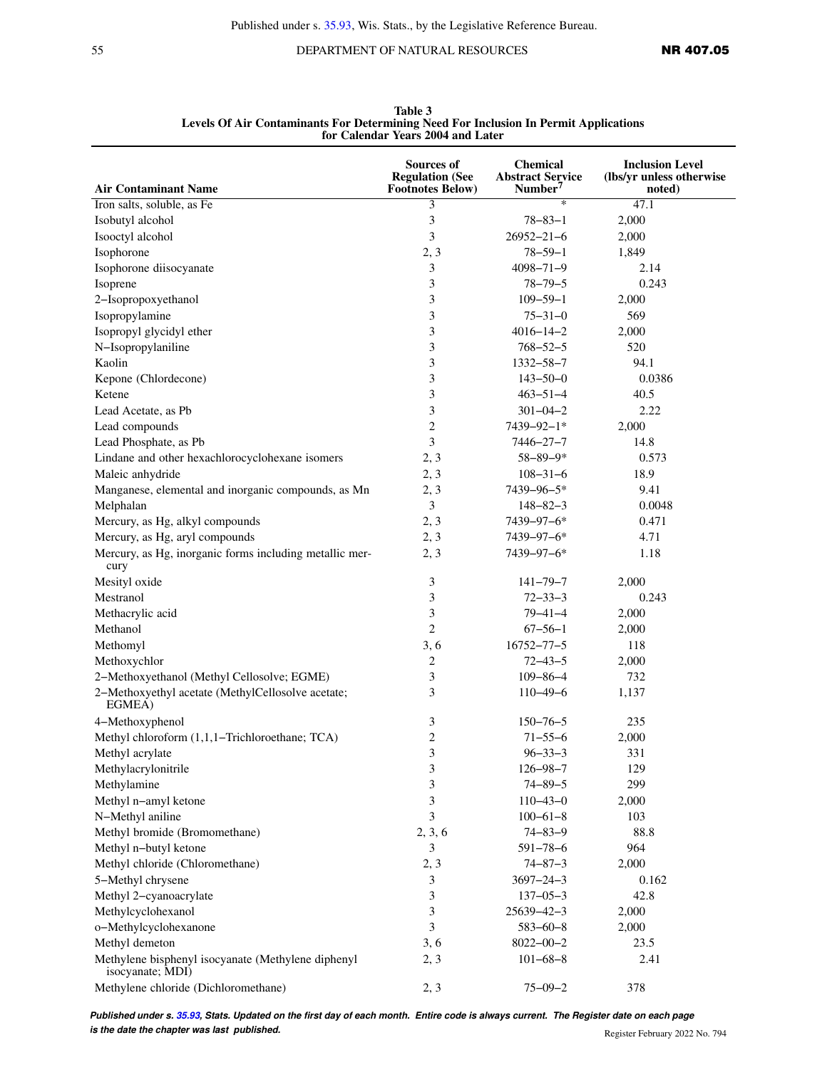55 DEPARTMENT OF NATURAL RESOURCES **NR 407.05** 

|                                                                        | Sources of<br><b>Regulation (See</b> | Chemical<br><b>Abstract Service</b> | <b>Inclusion Level</b><br>(lbs/yr unless otherwise |
|------------------------------------------------------------------------|--------------------------------------|-------------------------------------|----------------------------------------------------|
| <b>Air Contaminant Name</b>                                            | <b>Footnotes Below)</b>              | Number <sup>7</sup>                 | noted)                                             |
| Iron salts, soluble, as Fe                                             | 3                                    | ∗                                   | 47.1                                               |
| Isobutyl alcohol                                                       | 3                                    | $78 - 83 - 1$                       | 2,000                                              |
| Isooctyl alcohol                                                       | 3                                    | $26952 - 21 - 6$                    | 2,000                                              |
| Isophorone                                                             | 2, 3                                 | $78 - 59 - 1$                       | 1,849                                              |
| Isophorone diisocyanate                                                | 3                                    | $4098 - 71 - 9$                     | 2.14                                               |
| Isoprene                                                               | 3                                    | $78 - 79 - 5$                       | 0.243                                              |
| 2-Isopropoxyethanol                                                    | 3                                    | $109 - 59 - 1$                      | 2,000                                              |
| Isopropylamine                                                         | $\mathfrak{Z}$                       | $75 - 31 - 0$                       | 569                                                |
| Isopropyl glycidyl ether                                               | 3                                    | $4016 - 14 - 2$                     | 2,000                                              |
| N-Isopropylaniline                                                     | 3                                    | $768 - 52 - 5$                      | 520                                                |
| Kaolin                                                                 | 3                                    | $1332 - 58 - 7$                     | 94.1                                               |
| Kepone (Chlordecone)                                                   | 3                                    | $143 - 50 - 0$                      | 0.0386                                             |
| Ketene                                                                 | 3                                    | $463 - 51 - 4$                      | 40.5                                               |
| Lead Acetate, as Pb                                                    | 3                                    | $301 - 04 - 2$                      | 2.22                                               |
| Lead compounds                                                         | $\overline{2}$                       | 7439-92-1*                          | 2,000                                              |
| Lead Phosphate, as Pb                                                  | 3                                    | $7446 - 27 - 7$                     | 14.8                                               |
| Lindane and other hexachlorocyclohexane isomers                        | 2, 3                                 | $58 - 89 - 9*$                      | 0.573                                              |
| Maleic anhydride                                                       | 2, 3                                 | $108 - 31 - 6$                      | 18.9                                               |
| Manganese, elemental and inorganic compounds, as Mn                    | 2, 3                                 | 7439-96-5*                          | 9.41                                               |
| Melphalan                                                              | 3                                    | $148 - 82 - 3$                      | 0.0048                                             |
| Mercury, as Hg, alkyl compounds                                        | 2, 3                                 | 7439-97-6*                          | 0.471                                              |
| Mercury, as Hg, aryl compounds                                         | 2, 3                                 | 7439-97-6*                          | 4.71                                               |
| Mercury, as Hg, inorganic forms including metallic mer-<br>cury        | 2, 3                                 | 7439-97-6*                          | 1.18                                               |
| Mesityl oxide                                                          | 3                                    | $141 - 79 - 7$                      | 2,000                                              |
| Mestranol                                                              | 3                                    | $72 - 33 - 3$                       | 0.243                                              |
| Methacrylic acid                                                       | 3                                    | $79 - 41 - 4$                       | 2,000                                              |
| Methanol                                                               | $\overline{2}$                       | $67 - 56 - 1$                       | 2,000                                              |
| Methomyl                                                               | 3, 6                                 | $16752 - 77 - 5$                    | 118                                                |
| Methoxychlor                                                           | $\overline{2}$                       | $72 - 43 - 5$                       | 2,000                                              |
| 2-Methoxyethanol (Methyl Cellosolve; EGME)                             | 3                                    | $109 - 86 - 4$                      | 732                                                |
| 2-Methoxyethyl acetate (MethylCellosolve acetate;<br>EGMEA)            | 3                                    | $110 - 49 - 6$                      | 1,137                                              |
| 4-Methoxyphenol                                                        | 3                                    | $150 - 76 - 5$                      | 235                                                |
| Methyl chloroform (1,1,1-Trichloroethane; TCA)                         | $\sqrt{2}$                           | $71 - 55 - 6$                       | 2,000                                              |
| Methyl acrylate                                                        | $\sqrt{3}$                           | $96 - 33 - 3$                       | 331                                                |
| Methylacrylonitrile                                                    | 3                                    | $126 - 98 - 7$                      | 129                                                |
| Methylamine                                                            | 3                                    | $74 - 89 - 5$                       | 299                                                |
| Methyl n-amyl ketone                                                   | 3                                    | $110 - 43 - 0$                      | 2,000                                              |
| N-Methyl aniline                                                       | 3                                    | $100 - 61 - 8$                      | 103                                                |
| Methyl bromide (Bromomethane)                                          | 2, 3, 6                              | $74 - 83 - 9$                       | 88.8                                               |
| Methyl n-butyl ketone                                                  | 3                                    | $591 - 78 - 6$                      | 964                                                |
| Methyl chloride (Chloromethane)                                        | 2, 3                                 | $74 - 87 - 3$                       | 2,000                                              |
| 5-Methyl chrysene                                                      | 3                                    | $3697 - 24 - 3$                     | 0.162                                              |
| Methyl 2-cyanoacrylate                                                 | 3                                    | $137 - 05 - 3$                      | 42.8                                               |
| Methylcyclohexanol                                                     | 3                                    | $25639 - 42 - 3$                    | 2,000                                              |
| o-Methylcyclohexanone                                                  | 3                                    | $583 - 60 - 8$                      | 2,000                                              |
| Methyl demeton                                                         | 3, 6                                 | $8022 - 00 - 2$                     | 23.5                                               |
| Methylene bisphenyl isocyanate (Methylene diphenyl<br>isocyanate; MDI) | 2, 3                                 | $101 - 68 - 8$                      | 2.41                                               |
| Methylene chloride (Dichloromethane)                                   | 2, 3                                 | $75 - 09 - 2$                       | 378                                                |

**Table 3 Levels Of Air Contaminants For Determining Need For Inclusion In Permit Applications for Calendar Years 2004 and Later**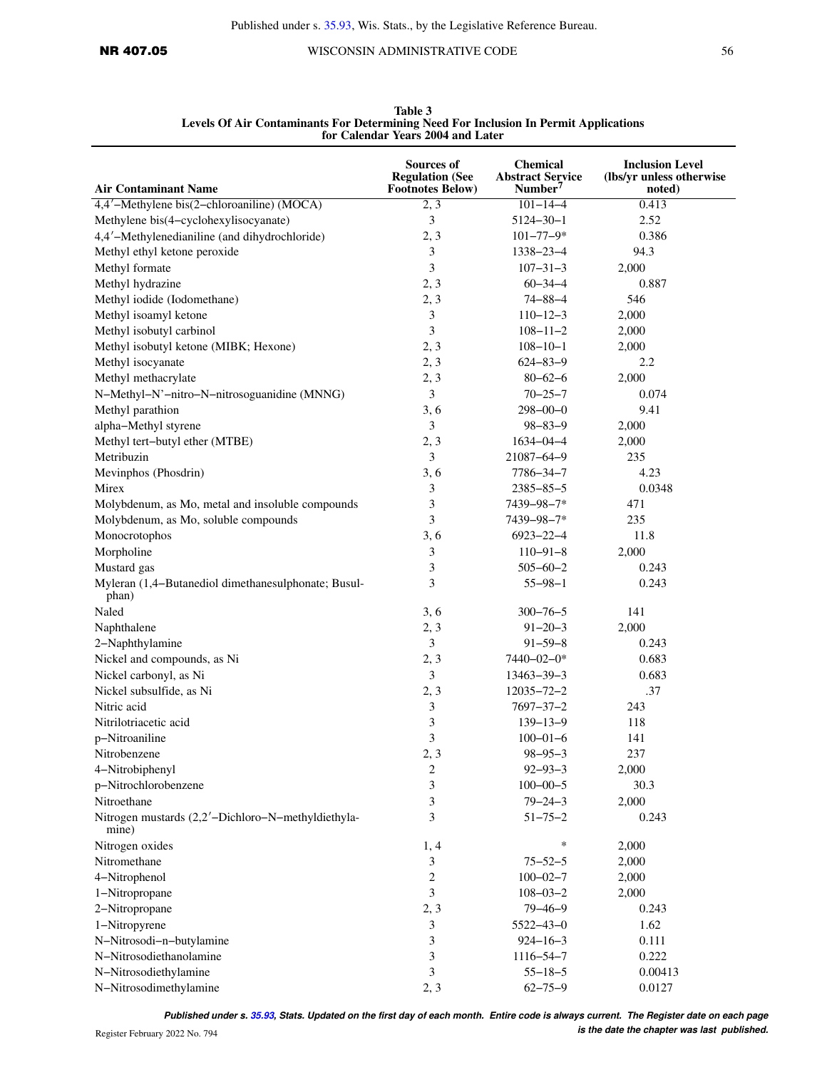| <b>Air Contaminant Name</b>                                  | Sources of<br><b>Regulation (See</b><br><b>Footnotes Below)</b> | <b>Chemical</b><br><b>Abstract Service</b><br>Number <sup>7</sup> | <b>Inclusion Level</b><br>(lbs/yr unless otherwise<br>noted) |
|--------------------------------------------------------------|-----------------------------------------------------------------|-------------------------------------------------------------------|--------------------------------------------------------------|
| 4,4'-Methylene bis(2-chloroaniline) (MOCA)                   | 2, 3                                                            | $101 - 14 - 4$                                                    | 0.413                                                        |
| Methylene bis(4-cyclohexylisocyanate)                        | 3                                                               | $5124 - 30 - 1$                                                   | 2.52                                                         |
| 4,4'-Methylenedianiline (and dihydrochloride)                | 2, 3                                                            | $101 - 77 - 9*$                                                   | 0.386                                                        |
| Methyl ethyl ketone peroxide                                 | 3                                                               | $1338 - 23 - 4$                                                   | 94.3                                                         |
| Methyl formate                                               | 3                                                               | $107 - 31 - 3$                                                    | 2,000                                                        |
| Methyl hydrazine                                             | 2, 3                                                            | $60 - 34 - 4$                                                     | 0.887                                                        |
| Methyl iodide (Iodomethane)                                  | 2, 3                                                            | $74 - 88 - 4$                                                     | 546                                                          |
| Methyl isoamyl ketone                                        | 3                                                               | $110 - 12 - 3$                                                    | 2,000                                                        |
| Methyl isobutyl carbinol                                     | 3                                                               | $108 - 11 - 2$                                                    | 2,000                                                        |
| Methyl isobutyl ketone (MIBK; Hexone)                        | 2, 3                                                            | $108 - 10 - 1$                                                    | 2,000                                                        |
| Methyl isocyanate                                            | 2, 3                                                            | $624 - 83 - 9$                                                    | 2.2                                                          |
| Methyl methacrylate                                          | 2, 3                                                            | $80 - 62 - 6$                                                     | 2,000                                                        |
| N-Methyl-N'-nitro-N-nitrosoguanidine (MNNG)                  | 3                                                               | $70 - 25 - 7$                                                     | 0.074                                                        |
| Methyl parathion                                             | 3, 6                                                            | $298 - 00 - 0$                                                    | 9.41                                                         |
| alpha-Methyl styrene                                         | 3                                                               | $98 - 83 - 9$                                                     | 2,000                                                        |
| Methyl tert-butyl ether (MTBE)                               | 2, 3                                                            | $1634 - 04 - 4$                                                   | 2,000                                                        |
| Metribuzin                                                   | 3                                                               | 21087-64-9                                                        | 235                                                          |
| Mevinphos (Phosdrin)                                         | 3, 6                                                            | 7786-34-7                                                         | 4.23                                                         |
| Mirex                                                        | 3                                                               | $2385 - 85 - 5$                                                   | 0.0348                                                       |
| Molybdenum, as Mo, metal and insoluble compounds             | 3                                                               | 7439-98-7*                                                        | 471                                                          |
| Molybdenum, as Mo, soluble compounds                         | 3                                                               | 7439-98-7*                                                        | 235                                                          |
| Monocrotophos                                                | 3, 6                                                            | 6923-22-4                                                         | 11.8                                                         |
| Morpholine                                                   | 3                                                               | $110 - 91 - 8$                                                    | 2,000                                                        |
| Mustard gas                                                  | 3                                                               | $505 - 60 - 2$                                                    | 0.243                                                        |
| Myleran (1,4-Butanediol dimethanesulphonate; Busul-<br>phan) | 3                                                               | $55 - 98 - 1$                                                     | 0.243                                                        |
| Naled                                                        | 3, 6                                                            | $300 - 76 - 5$                                                    | 141                                                          |
| Naphthalene                                                  | 2, 3                                                            | $91 - 20 - 3$                                                     | 2,000                                                        |
| 2-Naphthylamine                                              | 3                                                               | $91 - 59 - 8$                                                     | 0.243                                                        |
| Nickel and compounds, as Ni                                  | 2, 3                                                            | 7440-02-0*                                                        | 0.683                                                        |
| Nickel carbonyl, as Ni                                       | 3                                                               | $13463 - 39 - 3$                                                  | 0.683                                                        |
| Nickel subsulfide, as Ni                                     | 2, 3                                                            | $12035 - 72 - 2$                                                  | .37                                                          |
| Nitric acid                                                  | 3                                                               | $7697 - 37 - 2$                                                   | 243                                                          |
| Nitrilotriacetic acid                                        | 3                                                               | $139 - 13 - 9$                                                    | 118                                                          |
| p-Nitroaniline                                               | 3                                                               | $100 - 01 - 6$                                                    | 141                                                          |
| Nitrobenzene                                                 | 2, 3                                                            | $98 - 95 - 3$                                                     | 237                                                          |
| 4-Nitrobiphenyl                                              | 2                                                               | $92 - 93 - 3$                                                     | 2,000                                                        |
| p-Nitrochlorobenzene                                         | 3                                                               | $100 - 00 - 5$                                                    | 30.3                                                         |
| Nitroethane                                                  | 3                                                               | $79 - 24 - 3$                                                     | 2,000                                                        |
| Nitrogen mustards (2,2'-Dichloro-N-methyldiethyla-<br>mine)  | 3                                                               | $51 - 75 - 2$                                                     | 0.243                                                        |
| Nitrogen oxides                                              | 1, 4                                                            | $\ast$                                                            | 2,000                                                        |
| Nitromethane                                                 | 3                                                               | $75 - 52 - 5$                                                     | 2,000                                                        |
| 4-Nitrophenol                                                | 2                                                               | $100 - 02 - 7$                                                    | 2,000                                                        |
| 1-Nitropropane                                               | 3                                                               | $108 - 03 - 2$                                                    | 2,000                                                        |
| 2-Nitropropane                                               | 2, 3                                                            | $79 - 46 - 9$                                                     | 0.243                                                        |
| 1-Nitropyrene                                                | 3                                                               | $5522 - 43 - 0$                                                   | 1.62                                                         |
| N-Nitrosodi-n-butylamine                                     | 3                                                               | $924 - 16 - 3$                                                    | 0.111                                                        |
| N-Nitrosodiethanolamine                                      | 3                                                               | $1116 - 54 - 7$                                                   | 0.222                                                        |
| N-Nitrosodiethylamine                                        | 3                                                               | $55 - 18 - 5$                                                     | 0.00413                                                      |
| N-Nitrosodimethylamine                                       | 2, 3                                                            | $62 - 75 - 9$                                                     | 0.0127                                                       |

**Table 3 Levels Of Air Contaminants For Determining Need For Inclusion In Permit Applications for Calendar Years 2004 and Later**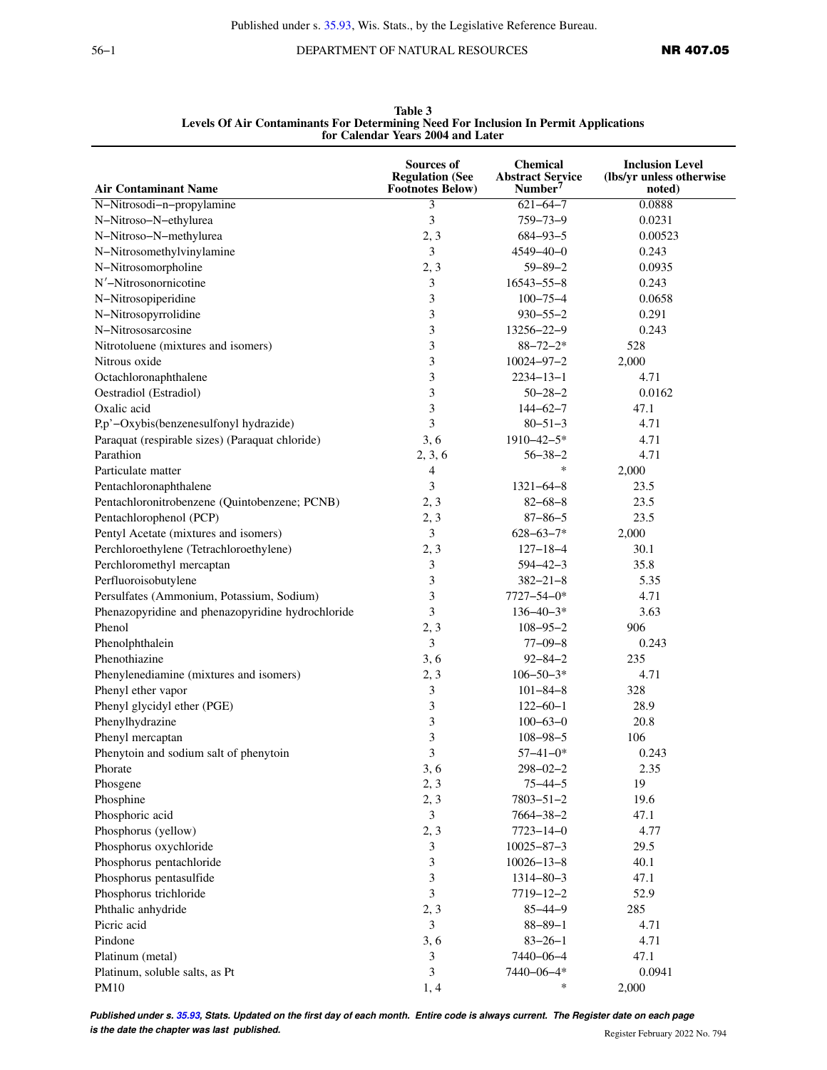56−1 DEPARTMENT OF NATURAL RESOURCES **NR 407.05** 

|                                                   | Sources of              | <b>Chemical</b>         | <b>Inclusion Level</b>   |
|---------------------------------------------------|-------------------------|-------------------------|--------------------------|
|                                                   | <b>Regulation (See</b>  | <b>Abstract Service</b> | (lbs/yr unless otherwise |
| <b>Air Contaminant Name</b>                       | <b>Footnotes Below)</b> | Number <sup>7</sup>     | noted)                   |
| N-Nitrosodi-n-propylamine                         | 3                       | $621 - 64 - 7$          | 0.0888                   |
| N-Nitroso-N-ethylurea                             | 3                       | $759 - 73 - 9$          | 0.0231                   |
| N-Nitroso-N-methylurea                            | 2, 3                    | $684 - 93 - 5$          | 0.00523                  |
| N-Nitrosomethylvinylamine                         | 3                       | $4549 - 40 - 0$         | 0.243                    |
| N-Nitrosomorpholine                               | 2, 3                    | $59 - 89 - 2$           | 0.0935                   |
| N'-Nitrosonornicotine                             | 3                       | $16543 - 55 - 8$        | 0.243                    |
| N-Nitrosopiperidine                               | 3                       | $100 - 75 - 4$          | 0.0658                   |
| N-Nitrosopyrrolidine                              | 3                       | $930 - 55 - 2$          | 0.291                    |
| N-Nitrososarcosine                                | 3                       | 13256-22-9              | 0.243                    |
| Nitrotoluene (mixtures and isomers)               | 3                       | $88 - 72 - 2*$          | 528                      |
| Nitrous oxide                                     | 3                       | $10024 - 97 - 2$        | 2,000                    |
| Octachloronaphthalene                             | 3                       | $2234 - 13 - 1$         | 4.71                     |
| Oestradiol (Estradiol)                            | 3                       | $50 - 28 - 2$           | 0.0162                   |
| Oxalic acid                                       | 3                       | $144 - 62 - 7$          | 47.1                     |
| P,p'-Oxybis(benzenesulfonyl hydrazide)            | 3                       | $80 - 51 - 3$           | 4.71                     |
| Paraquat (respirable sizes) (Paraquat chloride)   | 3, 6                    | $1910 - 42 - 5*$        | 4.71                     |
| Parathion                                         | 2, 3, 6                 | $56 - 38 - 2$           | 4.71                     |
| Particulate matter                                | 4                       | $\ast$                  | 2,000                    |
| Pentachloronaphthalene                            | 3                       | $1321 - 64 - 8$         | 23.5                     |
| Pentachloronitrobenzene (Quintobenzene; PCNB)     | 2, 3                    | $82 - 68 - 8$           | 23.5                     |
| Pentachlorophenol (PCP)                           | 2, 3                    | $87 - 86 - 5$           | 23.5                     |
| Pentyl Acetate (mixtures and isomers)             | 3                       | $628 - 63 - 7*$         | 2,000                    |
| Perchloroethylene (Tetrachloroethylene)           | 2, 3                    | $127 - 18 - 4$          | 30.1                     |
| Perchloromethyl mercaptan                         | 3                       | $594 - 42 - 3$          | 35.8                     |
| Perfluoroisobutylene                              | 3                       | $382 - 21 - 8$          | 5.35                     |
| Persulfates (Ammonium, Potassium, Sodium)         | 3                       | $7727 - 54 - 0*$        | 4.71                     |
| Phenazopyridine and phenazopyridine hydrochloride | 3                       | $136 - 40 - 3*$         | 3.63                     |
| Phenol                                            | 2, 3                    | $108 - 95 - 2$          | 906                      |
| Phenolphthalein                                   | 3                       | $77 - 09 - 8$           | 0.243                    |
| Phenothiazine                                     | 3, 6                    | $92 - 84 - 2$           | 235                      |
| Phenylenediamine (mixtures and isomers)           | 2, 3                    | $106 - 50 - 3*$         | 4.71                     |
| Phenyl ether vapor                                | 3                       | $101 - 84 - 8$          | 328                      |
| Phenyl glycidyl ether (PGE)                       | 3                       | $122 - 60 - 1$          | 28.9                     |
| Phenylhydrazine                                   | 3                       | $100 - 63 - 0$          | 20.8                     |
|                                                   | 3                       |                         |                          |
| Phenyl mercaptan                                  |                         | $108 - 98 - 5$          | 106                      |
| Phenytoin and sodium salt of phenytoin            | 3                       | $57 - 41 - 0*$          | 0.243                    |
| Phorate                                           | 3, 6                    | $298 - 02 - 2$          | 2.35                     |
| Phosgene                                          | 2, 3                    | $75 - 44 - 5$           | 19                       |
| Phosphine                                         | 2, 3                    | $7803 - 51 - 2$         | 19.6                     |
| Phosphoric acid                                   | $\mathfrak{Z}$          | $7664 - 38 - 2$         | 47.1                     |
| Phosphorus (yellow)                               | 2, 3                    | $7723 - 14 - 0$         | 4.77                     |
| Phosphorus oxychloride                            | 3                       | $10025 - 87 - 3$        | 29.5                     |
| Phosphorus pentachloride                          | 3                       | $10026 - 13 - 8$        | 40.1                     |
| Phosphorus pentasulfide                           | 3                       | $1314 - 80 - 3$         | 47.1                     |
| Phosphorus trichloride                            | 3                       | $7719 - 12 - 2$         | 52.9                     |
| Phthalic anhydride                                | 2, 3                    | $85 - 44 - 9$           | 285                      |
| Picric acid                                       | 3                       | $88 - 89 - 1$           | 4.71                     |
| Pindone                                           | 3, 6                    | $83 - 26 - 1$           | 4.71                     |
| Platinum (metal)                                  | 3                       | 7440-06-4               | 47.1                     |
| Platinum, soluble salts, as Pt                    | 3                       | 7440-06-4*              | 0.0941                   |
| PM10                                              | 1,4                     | $\ast$                  | 2,000                    |

**Table 3 Levels Of Air Contaminants For Determining Need For Inclusion In Permit Applications for Calendar Years 2004 and Later**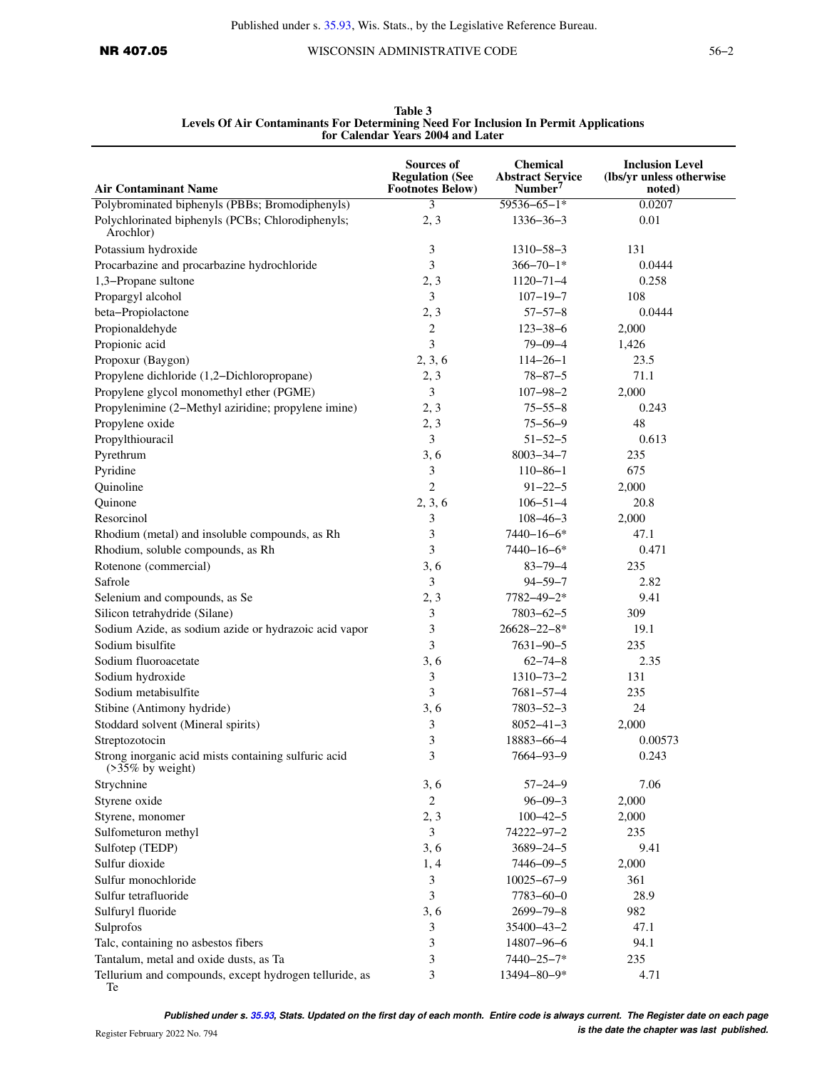| <b>Air Contaminant Name</b>                                                 | <b>Sources of</b><br><b>Regulation (See</b><br><b>Footnotes Below)</b> | <b>Chemical</b><br><b>Abstract Service</b><br>Number <sup>7</sup> | <b>Inclusion Level</b><br>(lbs/yr unless otherwise<br>noted) |
|-----------------------------------------------------------------------------|------------------------------------------------------------------------|-------------------------------------------------------------------|--------------------------------------------------------------|
| Polybrominated biphenyls (PBBs; Bromodiphenyls)                             | 3                                                                      | $59536 - 65 - 1*$                                                 | 0.0207                                                       |
| Polychlorinated biphenyls (PCBs; Chlorodiphenyls;<br>Arochlor)              | 2, 3                                                                   | $1336 - 36 - 3$                                                   | 0.01                                                         |
| Potassium hydroxide                                                         | 3                                                                      | $1310 - 58 - 3$                                                   | 131                                                          |
| Procarbazine and procarbazine hydrochloride                                 | 3                                                                      | $366 - 70 - 1*$                                                   | 0.0444                                                       |
| 1,3-Propane sultone                                                         | 2, 3                                                                   | $1120 - 71 - 4$                                                   | 0.258                                                        |
| Propargyl alcohol                                                           | 3                                                                      | $107 - 19 - 7$                                                    | 108                                                          |
| beta-Propiolactone                                                          | 2, 3                                                                   | $57 - 57 - 8$                                                     | 0.0444                                                       |
| Propionaldehyde                                                             | 2                                                                      | $123 - 38 - 6$                                                    | 2,000                                                        |
| Propionic acid                                                              | 3                                                                      | $79 - 09 - 4$                                                     | 1,426                                                        |
| Propoxur (Baygon)                                                           | 2, 3, 6                                                                | $114 - 26 - 1$                                                    | 23.5                                                         |
| Propylene dichloride (1,2-Dichloropropane)                                  | 2, 3                                                                   | $78 - 87 - 5$                                                     | 71.1                                                         |
| Propylene glycol monomethyl ether (PGME)                                    | 3                                                                      | $107 - 98 - 2$                                                    | 2,000                                                        |
| Propylenimine (2-Methyl aziridine; propylene imine)                         | 2, 3                                                                   | $75 - 55 - 8$                                                     | 0.243                                                        |
| Propylene oxide                                                             | 2, 3                                                                   | $75 - 56 - 9$                                                     | 48                                                           |
|                                                                             |                                                                        | $51 - 52 - 5$                                                     | 0.613                                                        |
| Propylthiouracil                                                            | 3                                                                      |                                                                   |                                                              |
| Pyrethrum                                                                   | 3, 6                                                                   | $8003 - 34 - 7$                                                   | 235                                                          |
| Pyridine                                                                    | 3                                                                      | $110 - 86 - 1$                                                    | 675                                                          |
| Quinoline                                                                   | $\overline{2}$                                                         | $91 - 22 - 5$                                                     | 2,000                                                        |
| Quinone                                                                     | 2, 3, 6                                                                | $106 - 51 - 4$                                                    | 20.8                                                         |
| Resorcinol                                                                  | 3                                                                      | $108 - 46 - 3$                                                    | 2,000                                                        |
| Rhodium (metal) and insoluble compounds, as Rh                              | 3                                                                      | $7440 - 16 - 6*$                                                  | 47.1                                                         |
| Rhodium, soluble compounds, as Rh                                           | 3                                                                      | $7440 - 16 - 6*$                                                  | 0.471                                                        |
| Rotenone (commercial)                                                       | 3, 6                                                                   | $83 - 79 - 4$                                                     | 235                                                          |
| Safrole                                                                     | 3                                                                      | $94 - 59 - 7$                                                     | 2.82                                                         |
| Selenium and compounds, as Se                                               | 2, 3                                                                   | 7782-49-2*                                                        | 9.41                                                         |
| Silicon tetrahydride (Silane)                                               | 3                                                                      | $7803 - 62 - 5$                                                   | 309                                                          |
| Sodium Azide, as sodium azide or hydrazoic acid vapor                       | 3                                                                      | $26628 - 22 - 8*$                                                 | 19.1                                                         |
| Sodium bisulfite                                                            | 3                                                                      | $7631 - 90 - 5$                                                   | 235                                                          |
| Sodium fluoroacetate                                                        | 3, 6                                                                   | $62 - 74 - 8$                                                     | 2.35                                                         |
| Sodium hydroxide                                                            | 3                                                                      | $1310 - 73 - 2$                                                   | 131                                                          |
| Sodium metabisulfite                                                        | 3                                                                      | $7681 - 57 - 4$                                                   | 235                                                          |
| Stibine (Antimony hydride)                                                  | 3, 6                                                                   | $7803 - 52 - 3$                                                   | 24                                                           |
| Stoddard solvent (Mineral spirits)                                          | 3                                                                      | $8052 - 41 - 3$                                                   | 2,000                                                        |
| Streptozotocin                                                              | 3                                                                      | 18883-66-4                                                        | 0.00573                                                      |
| Strong inorganic acid mists containing sulfuric acid<br>$($ >35% by weight) | 3                                                                      | 7664-93-9                                                         | 0.243                                                        |
| Strychnine                                                                  | 3, 6                                                                   | $57 - 24 - 9$                                                     | 7.06                                                         |
| Styrene oxide                                                               | $\overline{c}$                                                         | $96 - 09 - 3$                                                     | 2,000                                                        |
| Styrene, monomer                                                            | 2, 3                                                                   | $100 - 42 - 5$                                                    | 2,000                                                        |
| Sulfometuron methyl                                                         | 3                                                                      | 74222-97-2                                                        | 235                                                          |
| Sulfotep (TEDP)                                                             | 3, 6                                                                   | $3689 - 24 - 5$                                                   | 9.41                                                         |
| Sulfur dioxide                                                              | 1, 4                                                                   | $7446 - 09 - 5$                                                   | 2,000                                                        |
| Sulfur monochloride                                                         | 3                                                                      | $10025 - 67 - 9$                                                  | 361                                                          |
| Sulfur tetrafluoride                                                        | 3                                                                      | $7783 - 60 - 0$                                                   | 28.9                                                         |
| Sulfuryl fluoride                                                           | 3, 6                                                                   | $2699 - 79 - 8$                                                   | 982                                                          |
| Sulprofos                                                                   | 3                                                                      | 35400-43-2                                                        | 47.1                                                         |
| Talc, containing no asbestos fibers                                         | 3                                                                      | 14807-96-6                                                        | 94.1                                                         |
| Tantalum, metal and oxide dusts, as Ta                                      | 3                                                                      | 7440-25-7*                                                        | 235                                                          |
| Tellurium and compounds, except hydrogen telluride, as<br>Te                | 3                                                                      | 13494-80-9*                                                       | 4.71                                                         |

**Table 3 Levels Of Air Contaminants For Determining Need For Inclusion In Permit Applications for Calendar Years 2004 and Later**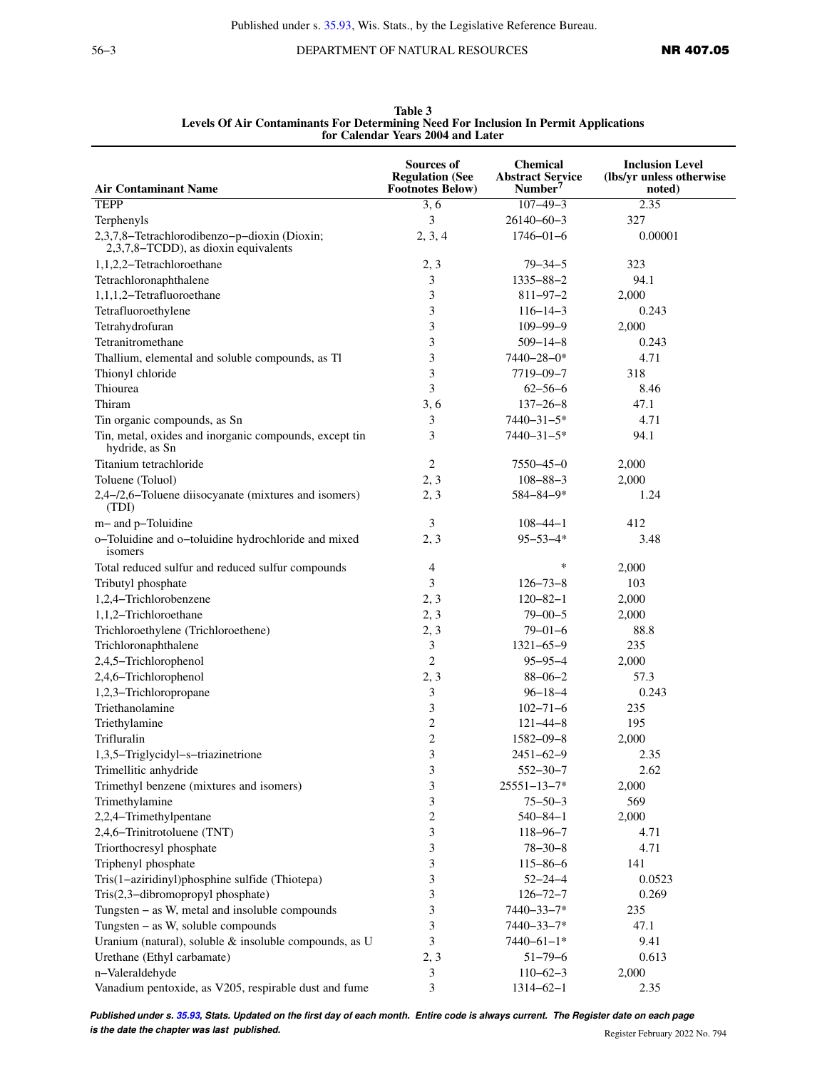56−3 DEPARTMENT OF NATURAL RESOURCES **NR 407.05** 

| <b>Air Contaminant Name</b>                                                          | Sources of<br><b>Regulation (See</b><br><b>Footnotes Below)</b> | <b>Chemical</b><br><b>Abstract Service</b><br>Number <sup>7</sup> | <b>Inclusion Level</b><br>(lbs/yr unless otherwise<br>noted) |
|--------------------------------------------------------------------------------------|-----------------------------------------------------------------|-------------------------------------------------------------------|--------------------------------------------------------------|
| <b>TEPP</b>                                                                          | 3, 6                                                            | $107 - 49 - 3$                                                    | 2.35                                                         |
| Terphenyls                                                                           | 3                                                               | $26140 - 60 - 3$                                                  | 327                                                          |
| 2,3,7,8-Tetrachlorodibenzo-p-dioxin (Dioxin;<br>2,3,7,8-TCDD), as dioxin equivalents | 2, 3, 4                                                         | $1746 - 01 - 6$                                                   | 0.00001                                                      |
| 1,1,2,2-Tetrachloroethane                                                            | 2, 3                                                            | $79 - 34 - 5$                                                     | 323                                                          |
| Tetrachloronaphthalene                                                               | 3                                                               | $1335 - 88 - 2$                                                   | 94.1                                                         |
| 1,1,1,2-Tetrafluoroethane                                                            | 3                                                               | $811 - 97 - 2$                                                    | 2,000                                                        |
| Tetrafluoroethylene                                                                  | 3                                                               | $116 - 14 - 3$                                                    | 0.243                                                        |
| Tetrahydrofuran                                                                      | 3                                                               | $109 - 99 - 9$                                                    | 2,000                                                        |
| Tetranitromethane                                                                    | 3                                                               | $509 - 14 - 8$                                                    | 0.243                                                        |
|                                                                                      | 3                                                               | 7440-28-0*                                                        | 4.71                                                         |
| Thallium, elemental and soluble compounds, as Tl                                     |                                                                 |                                                                   |                                                              |
| Thionyl chloride                                                                     | 3                                                               | 7719-09-7                                                         | 318                                                          |
| Thiourea                                                                             | 3                                                               | $62 - 56 - 6$                                                     | 8.46                                                         |
| Thiram                                                                               | 3, 6                                                            | $137 - 26 - 8$                                                    | 47.1                                                         |
| Tin organic compounds, as Sn                                                         | 3                                                               | $7440 - 31 - 5*$                                                  | 4.71                                                         |
| Tin, metal, oxides and inorganic compounds, except tin<br>hydride, as Sn             | 3                                                               | $7440 - 31 - 5*$                                                  | 94.1                                                         |
| Titanium tetrachloride                                                               | 2                                                               | $7550 - 45 - 0$                                                   | 2,000                                                        |
| Toluene (Toluol)                                                                     | 2, 3                                                            | $108 - 88 - 3$                                                    | 2,000                                                        |
| 2,4-/2,6-Toluene diisocyanate (mixtures and isomers)<br>(TDI)                        | 2, 3                                                            | 584-84-9*                                                         | 1.24                                                         |
| m- and p-Toluidine                                                                   | 3                                                               | $108 - 44 - 1$                                                    | 412                                                          |
| o-Toluidine and o-toluidine hydrochloride and mixed<br>isomers                       | 2, 3                                                            | $95 - 53 - 4*$                                                    | 3.48                                                         |
| Total reduced sulfur and reduced sulfur compounds                                    | 4                                                               | $\ast$                                                            | 2,000                                                        |
| Tributyl phosphate                                                                   | 3                                                               | $126 - 73 - 8$                                                    | 103                                                          |
| 1,2,4-Trichlorobenzene                                                               | 2, 3                                                            | $120 - 82 - 1$                                                    | 2,000                                                        |
| 1,1,2-Trichloroethane                                                                | 2, 3                                                            | $79 - 00 - 5$                                                     | 2,000                                                        |
| Trichloroethylene (Trichloroethene)                                                  | 2, 3                                                            | $79 - 01 - 6$                                                     | 88.8                                                         |
| Trichloronaphthalene                                                                 | 3                                                               | $1321 - 65 - 9$                                                   | 235                                                          |
| 2,4,5-Trichlorophenol                                                                | $\overline{2}$                                                  | $95 - 95 - 4$                                                     | 2,000                                                        |
| 2,4,6-Trichlorophenol                                                                | 2, 3                                                            | $88 - 06 - 2$                                                     | 57.3                                                         |
| 1,2,3-Trichloropropane                                                               | 3                                                               | $96 - 18 - 4$                                                     | 0.243                                                        |
| Triethanolamine                                                                      | 3                                                               | $102 - 71 - 6$                                                    | 235                                                          |
| Triethylamine                                                                        | $\overline{c}$                                                  | $121 - 44 - 8$                                                    | 195                                                          |
| Trifluralin                                                                          | $\overline{2}$                                                  | $1582 - 09 - 8$                                                   | 2,000                                                        |
| 1,3,5-Triglycidyl-s-triazinetrione                                                   | 3                                                               | $2451 - 62 - 9$                                                   | 2.35                                                         |
| Trimellitic anhydride                                                                | 3                                                               | $552 - 30 - 7$                                                    | 2.62                                                         |
| Trimethyl benzene (mixtures and isomers)                                             | 3                                                               | $25551 - 13 - 7*$                                                 | 2,000                                                        |
| Trimethylamine                                                                       |                                                                 |                                                                   | 569                                                          |
|                                                                                      | 3<br>$\overline{c}$                                             | $75 - 50 - 3$                                                     |                                                              |
| 2,2,4-Trimethylpentane                                                               |                                                                 | $540 - 84 - 1$                                                    | 2,000                                                        |
| 2,4,6-Trinitrotoluene (TNT)                                                          | 3                                                               | $118 - 96 - 7$                                                    | 4.71                                                         |
| Triorthocresyl phosphate                                                             | 3                                                               | $78 - 30 - 8$                                                     | 4.71                                                         |
| Triphenyl phosphate                                                                  | 3                                                               | $115 - 86 - 6$                                                    | 141                                                          |
| Tris(1-aziridinyl)phosphine sulfide (Thiotepa)                                       | 3                                                               | $52 - 24 - 4$                                                     | 0.0523                                                       |
| Tris(2,3-dibromopropyl phosphate)                                                    | 3                                                               | $126 - 72 - 7$                                                    | 0.269                                                        |
| Tungsten - as W, metal and insoluble compounds                                       | 3                                                               | 7440-33-7*                                                        | 235                                                          |
| Tungsten - as W, soluble compounds                                                   | 3                                                               | $7440 - 33 - 7*$                                                  | 47.1                                                         |
| Uranium (natural), soluble & insoluble compounds, as U                               | 3                                                               | $7440 - 61 - 1*$                                                  | 9.41                                                         |
| Urethane (Ethyl carbamate)                                                           | 2, 3                                                            | $51 - 79 - 6$                                                     | 0.613                                                        |
| n-Valeraldehyde                                                                      | 3                                                               | $110 - 62 - 3$                                                    | 2,000                                                        |
| Vanadium pentoxide, as V205, respirable dust and fume                                | 3                                                               | $1314 - 62 - 1$                                                   | 2.35                                                         |

**Table 3 Levels Of Air Contaminants For Determining Need For Inclusion In Permit Applications for Calendar Years 2004 and Later**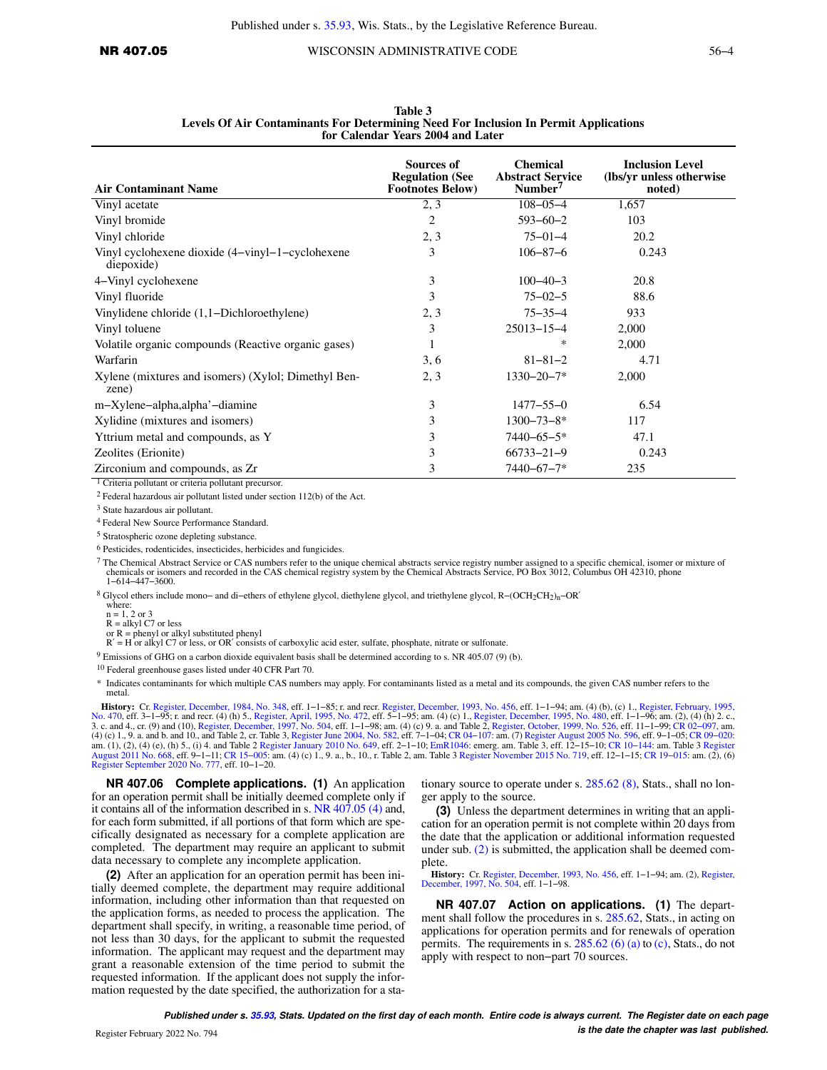| <b>Air Contaminant Name</b>                                    | <b>Sources of</b><br><b>Regulation (See</b><br><b>Footnotes Below)</b> | <b>Chemical</b><br><b>Abstract Service</b><br>Number <sup>7</sup> | <b>Inclusion Level</b><br>(lbs/yr unless otherwise)<br>noted) |
|----------------------------------------------------------------|------------------------------------------------------------------------|-------------------------------------------------------------------|---------------------------------------------------------------|
| Vinyl acetate                                                  | 2, 3                                                                   | $108 - 05 - 4$                                                    | 1,657                                                         |
| Vinyl bromide                                                  | $\overline{2}$                                                         | $593 - 60 - 2$                                                    | 103                                                           |
| Vinyl chloride                                                 | 2, 3                                                                   | $75 - 01 - 4$                                                     | 20.2                                                          |
| Vinyl cyclohexene dioxide (4-vinyl-1-cyclohexene<br>diepoxide) | 3                                                                      | $106 - 87 - 6$                                                    | 0.243                                                         |
| 4–Vinyl cyclohexene                                            | 3                                                                      | $100 - 40 - 3$                                                    | 20.8                                                          |
| Vinyl fluoride                                                 | 3                                                                      | $75 - 02 - 5$                                                     | 88.6                                                          |
| Vinylidene chloride (1,1–Dichloroethylene)                     | 2, 3                                                                   | $75 - 35 - 4$                                                     | 933                                                           |
| Vinyl toluene                                                  | 3                                                                      | $25013 - 15 - 4$                                                  | 2,000                                                         |
| Volatile organic compounds (Reactive organic gases)            |                                                                        | ∗                                                                 | 2,000                                                         |
| Warfarin                                                       | 3, 6                                                                   | $81 - 81 - 2$                                                     | 4.71                                                          |
| Xylene (mixtures and isomers) (Xylol; Dimethyl Ben-<br>zene)   | 2, 3                                                                   | $1330 - 20 - 7*$                                                  | 2,000                                                         |
| m-Xylene-alpha, alpha' - diamine                               | 3                                                                      | $1477 - 55 - 0$                                                   | 6.54                                                          |
| Xylidine (mixtures and isomers)                                | 3                                                                      | $1300 - 73 - 8*$                                                  | 117                                                           |
| Yttrium metal and compounds, as Y                              | 3                                                                      | $7440 - 65 - 5*$                                                  | 47.1                                                          |
| Zeolites (Erionite)                                            | 3                                                                      | $66733 - 21 - 9$                                                  | 0.243                                                         |
| Zirconium and compounds, as Zr                                 | 3                                                                      | $7440 - 67 - 7*$                                                  | 235                                                           |

**Table 3 Levels Of Air Contaminants For Determining Need For Inclusion In Permit Applications for Calendar Years 2004 and Later**

1 Criteria pollutant or criteria pollutant precursor.

2 Federal hazardous air pollutant listed under section 112(b) of the Act.

3 State hazardous air pollutant.

4 Federal New Source Performance Standard.

5 Stratospheric ozone depleting substance.

6 Pesticides, rodenticides, insecticides, herbicides and fungicides.

7 The Chemical Abstract Service or CAS numbers refer to the unique chemical abstracts service registry number assigned to a specific chemical, isomer or mixture of chemicals or isomers and recorded in the CAS chemical registry system by the Chemical Abstracts Service, PO Box 3012, Columbus OH 42310, phone 1−614−447−3600.

<sup>8</sup> Glycol ethers include mono− and di−ethers of ethylene glycol, diethylene glycol, and triethylene glycol, R−(OCH2CH2)n−OR′

where: n = 1, 2 or 3

R = alkyl C7 or less

or R = phenyl or alkyl substituted phenyl R′ = H or alkyl C7 or less, or OR′ consists of carboxylic acid ester, sulfate, phosphate, nitrate or sulfonate.

9 Emissions of GHG on a carbon dioxide equivalent basis shall be determined according to s. NR 405.07 (9) (b).

10 Federal greenhouse gases listed under 40 CFR Part 70.

\* Indicates contaminants for which multiple CAS numbers may apply. For contaminants listed as a metal and its compounds, the given CAS number refers to the metal.

**History:** Cr. [Register, December, 1984, No. 348](https://docs-preview.legis.wisconsin.gov/document/register/348/B/toc), eff. 1–1–85; r. and recr. [Register, December, 1993, No. 456,](https://docs-preview.legis.wisconsin.gov/document/register/456/B/toc) eff. 1–1–94; am. (4) (b), (c) 1., [Register, February, 1995,](https://docs-preview.legis.wisconsin.gov/document/register/470/B/toc) [No. 470](https://docs-preview.legis.wisconsin.gov/document/register/470/B/toc), eff. 3–1–95; r. and recr. (4) (h) 5., Regi am. (1), (2), (4) (e), (h) 5., (i) 4. and Table 2 [Register January 2010 No. 649](https://docs-preview.legis.wisconsin.gov/document/register/649/B/toc), eff. 2–1–10; [EmR1046](https://docs-preview.legis.wisconsin.gov/document/emergencyrules/EmR1046): emerg. am. Table 3, eff. 12–15–10; CR 10–144: am. Table 3 [Register](https://docs-preview.legis.wisconsin.gov/document/register/668/B/toc)<br>[August 2011 No. 668](https://docs-preview.legis.wisconsin.gov/document/register/668/B/toc), eff. 9–1–11; CR 15–005: am. (4) [Register September 2020 No. 777,](https://docs-preview.legis.wisconsin.gov/document/register/777/B/toc) eff. 10−1−20.

**NR 407.06 Complete applications. (1)** An application for an operation permit shall be initially deemed complete only if it contains all of the information described in s. [NR 407.05 \(4\)](https://docs-preview.legis.wisconsin.gov/document/administrativecode/NR%20407.05(4)) and, for each form submitted, if all portions of that form which are specifically designated as necessary for a complete application are completed. The department may require an applicant to submit data necessary to complete any incomplete application.

**(2)** After an application for an operation permit has been initially deemed complete, the department may require additional information, including other information than that requested on the application forms, as needed to process the application. The department shall specify, in writing, a reasonable time period, of not less than 30 days, for the applicant to submit the requested information. The applicant may request and the department may grant a reasonable extension of the time period to submit the requested information. If the applicant does not supply the information requested by the date specified, the authorization for a stationary source to operate under s. [285.62 \(8\)](https://docs-preview.legis.wisconsin.gov/document/statutes/285.62(8)), Stats., shall no longer apply to the source.

**(3)** Unless the department determines in writing that an application for an operation permit is not complete within 20 days from the date that the application or additional information requested under sub. [\(2\)](https://docs-preview.legis.wisconsin.gov/document/administrativecode/NR%20407.06(2)) is submitted, the application shall be deemed complete.

**History:** Cr. [Register, December, 1993, No. 456](https://docs-preview.legis.wisconsin.gov/document/register/456/B/toc), eff. 1−1−94; am. (2), [Register,](https://docs-preview.legis.wisconsin.gov/document/register/504/B/toc) [December, 1997, No. 504](https://docs-preview.legis.wisconsin.gov/document/register/504/B/toc), eff. 1-1-98.

**NR 407.07 Action on applications. (1)** The department shall follow the procedures in s. [285.62,](https://docs-preview.legis.wisconsin.gov/document/statutes/285.62) Stats., in acting on applications for operation permits and for renewals of operation permits. The requirements in s.  $285.62$  (6) (a) to [\(c\)](https://docs-preview.legis.wisconsin.gov/document/statutes/285.62(6)(c)), Stats., do not apply with respect to non−part 70 sources.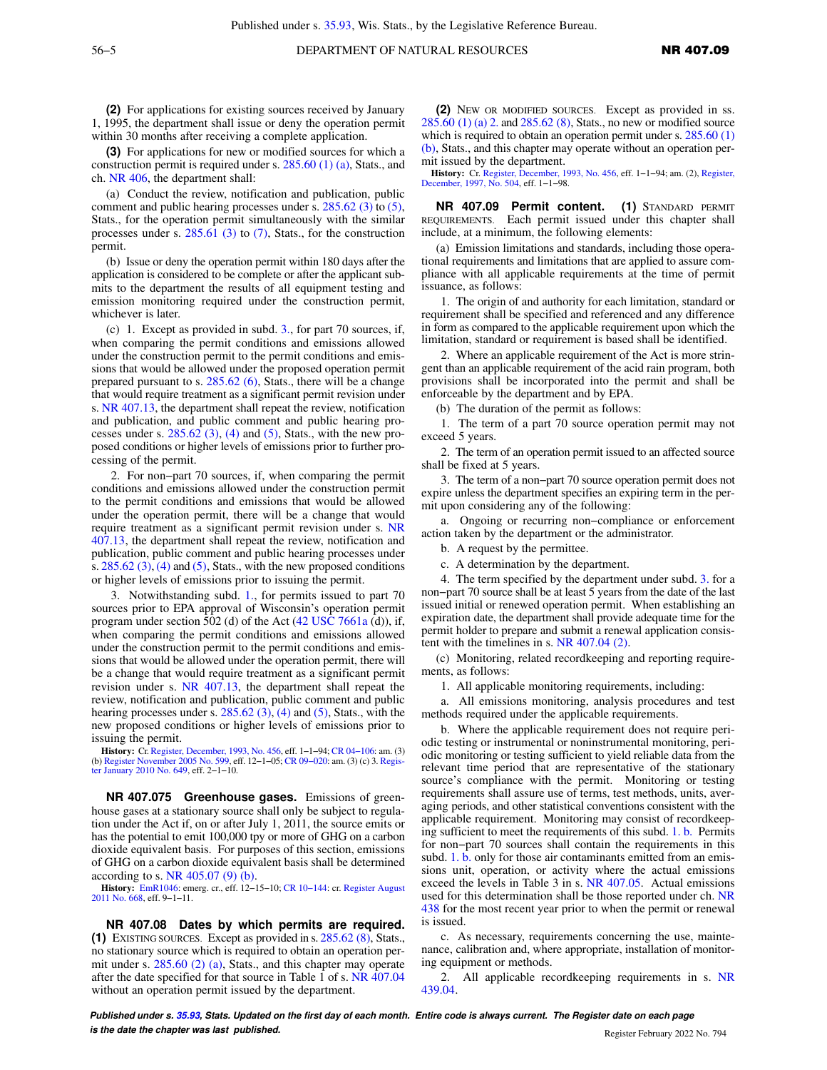**(2)** For applications for existing sources received by January 1, 1995, the department shall issue or deny the operation permit within 30 months after receiving a complete application.

**(3)** For applications for new or modified sources for which a construction permit is required under s. [285.60 \(1\) \(a\),](https://docs-preview.legis.wisconsin.gov/document/statutes/285.60(1)(a)) Stats., and ch. [NR 406](https://docs-preview.legis.wisconsin.gov/document/administrativecode/ch.%20NR%20406), the department shall:

(a) Conduct the review, notification and publication, public comment and public hearing processes under s. [285.62 \(3\)](https://docs-preview.legis.wisconsin.gov/document/statutes/285.62(3)) to [\(5\),](https://docs-preview.legis.wisconsin.gov/document/statutes/285.62(5)) Stats., for the operation permit simultaneously with the similar processes under s.  $285.61$  (3) to [\(7\)](https://docs-preview.legis.wisconsin.gov/document/statutes/285.61(7)), Stats., for the construction permit.

(b) Issue or deny the operation permit within 180 days after the application is considered to be complete or after the applicant submits to the department the results of all equipment testing and emission monitoring required under the construction permit, whichever is later.

(c) 1. Except as provided in subd. [3.,](https://docs-preview.legis.wisconsin.gov/document/administrativecode/NR%20407.07(3)(c)3.) for part 70 sources, if, when comparing the permit conditions and emissions allowed under the construction permit to the permit conditions and emissions that would be allowed under the proposed operation permit prepared pursuant to s. [285.62 \(6\),](https://docs-preview.legis.wisconsin.gov/document/statutes/285.62(6)) Stats., there will be a change that would require treatment as a significant permit revision under s. [NR 407.13,](https://docs-preview.legis.wisconsin.gov/document/administrativecode/NR%20407.13) the department shall repeat the review, notification and publication, and public comment and public hearing processes under s.  $285.62$  (3), [\(4\)](https://docs-preview.legis.wisconsin.gov/document/statutes/285.62(4)) and [\(5\)](https://docs-preview.legis.wisconsin.gov/document/statutes/285.62(5)), Stats., with the new proposed conditions or higher levels of emissions prior to further processing of the permit.

2. For non−part 70 sources, if, when comparing the permit conditions and emissions allowed under the construction permit to the permit conditions and emissions that would be allowed under the operation permit, there will be a change that would require treatment as a significant permit revision under s. [NR](https://docs-preview.legis.wisconsin.gov/document/administrativecode/NR%20407.13) [407.13,](https://docs-preview.legis.wisconsin.gov/document/administrativecode/NR%20407.13) the department shall repeat the review, notification and publication, public comment and public hearing processes under s.  $285.62$  (3), [\(4\)](https://docs-preview.legis.wisconsin.gov/document/statutes/285.62(4)) and [\(5\)](https://docs-preview.legis.wisconsin.gov/document/statutes/285.62(5)), Stats., with the new proposed conditions or higher levels of emissions prior to issuing the permit.

3. Notwithstanding subd. [1.](https://docs-preview.legis.wisconsin.gov/document/administrativecode/NR%20407.07(3)(c)1.), for permits issued to part 70 sources prior to EPA approval of Wisconsin's operation permit program under section 502 (d) of the Act ([42 USC 7661a](https://docs-preview.legis.wisconsin.gov/document/usc/42%20USC%207661a) (d)), if, when comparing the permit conditions and emissions allowed under the construction permit to the permit conditions and emissions that would be allowed under the operation permit, there will be a change that would require treatment as a significant permit revision under s. [NR 407.13](https://docs-preview.legis.wisconsin.gov/document/administrativecode/NR%20407.13), the department shall repeat the review, notification and publication, public comment and public hearing processes under s.  $285.62$  (3), [\(4\)](https://docs-preview.legis.wisconsin.gov/document/statutes/285.62(4)) and [\(5\),](https://docs-preview.legis.wisconsin.gov/document/statutes/285.62(5)) Stats., with the new proposed conditions or higher levels of emissions prior to issuing the permit.

**History:** Cr. [Register, December, 1993, No. 456,](https://docs-preview.legis.wisconsin.gov/document/register/456/B/toc) eff. 1−1−94; [CR 04−106](https://docs-preview.legis.wisconsin.gov/document/cr/2004/106): am. (3) (b) [Register November 2005 No. 599,](https://docs-preview.legis.wisconsin.gov/document/register/599/B/toc) eff. 12−1−05; [CR 09−020](https://docs-preview.legis.wisconsin.gov/document/cr/2009/20): am. (3) (c) 3. [Regis](https://docs-preview.legis.wisconsin.gov/document/register/649/B/toc)[ter January 2010 No. 649,](https://docs-preview.legis.wisconsin.gov/document/register/649/B/toc) eff. 2−1−10.

**NR 407.075 Greenhouse gases.** Emissions of greenhouse gases at a stationary source shall only be subject to regulation under the Act if, on or after July 1, 2011, the source emits or has the potential to emit 100,000 tpy or more of GHG on a carbon dioxide equivalent basis. For purposes of this section, emissions of GHG on a carbon dioxide equivalent basis shall be determined according to s. [NR 405.07 \(9\) \(b\)](https://docs-preview.legis.wisconsin.gov/document/administrativecode/NR%20405.07(9)(b)).

**History:** [EmR1046:](https://docs-preview.legis.wisconsin.gov/document/emergencyrules/EmR1046) emerg. cr., eff. 12−15−10; [CR 10−144](https://docs-preview.legis.wisconsin.gov/document/cr/2010/144): cr. [Register August](https://docs-preview.legis.wisconsin.gov/document/register/668/B/toc) [2011 No. 668,](https://docs-preview.legis.wisconsin.gov/document/register/668/B/toc) eff. 9−1−11.

**NR 407.08 Dates by which permits are required. (1)** EXISTING SOURCES. Except as provided in s. [285.62 \(8\)](https://docs-preview.legis.wisconsin.gov/document/statutes/285.62(8)), Stats., no stationary source which is required to obtain an operation permit under s. [285.60 \(2\) \(a\),](https://docs-preview.legis.wisconsin.gov/document/statutes/285.60(2)(a)) Stats., and this chapter may operate after the date specified for that source in Table 1 of s. [NR 407.04](https://docs-preview.legis.wisconsin.gov/document/administrativecode/NR%20407.04) without an operation permit issued by the department.

**(2)** NEW OR MODIFIED SOURCES. Except as provided in ss. [285.60 \(1\) \(a\) 2.](https://docs-preview.legis.wisconsin.gov/document/statutes/285.60(1)(a)2.) and [285.62 \(8\),](https://docs-preview.legis.wisconsin.gov/document/statutes/285.62(8)) Stats., no new or modified source which is required to obtain an operation permit under s. [285.60 \(1\)](https://docs-preview.legis.wisconsin.gov/document/statutes/285.60(1)(b)) [\(b\),](https://docs-preview.legis.wisconsin.gov/document/statutes/285.60(1)(b)) Stats., and this chapter may operate without an operation permit issued by the department.

**History:** Cr. [Register, December, 1993, No. 456](https://docs-preview.legis.wisconsin.gov/document/register/456/B/toc), eff. 1−1−94; am. (2), [Register,](https://docs-preview.legis.wisconsin.gov/document/register/504/B/toc) [December, 1997, No. 504](https://docs-preview.legis.wisconsin.gov/document/register/504/B/toc), eff. 1−1−98.

**NR 407.09 Permit content. (1)** STANDARD PERMIT REQUIREMENTS. Each permit issued under this chapter shall include, at a minimum, the following elements:

(a) Emission limitations and standards, including those operational requirements and limitations that are applied to assure compliance with all applicable requirements at the time of permit issuance, as follows:

1. The origin of and authority for each limitation, standard or requirement shall be specified and referenced and any difference in form as compared to the applicable requirement upon which the limitation, standard or requirement is based shall be identified.

2. Where an applicable requirement of the Act is more stringent than an applicable requirement of the acid rain program, both provisions shall be incorporated into the permit and shall be enforceable by the department and by EPA.

(b) The duration of the permit as follows:

1. The term of a part 70 source operation permit may not exceed 5 years.

2. The term of an operation permit issued to an affected source shall be fixed at 5 years.

3. The term of a non−part 70 source operation permit does not expire unless the department specifies an expiring term in the permit upon considering any of the following:

a. Ongoing or recurring non−compliance or enforcement action taken by the department or the administrator.

b. A request by the permittee.

c. A determination by the department.

4. The term specified by the department under subd. [3.](https://docs-preview.legis.wisconsin.gov/document/administrativecode/NR%20407.09(1)(b)3.) for a non−part 70 source shall be at least 5 years from the date of the last issued initial or renewed operation permit. When establishing an expiration date, the department shall provide adequate time for the permit holder to prepare and submit a renewal application consistent with the timelines in s. [NR 407.04 \(2\).](https://docs-preview.legis.wisconsin.gov/document/administrativecode/NR%20407.04(2))

(c) Monitoring, related recordkeeping and reporting requirements, as follows:

1. All applicable monitoring requirements, including:

a. All emissions monitoring, analysis procedures and test methods required under the applicable requirements.

b. Where the applicable requirement does not require periodic testing or instrumental or noninstrumental monitoring, periodic monitoring or testing sufficient to yield reliable data from the relevant time period that are representative of the stationary source's compliance with the permit. Monitoring or testing requirements shall assure use of terms, test methods, units, averaging periods, and other statistical conventions consistent with the applicable requirement. Monitoring may consist of recordkeeping sufficient to meet the requirements of this subd. [1. b.](https://docs-preview.legis.wisconsin.gov/document/administrativecode/NR%20407.09(1)(c)1.b.) Permits for non−part 70 sources shall contain the requirements in this subd. [1. b.](https://docs-preview.legis.wisconsin.gov/document/administrativecode/NR%20407.09(1)(c)1.b.) only for those air contaminants emitted from an emissions unit, operation, or activity where the actual emissions exceed the levels in Table 3 in s. [NR 407.05.](https://docs-preview.legis.wisconsin.gov/document/administrativecode/NR%20407.05) Actual emissions used for this determination shall be those reported under ch. [NR](https://docs-preview.legis.wisconsin.gov/document/administrativecode/ch.%20NR%20438) [438](https://docs-preview.legis.wisconsin.gov/document/administrativecode/ch.%20NR%20438) for the most recent year prior to when the permit or renewal is issued.

c. As necessary, requirements concerning the use, maintenance, calibration and, where appropriate, installation of monitoring equipment or methods.

2. All applicable recordkeeping requirements in s. [NR](https://docs-preview.legis.wisconsin.gov/document/administrativecode/NR%20439.04) [439.04](https://docs-preview.legis.wisconsin.gov/document/administrativecode/NR%20439.04).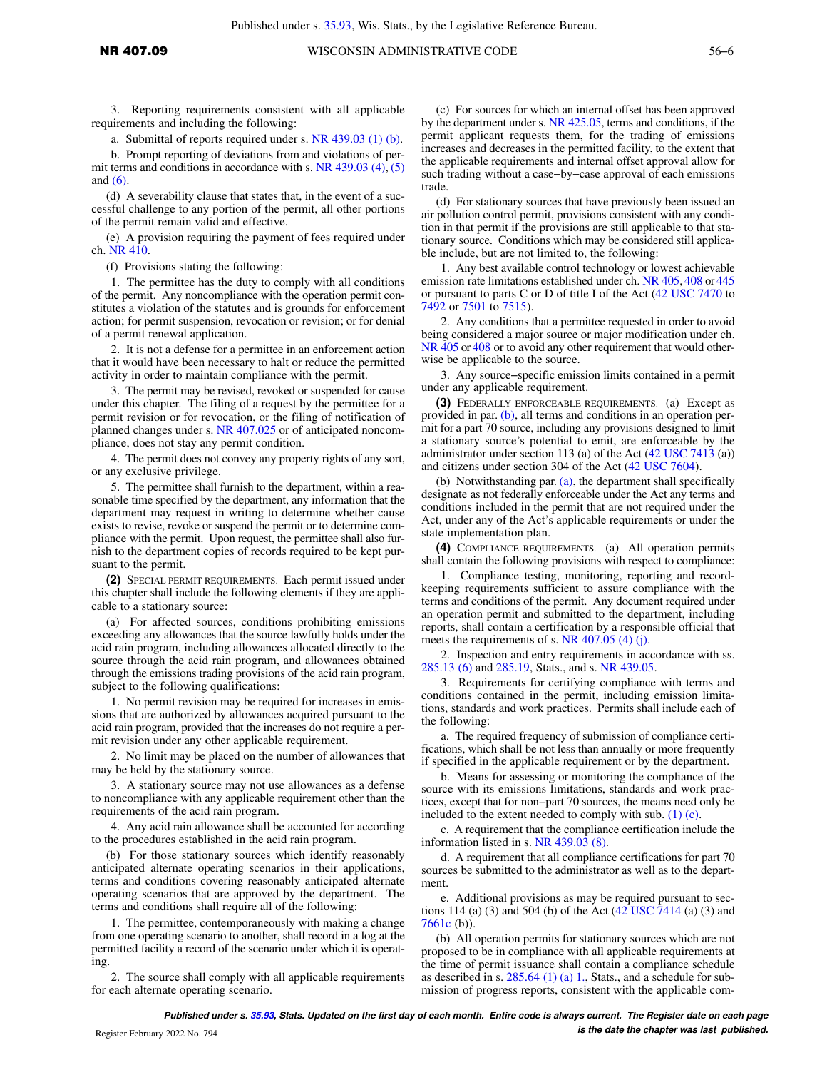3. Reporting requirements consistent with all applicable requirements and including the following:

a. Submittal of reports required under s. [NR 439.03 \(1\) \(b\)](https://docs-preview.legis.wisconsin.gov/document/administrativecode/NR%20439.03(1)(b)).

b. Prompt reporting of deviations from and violations of permit terms and conditions in accordance with s. [NR 439.03 \(4\)](https://docs-preview.legis.wisconsin.gov/document/administrativecode/NR%20439.03(4)), [\(5\)](https://docs-preview.legis.wisconsin.gov/document/administrativecode/NR%20439.03(5)) and [\(6\).](https://docs-preview.legis.wisconsin.gov/document/administrativecode/NR%20439.03(6))

(d) A severability clause that states that, in the event of a successful challenge to any portion of the permit, all other portions of the permit remain valid and effective.

(e) A provision requiring the payment of fees required under ch. [NR 410](https://docs-preview.legis.wisconsin.gov/document/administrativecode/ch.%20NR%20410).

(f) Provisions stating the following:

1. The permittee has the duty to comply with all conditions of the permit. Any noncompliance with the operation permit constitutes a violation of the statutes and is grounds for enforcement action; for permit suspension, revocation or revision; or for denial of a permit renewal application.

2. It is not a defense for a permittee in an enforcement action that it would have been necessary to halt or reduce the permitted activity in order to maintain compliance with the permit.

3. The permit may be revised, revoked or suspended for cause under this chapter. The filing of a request by the permittee for a permit revision or for revocation, or the filing of notification of planned changes under s. [NR 407.025](https://docs-preview.legis.wisconsin.gov/document/administrativecode/NR%20407.025) or of anticipated noncompliance, does not stay any permit condition.

4. The permit does not convey any property rights of any sort, or any exclusive privilege.

5. The permittee shall furnish to the department, within a reasonable time specified by the department, any information that the department may request in writing to determine whether cause exists to revise, revoke or suspend the permit or to determine compliance with the permit. Upon request, the permittee shall also furnish to the department copies of records required to be kept pursuant to the permit.

**(2)** SPECIAL PERMIT REQUIREMENTS. Each permit issued under this chapter shall include the following elements if they are applicable to a stationary source:

(a) For affected sources, conditions prohibiting emissions exceeding any allowances that the source lawfully holds under the acid rain program, including allowances allocated directly to the source through the acid rain program, and allowances obtained through the emissions trading provisions of the acid rain program, subject to the following qualifications:

1. No permit revision may be required for increases in emissions that are authorized by allowances acquired pursuant to the acid rain program, provided that the increases do not require a permit revision under any other applicable requirement.

2. No limit may be placed on the number of allowances that may be held by the stationary source.

3. A stationary source may not use allowances as a defense to noncompliance with any applicable requirement other than the requirements of the acid rain program.

4. Any acid rain allowance shall be accounted for according to the procedures established in the acid rain program.

(b) For those stationary sources which identify reasonably anticipated alternate operating scenarios in their applications, terms and conditions covering reasonably anticipated alternate operating scenarios that are approved by the department. The terms and conditions shall require all of the following:

1. The permittee, contemporaneously with making a change from one operating scenario to another, shall record in a log at the permitted facility a record of the scenario under which it is operating.

2. The source shall comply with all applicable requirements for each alternate operating scenario.

(c) For sources for which an internal offset has been approved by the department under s. [NR 425.05](https://docs-preview.legis.wisconsin.gov/document/administrativecode/NR%20425.05), terms and conditions, if the permit applicant requests them, for the trading of emissions increases and decreases in the permitted facility, to the extent that the applicable requirements and internal offset approval allow for such trading without a case−by−case approval of each emissions trade.

(d) For stationary sources that have previously been issued an air pollution control permit, provisions consistent with any condition in that permit if the provisions are still applicable to that stationary source. Conditions which may be considered still applicable include, but are not limited to, the following:

1. Any best available control technology or lowest achievable emission rate limitations established under ch. [NR 405](https://docs-preview.legis.wisconsin.gov/document/administrativecode/ch.%20NR%20405), [408](https://docs-preview.legis.wisconsin.gov/document/administrativecode/ch.%20NR%20408) or [445](https://docs-preview.legis.wisconsin.gov/document/administrativecode/ch.%20NR%20445) or pursuant to parts C or D of title I of the Act [\(42 USC 7470](https://docs-preview.legis.wisconsin.gov/document/usc/42%20USC%207470) to [7492](https://docs-preview.legis.wisconsin.gov/document/usc/42%20USC%207492) or [7501](https://docs-preview.legis.wisconsin.gov/document/usc/42%20USC%207501) to [7515](https://docs-preview.legis.wisconsin.gov/document/usc/42%20USC%207515)).

2. Any conditions that a permittee requested in order to avoid being considered a major source or major modification under ch. [NR 405](https://docs-preview.legis.wisconsin.gov/document/administrativecode/ch.%20NR%20405) or [408](https://docs-preview.legis.wisconsin.gov/document/administrativecode/ch.%20NR%20408) or to avoid any other requirement that would otherwise be applicable to the source.

3. Any source−specific emission limits contained in a permit under any applicable requirement.

**(3)** FEDERALLY ENFORCEABLE REQUIREMENTS. (a) Except as provided in par. [\(b\)](https://docs-preview.legis.wisconsin.gov/document/administrativecode/NR%20407.09(3)(b)), all terms and conditions in an operation permit for a part 70 source, including any provisions designed to limit a stationary source's potential to emit, are enforceable by the administrator under section 113 (a) of the Act [\(42 USC 7413](https://docs-preview.legis.wisconsin.gov/document/usc/42%20USC%207413) (a)) and citizens under section 304 of the Act [\(42 USC 7604\)](https://docs-preview.legis.wisconsin.gov/document/usc/42%20USC%207604).

(b) Notwithstanding par. [\(a\)](https://docs-preview.legis.wisconsin.gov/document/administrativecode/NR%20407.09(3)(a)), the department shall specifically designate as not federally enforceable under the Act any terms and conditions included in the permit that are not required under the Act, under any of the Act's applicable requirements or under the state implementation plan.

**(4)** COMPLIANCE REQUIREMENTS. (a) All operation permits shall contain the following provisions with respect to compliance:

1. Compliance testing, monitoring, reporting and recordkeeping requirements sufficient to assure compliance with the terms and conditions of the permit. Any document required under an operation permit and submitted to the department, including reports, shall contain a certification by a responsible official that meets the requirements of s. [NR 407.05 \(4\) \(j\)](https://docs-preview.legis.wisconsin.gov/document/administrativecode/NR%20407.05(4)(j)).

2. Inspection and entry requirements in accordance with ss. [285.13 \(6\)](https://docs-preview.legis.wisconsin.gov/document/statutes/285.13(6)) and [285.19](https://docs-preview.legis.wisconsin.gov/document/statutes/285.19), Stats., and s. [NR 439.05](https://docs-preview.legis.wisconsin.gov/document/administrativecode/NR%20439.05).

3. Requirements for certifying compliance with terms and conditions contained in the permit, including emission limitations, standards and work practices. Permits shall include each of the following:

a. The required frequency of submission of compliance certifications, which shall be not less than annually or more frequently if specified in the applicable requirement or by the department.

b. Means for assessing or monitoring the compliance of the source with its emissions limitations, standards and work practices, except that for non−part 70 sources, the means need only be included to the extent needed to comply with sub. [\(1\) \(c\)](https://docs-preview.legis.wisconsin.gov/document/administrativecode/NR%20407.09(1)(c)).

c. A requirement that the compliance certification include the information listed in s. [NR 439.03 \(8\).](https://docs-preview.legis.wisconsin.gov/document/administrativecode/NR%20439.03(8))

d. A requirement that all compliance certifications for part 70 sources be submitted to the administrator as well as to the department.

e. Additional provisions as may be required pursuant to sections 114 (a) (3) and 504 (b) of the Act ([42 USC 7414](https://docs-preview.legis.wisconsin.gov/document/usc/42%20USC%207414) (a) (3) and [7661c](https://docs-preview.legis.wisconsin.gov/document/usc/42%20USC%207661c) (b)).

(b) All operation permits for stationary sources which are not proposed to be in compliance with all applicable requirements at the time of permit issuance shall contain a compliance schedule as described in s.  $285.64$  (1) (a) 1., Stats., and a schedule for submission of progress reports, consistent with the applicable com-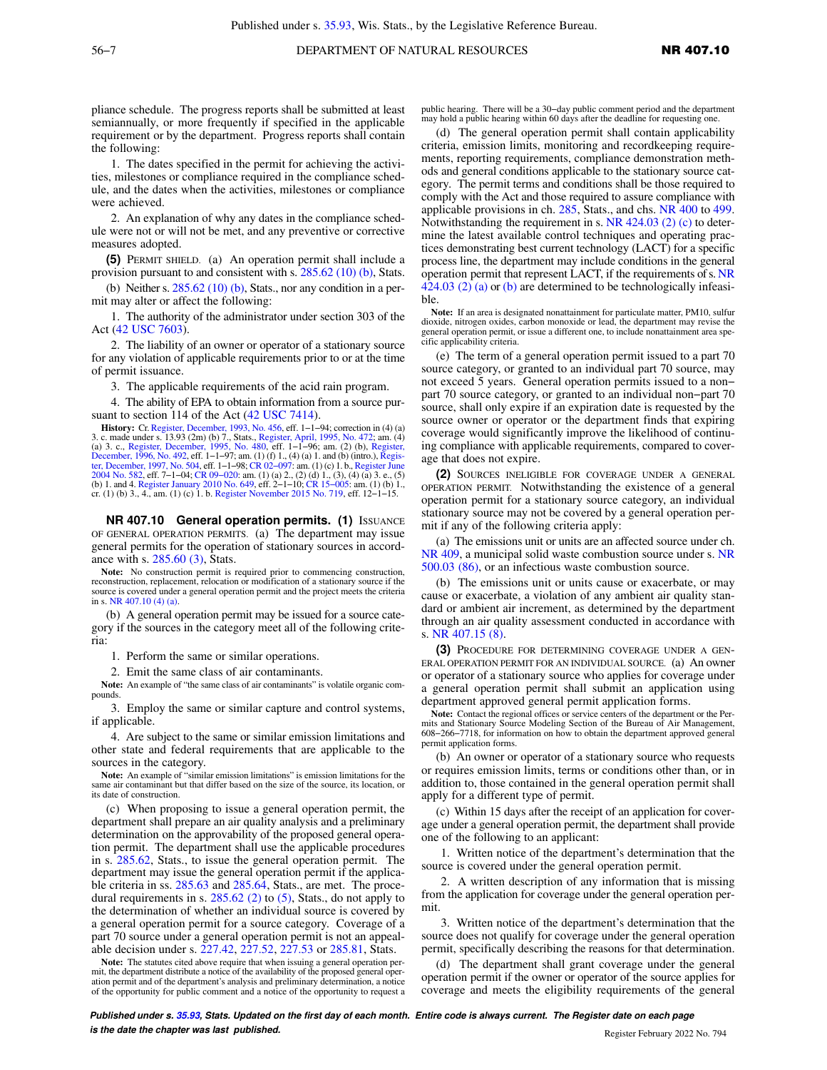pliance schedule. The progress reports shall be submitted at least semiannually, or more frequently if specified in the applicable requirement or by the department. Progress reports shall contain the following:

1. The dates specified in the permit for achieving the activities, milestones or compliance required in the compliance schedule, and the dates when the activities, milestones or compliance were achieved.

2. An explanation of why any dates in the compliance schedule were not or will not be met, and any preventive or corrective measures adopted.

**(5)** PERMIT SHIELD. (a) An operation permit shall include a provision pursuant to and consistent with s. [285.62 \(10\) \(b\)](https://docs-preview.legis.wisconsin.gov/document/statutes/285.62(10)(b)), Stats.

(b) Neither s.  $285.62$  (10) (b), Stats., nor any condition in a permit may alter or affect the following:

1. The authority of the administrator under section 303 of the Act [\(42 USC 7603](https://docs-preview.legis.wisconsin.gov/document/usc/42%20USC%207603)).

2. The liability of an owner or operator of a stationary source for any violation of applicable requirements prior to or at the time of permit issuance.

3. The applicable requirements of the acid rain program.

4. The ability of EPA to obtain information from a source pur-suant to section 114 of the Act [\(42 USC 7414\)](https://docs-preview.legis.wisconsin.gov/document/usc/42%20USC%207414).

**History:** Cr. [Register, December, 1993, No. 456,](https://docs-preview.legis.wisconsin.gov/document/register/456/B/toc) eff. 1−1−94; correction in (4) (a) 3. c. made under s. 13.93 (2m) (b) 7., Stats., [Register, April, 1995, No. 472](https://docs-preview.legis.wisconsin.gov/document/register/472/B/toc); am. (4)<br>(a) 3. c., [Register, December, 1995, No. 480](https://docs-preview.legis.wisconsin.gov/document/register/480/B/toc), eff. 1–1–96; am. (2) (b), [Register,](https://docs-preview.legis.wisconsin.gov/document/register/492/B/toc)<br>[December, 1996, No. 492](https://docs-preview.legis.wisconsin.gov/document/register/492/B/toc), eff. 1–1–97; am. (1) (f) 1., [ter, December, 1997, No. 504,](https://docs-preview.legis.wisconsin.gov/document/register/504/B/toc) eff. 1–1–98; CR 02–097: am. (1) (c) 1. b., [Register June](https://docs-preview.legis.wisconsin.gov/document/register/582/B/toc)<br>[2004 No. 582,](https://docs-preview.legis.wisconsin.gov/document/register/582/B/toc) eff. 7–1–04; CR 09–020: am. (1) (a) 2., (2) (d) 1., (3), (4) (a) 3. e., (5)<br>(b) 1. and 4. [Register January 2010 No. 649](https://docs-preview.legis.wisconsin.gov/document/register/649/B/toc), cr. (1) (b) 3., 4., am. (1) (c) 1. b. [Register November 2015 No. 719](https://docs-preview.legis.wisconsin.gov/document/register/719/B/toc), eff. 12−1−15.

**NR 407.10 General operation permits. (1) ISSUANCE** OF GENERAL OPERATION PERMITS. (a) The department may issue general permits for the operation of stationary sources in accordance with s. [285.60 \(3\),](https://docs-preview.legis.wisconsin.gov/document/statutes/285.60(3)) Stats.

**Note:** No construction permit is required prior to commencing construction, reconstruction, replacement, relocation or modification of a stationary source if the source is covered under a general operation permit and the project meets the criteria in s. [NR 407.10 \(4\) \(a\)](https://docs-preview.legis.wisconsin.gov/document/administrativecode/NR%20407.10(4)(a)).

(b) A general operation permit may be issued for a source category if the sources in the category meet all of the following criteria:

1. Perform the same or similar operations.

2. Emit the same class of air contaminants.

**Note:** An example of "the same class of air contaminants" is volatile organic compounds.

3. Employ the same or similar capture and control systems, if applicable.

4. Are subject to the same or similar emission limitations and other state and federal requirements that are applicable to the sources in the category.

**Note:** An example of "similar emission limitations" is emission limitations for the same air contaminant but that differ based on the size of the source, its location, or its date of construction.

(c) When proposing to issue a general operation permit, the department shall prepare an air quality analysis and a preliminary determination on the approvability of the proposed general operation permit. The department shall use the applicable procedures in s. [285.62,](https://docs-preview.legis.wisconsin.gov/document/statutes/285.62) Stats., to issue the general operation permit. The department may issue the general operation permit if the applica-ble criteria in ss. [285.63](https://docs-preview.legis.wisconsin.gov/document/statutes/285.63) and [285.64,](https://docs-preview.legis.wisconsin.gov/document/statutes/285.64) Stats., are met. The proce-dural requirements in s. [285.62 \(2\)](https://docs-preview.legis.wisconsin.gov/document/statutes/285.62(2)) to [\(5\)](https://docs-preview.legis.wisconsin.gov/document/statutes/285.62(5)), Stats., do not apply to the determination of whether an individual source is covered by a general operation permit for a source category. Coverage of a part 70 source under a general operation permit is not an appealable decision under s. [227.42](https://docs-preview.legis.wisconsin.gov/document/statutes/227.42), [227.52,](https://docs-preview.legis.wisconsin.gov/document/statutes/227.52) [227.53](https://docs-preview.legis.wisconsin.gov/document/statutes/227.53) or [285.81](https://docs-preview.legis.wisconsin.gov/document/statutes/285.81), Stats.

**Note:** The statutes cited above require that when issuing a general operation permit, the department distribute a notice of the availability of the proposed general operation permit and of the department's analysis and preliminary determination, a notice of the opportunity for public comment and a notice of the opportunity to request a public hearing. There will be a 30−day public comment period and the department may hold a public hearing within 60 days after the deadline for requesting one.

(d) The general operation permit shall contain applicability criteria, emission limits, monitoring and recordkeeping requirements, reporting requirements, compliance demonstration methods and general conditions applicable to the stationary source category. The permit terms and conditions shall be those required to comply with the Act and those required to assure compliance with applicable provisions in ch. [285,](https://docs-preview.legis.wisconsin.gov/document/statutes/ch.%20285) Stats., and chs. [NR 400](https://docs-preview.legis.wisconsin.gov/document/administrativecode/ch.%20NR%20400) to [499.](https://docs-preview.legis.wisconsin.gov/document/administrativecode/ch.%20NR%20499) Notwithstanding the requirement in s.  $NR$  424.03 (2) (c) to determine the latest available control techniques and operating practices demonstrating best current technology (LACT) for a specific process line, the department may include conditions in the general operation permit that represent LACT, if the requirements of s. [NR](https://docs-preview.legis.wisconsin.gov/document/administrativecode/NR%20424.03(2)(a)) [424.03 \(2\) \(a\)](https://docs-preview.legis.wisconsin.gov/document/administrativecode/NR%20424.03(2)(a)) or [\(b\)](https://docs-preview.legis.wisconsin.gov/document/administrativecode/NR%20424.03(2)(b)) are determined to be technologically infeasible.

**Note:** If an area is designated nonattainment for particulate matter, PM10, sulfur dioxide, nitrogen oxides, carbon monoxide or lead, the department may revise the general operation permit, or issue a different one, to include nonattainment area specific applicability criteria.

(e) The term of a general operation permit issued to a part 70 source category, or granted to an individual part 70 source, may not exceed 5 years. General operation permits issued to a non− part 70 source category, or granted to an individual non−part 70 source, shall only expire if an expiration date is requested by the source owner or operator or the department finds that expiring coverage would significantly improve the likelihood of continuing compliance with applicable requirements, compared to coverage that does not expire.

**(2)** SOURCES INELIGIBLE FOR COVERAGE UNDER A GENERAL OPERATION PERMIT. Notwithstanding the existence of a general operation permit for a stationary source category, an individual stationary source may not be covered by a general operation permit if any of the following criteria apply:

(a) The emissions unit or units are an affected source under ch. [NR 409](https://docs-preview.legis.wisconsin.gov/document/administrativecode/ch.%20NR%20409), a municipal solid waste combustion source under s. [NR](https://docs-preview.legis.wisconsin.gov/document/administrativecode/NR%20500.03(86)) [500.03 \(86\)](https://docs-preview.legis.wisconsin.gov/document/administrativecode/NR%20500.03(86)), or an infectious waste combustion source.

(b) The emissions unit or units cause or exacerbate, or may cause or exacerbate, a violation of any ambient air quality standard or ambient air increment, as determined by the department through an air quality assessment conducted in accordance with s. [NR 407.15 \(8\).](https://docs-preview.legis.wisconsin.gov/document/administrativecode/NR%20407.15(8))

**(3)** PROCEDURE FOR DETERMINING COVERAGE UNDER A GEN-ERAL OPERATION PERMIT FOR AN INDIVIDUAL SOURCE. (a) An owner or operator of a stationary source who applies for coverage under a general operation permit shall submit an application using department approved general permit application forms.

**Note:** Contact the regional offices or service centers of the department or the Permits and Stationary Source Modeling Section of the Bureau of Air Management, 608−266−7718, for information on how to obtain the department approved general permit application forms.

(b) An owner or operator of a stationary source who requests or requires emission limits, terms or conditions other than, or in addition to, those contained in the general operation permit shall apply for a different type of permit.

(c) Within 15 days after the receipt of an application for coverage under a general operation permit, the department shall provide one of the following to an applicant:

1. Written notice of the department's determination that the source is covered under the general operation permit.

2. A written description of any information that is missing from the application for coverage under the general operation permit.

3. Written notice of the department's determination that the source does not qualify for coverage under the general operation permit, specifically describing the reasons for that determination.

(d) The department shall grant coverage under the general operation permit if the owner or operator of the source applies for coverage and meets the eligibility requirements of the general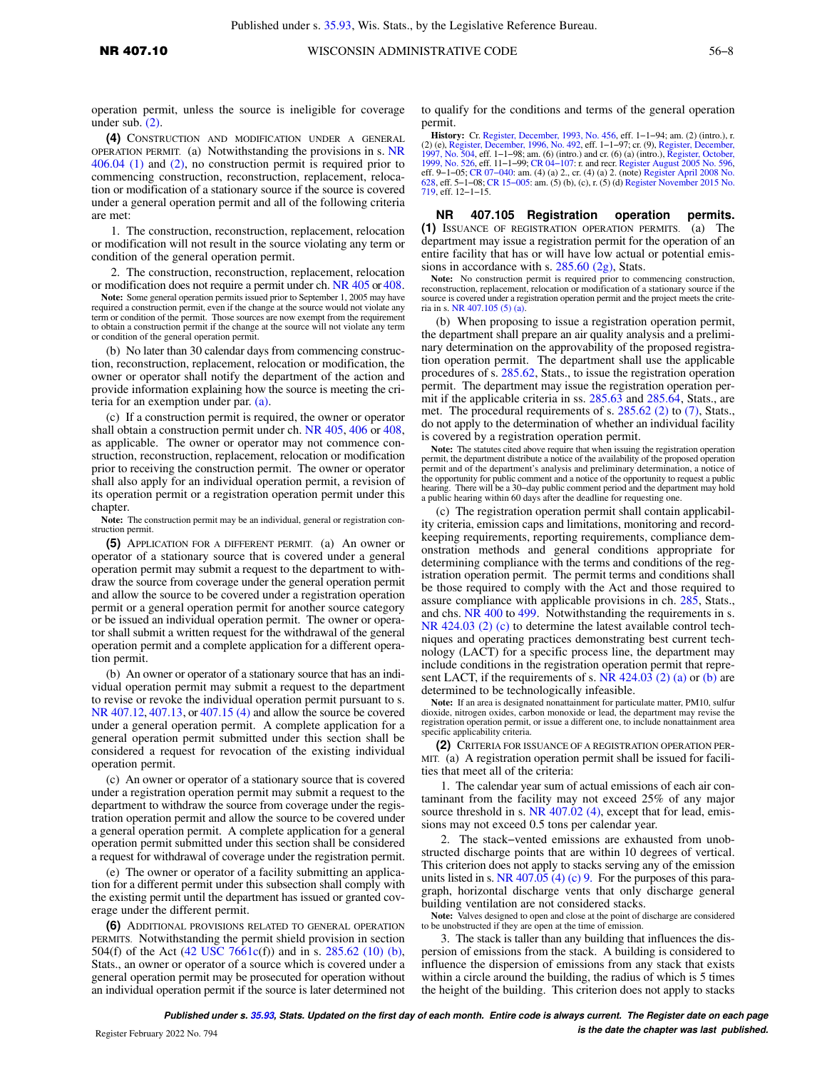operation permit, unless the source is ineligible for coverage under sub. [\(2\)](https://docs-preview.legis.wisconsin.gov/document/administrativecode/NR%20407.10(2)).

**(4)** CONSTRUCTION AND MODIFICATION UNDER A GENERAL OPERATION PERMIT. (a) Notwithstanding the provisions in s. [NR](https://docs-preview.legis.wisconsin.gov/document/administrativecode/NR%20406.04(1)) [406.04 \(1\)](https://docs-preview.legis.wisconsin.gov/document/administrativecode/NR%20406.04(1)) and [\(2\),](https://docs-preview.legis.wisconsin.gov/document/administrativecode/NR%20406.04(2)) no construction permit is required prior to commencing construction, reconstruction, replacement, relocation or modification of a stationary source if the source is covered under a general operation permit and all of the following criteria are met:

1. The construction, reconstruction, replacement, relocation or modification will not result in the source violating any term or condition of the general operation permit.

2. The construction, reconstruction, replacement, relocation or modification does not require a permit under ch. [NR 405](https://docs-preview.legis.wisconsin.gov/document/administrativecode/ch.%20NR%20405) or [408.](https://docs-preview.legis.wisconsin.gov/document/administrativecode/ch.%20NR%20408)

**Note:** Some general operation permits issued prior to September 1, 2005 may have required a construction permit, even if the change at the source would not violate any term or condition of the permit. Those sources are now exempt from the requirement to obtain a construction permit if the change at the source will not violate any term or condition of the general operation permit.

(b) No later than 30 calendar days from commencing construction, reconstruction, replacement, relocation or modification, the owner or operator shall notify the department of the action and provide information explaining how the source is meeting the criteria for an exemption under par. [\(a\).](https://docs-preview.legis.wisconsin.gov/document/administrativecode/NR%20407.10(4)(a))

(c) If a construction permit is required, the owner or operator shall obtain a construction permit under ch. [NR 405](https://docs-preview.legis.wisconsin.gov/document/administrativecode/ch.%20NR%20405), [406](https://docs-preview.legis.wisconsin.gov/document/administrativecode/ch.%20NR%20406) or [408,](https://docs-preview.legis.wisconsin.gov/document/administrativecode/ch.%20NR%20408) as applicable. The owner or operator may not commence construction, reconstruction, replacement, relocation or modification prior to receiving the construction permit. The owner or operator shall also apply for an individual operation permit, a revision of its operation permit or a registration operation permit under this chapter.

**Note:** The construction permit may be an individual, general or registration construction permit.

**(5)** APPLICATION FOR A DIFFERENT PERMIT. (a) An owner or operator of a stationary source that is covered under a general operation permit may submit a request to the department to withdraw the source from coverage under the general operation permit and allow the source to be covered under a registration operation permit or a general operation permit for another source category or be issued an individual operation permit. The owner or operator shall submit a written request for the withdrawal of the general operation permit and a complete application for a different operation permit.

(b) An owner or operator of a stationary source that has an individual operation permit may submit a request to the department to revise or revoke the individual operation permit pursuant to s. [NR 407.12,](https://docs-preview.legis.wisconsin.gov/document/administrativecode/NR%20407.12) [407.13](https://docs-preview.legis.wisconsin.gov/document/administrativecode/NR%20407.13), or [407.15 \(4\)](https://docs-preview.legis.wisconsin.gov/document/administrativecode/NR%20407.15(4)) and allow the source be covered under a general operation permit. A complete application for a general operation permit submitted under this section shall be considered a request for revocation of the existing individual operation permit.

(c) An owner or operator of a stationary source that is covered under a registration operation permit may submit a request to the department to withdraw the source from coverage under the registration operation permit and allow the source to be covered under a general operation permit. A complete application for a general operation permit submitted under this section shall be considered a request for withdrawal of coverage under the registration permit.

(e) The owner or operator of a facility submitting an application for a different permit under this subsection shall comply with the existing permit until the department has issued or granted coverage under the different permit.

**(6)** ADDITIONAL PROVISIONS RELATED TO GENERAL OPERATION PERMITS. Notwithstanding the permit shield provision in section 504(f) of the Act ([42 USC 7661c](https://docs-preview.legis.wisconsin.gov/document/usc/42%20USC%207661c)(f)) and in s. [285.62 \(10\) \(b\),](https://docs-preview.legis.wisconsin.gov/document/statutes/285.62(10)(b)) Stats., an owner or operator of a source which is covered under a general operation permit may be prosecuted for operation without an individual operation permit if the source is later determined not

to qualify for the conditions and terms of the general operation permit.

**History:** Cr. [Register, December, 1993, No. 456](https://docs-preview.legis.wisconsin.gov/document/register/456/B/toc), eff. 1−1−94; am. (2) (intro.), r. (2) (e), [Register, December, 1996, No. 492,](https://docs-preview.legis.wisconsin.gov/document/register/492/B/toc) eff. 1−1−97; cr. (9), [Register, December,](https://docs-preview.legis.wisconsin.gov/document/register/504/B/toc) [1997, No. 504,](https://docs-preview.legis.wisconsin.gov/document/register/504/B/toc) eff. 1−1−98; am. (6) (intro.) and cr. (6) (a) (intro.), [Register, October,](https://docs-preview.legis.wisconsin.gov/document/register/526/B/toc) [1999, No. 526,](https://docs-preview.legis.wisconsin.gov/document/register/526/B/toc) eff. 11−1−99; [CR 04−107:](https://docs-preview.legis.wisconsin.gov/document/cr/2004/107) r. and recr. [Register August 2005 No. 596](https://docs-preview.legis.wisconsin.gov/document/register/596/B/toc), eff. 9−1−05; [CR 07−040](https://docs-preview.legis.wisconsin.gov/document/cr/2007/40): am. (4) (a) 2., cr. (4) (a) 2. (note) [Register April 2008 No.](https://docs-preview.legis.wisconsin.gov/document/register/628/B/toc) [628,](https://docs-preview.legis.wisconsin.gov/document/register/628/B/toc) eff. 5−1−08; [CR 15−005](https://docs-preview.legis.wisconsin.gov/document/cr/2015/5): am. (5) (b), (c), r. (5) (d) [Register November 2015 No.](https://docs-preview.legis.wisconsin.gov/document/register/719/B/toc) [719,](https://docs-preview.legis.wisconsin.gov/document/register/719/B/toc) eff. 12−1−15.

**NR 407.105 Registration operation permits. (1)** ISSUANCE OF REGISTRATION OPERATION PERMITS. (a) The department may issue a registration permit for the operation of an entire facility that has or will have low actual or potential emissions in accordance with s. [285.60 \(2g\),](https://docs-preview.legis.wisconsin.gov/document/statutes/285.60(2g)) Stats.

Note: No construction permit is required prior to commencing construction, reconstruction, replacement, relocation or modification of a stationary source if the source is covered under a registration operation permit and the project meets the criteria in s. [NR 407.105 \(5\) \(a\)](https://docs-preview.legis.wisconsin.gov/document/administrativecode/NR%20407.105(5)(a)).

(b) When proposing to issue a registration operation permit, the department shall prepare an air quality analysis and a preliminary determination on the approvability of the proposed registration operation permit. The department shall use the applicable procedures of s. [285.62](https://docs-preview.legis.wisconsin.gov/document/statutes/285.62), Stats., to issue the registration operation permit. The department may issue the registration operation per-mit if the applicable criteria in ss. [285.63](https://docs-preview.legis.wisconsin.gov/document/statutes/285.63) and [285.64](https://docs-preview.legis.wisconsin.gov/document/statutes/285.64), Stats., are met. The procedural requirements of s.  $285.62$  (2) to [\(7\),](https://docs-preview.legis.wisconsin.gov/document/statutes/285.62(7)) Stats., do not apply to the determination of whether an individual facility is covered by a registration operation permit.

**Note:** The statutes cited above require that when issuing the registration operation permit, the department distribute a notice of the availability of the proposed operation permit and of the department's analysis and preliminary determination, a notice of the opportunity for public comment and a notice of the opportunity to request a public hearing. There will be a 30−day public comment period and the department may hold a public hearing within 60 days after the deadline for requesting one.

(c) The registration operation permit shall contain applicability criteria, emission caps and limitations, monitoring and recordkeeping requirements, reporting requirements, compliance demonstration methods and general conditions appropriate for determining compliance with the terms and conditions of the registration operation permit. The permit terms and conditions shall be those required to comply with the Act and those required to assure compliance with applicable provisions in ch. [285](https://docs-preview.legis.wisconsin.gov/document/statutes/ch.%20285), Stats., and chs. [NR 400](https://docs-preview.legis.wisconsin.gov/document/administrativecode/ch.%20NR%20400) to [499](https://docs-preview.legis.wisconsin.gov/document/administrativecode/ch.%20NR%20499). Notwithstanding the requirements in s. [NR 424.03 \(2\) \(c\)](https://docs-preview.legis.wisconsin.gov/document/administrativecode/NR%20424.03(2)(c)) to determine the latest available control techniques and operating practices demonstrating best current technology (LACT) for a specific process line, the department may include conditions in the registration operation permit that represent LACT, if the requirements of s. NR  $424.03$  (2) (a) or [\(b\)](https://docs-preview.legis.wisconsin.gov/document/administrativecode/NR%20424.03(2)(b)) are determined to be technologically infeasible.

**Note:** If an area is designated nonattainment for particulate matter, PM10, sulfur dioxide, nitrogen oxides, carbon monoxide or lead, the department may revise the registration operation permit, or issue a different one, to include nonattainment area specific applicability criteria.

**(2)** CRITERIA FOR ISSUANCE OF A REGISTRATION OPERATION PER-MIT. (a) A registration operation permit shall be issued for facilities that meet all of the criteria:

1. The calendar year sum of actual emissions of each air contaminant from the facility may not exceed 25% of any major source threshold in s. [NR 407.02 \(4\),](https://docs-preview.legis.wisconsin.gov/document/administrativecode/NR%20407.02(4)) except that for lead, emissions may not exceed 0.5 tons per calendar year.

2. The stack−vented emissions are exhausted from unobstructed discharge points that are within 10 degrees of vertical. This criterion does not apply to stacks serving any of the emission units listed in s. [NR 407.05 \(4\) \(c\) 9.](https://docs-preview.legis.wisconsin.gov/document/administrativecode/NR%20407.05(4)(c)9.) For the purposes of this paragraph, horizontal discharge vents that only discharge general building ventilation are not considered stacks.

**Note:** Valves designed to open and close at the point of discharge are considered to be unobstructed if they are open at the time of emission.

3. The stack is taller than any building that influences the dispersion of emissions from the stack. A building is considered to influence the dispersion of emissions from any stack that exists within a circle around the building, the radius of which is 5 times the height of the building. This criterion does not apply to stacks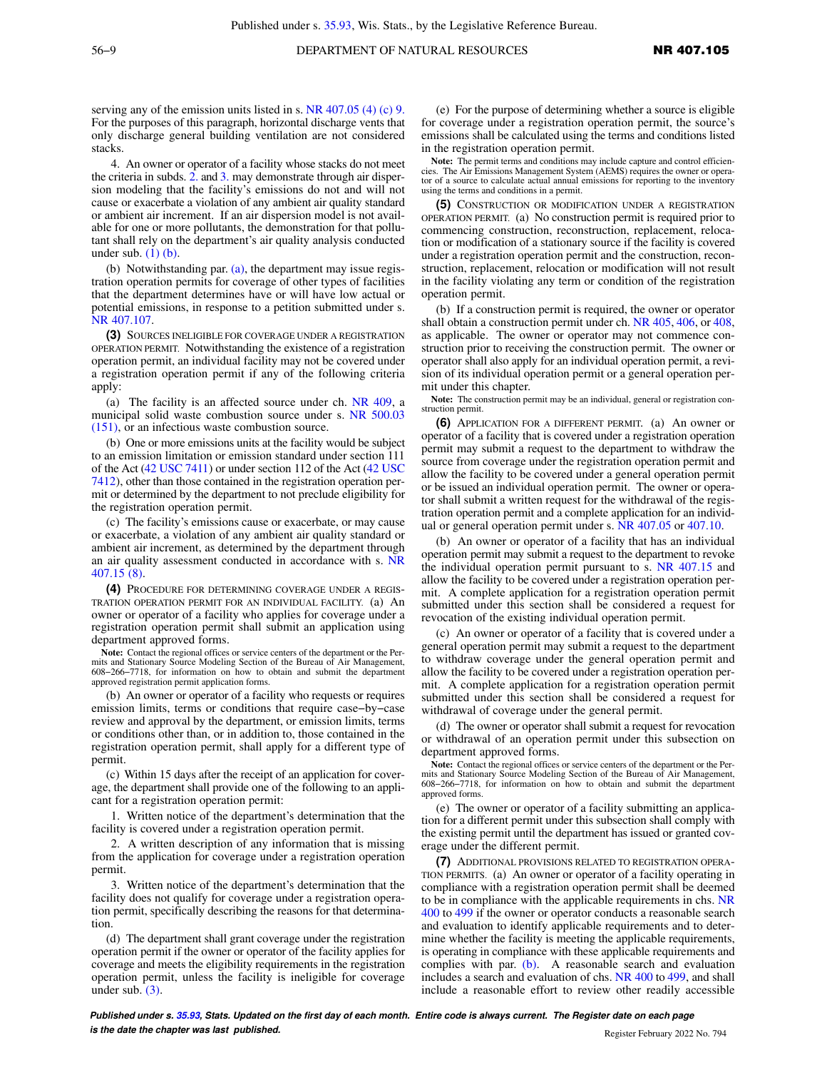serving any of the emission units listed in s. [NR 407.05 \(4\) \(c\) 9.](https://docs-preview.legis.wisconsin.gov/document/administrativecode/NR%20407.05(4)(c)9.) For the purposes of this paragraph, horizontal discharge vents that only discharge general building ventilation are not considered stacks.

4. An owner or operator of a facility whose stacks do not meet the criteria in subds. [2.](https://docs-preview.legis.wisconsin.gov/document/administrativecode/NR%20407.105(2)(a)2.) and [3.](https://docs-preview.legis.wisconsin.gov/document/administrativecode/NR%20407.105(2)(a)3.) may demonstrate through air dispersion modeling that the facility's emissions do not and will not cause or exacerbate a violation of any ambient air quality standard or ambient air increment. If an air dispersion model is not available for one or more pollutants, the demonstration for that pollutant shall rely on the department's air quality analysis conducted under sub.  $(1)$   $(b)$ .

(b) Notwithstanding par. [\(a\)](https://docs-preview.legis.wisconsin.gov/document/administrativecode/NR%20407.105(2)(a)), the department may issue registration operation permits for coverage of other types of facilities that the department determines have or will have low actual or potential emissions, in response to a petition submitted under s. [NR 407.107](https://docs-preview.legis.wisconsin.gov/document/administrativecode/NR%20407.107).

**(3)** SOURCES INELIGIBLE FOR COVERAGE UNDER A REGISTRATION OPERATION PERMIT. Notwithstanding the existence of a registration operation permit, an individual facility may not be covered under a registration operation permit if any of the following criteria apply:

(a) The facility is an affected source under ch. [NR 409](https://docs-preview.legis.wisconsin.gov/document/administrativecode/ch.%20NR%20409), a municipal solid waste combustion source under s. [NR 500.03](https://docs-preview.legis.wisconsin.gov/document/administrativecode/NR%20500.03(151)) [\(151\)](https://docs-preview.legis.wisconsin.gov/document/administrativecode/NR%20500.03(151)), or an infectious waste combustion source.

(b) One or more emissions units at the facility would be subject to an emission limitation or emission standard under section 111 of the Act [\(42 USC 7411\)](https://docs-preview.legis.wisconsin.gov/document/usc/42%20USC%207411) or under section 112 of the Act ([42 USC](https://docs-preview.legis.wisconsin.gov/document/usc/42%20USC%207412) [7412\)](https://docs-preview.legis.wisconsin.gov/document/usc/42%20USC%207412), other than those contained in the registration operation permit or determined by the department to not preclude eligibility for the registration operation permit.

(c) The facility's emissions cause or exacerbate, or may cause or exacerbate, a violation of any ambient air quality standard or ambient air increment, as determined by the department through an air quality assessment conducted in accordance with s. [NR](https://docs-preview.legis.wisconsin.gov/document/administrativecode/NR%20407.15(8)) [407.15 \(8\).](https://docs-preview.legis.wisconsin.gov/document/administrativecode/NR%20407.15(8))

**(4)** PROCEDURE FOR DETERMINING COVERAGE UNDER A REGIS-TRATION OPERATION PERMIT FOR AN INDIVIDUAL FACILITY. (a) An owner or operator of a facility who applies for coverage under a registration operation permit shall submit an application using department approved forms.

**Note:** Contact the regional offices or service centers of the department or the Permits and Stationary Source Modeling Section of the Bureau of Air Management, 608−266−7718, for information on how to obtain and submit the department approved registration permit application forms.

(b) An owner or operator of a facility who requests or requires emission limits, terms or conditions that require case−by−case review and approval by the department, or emission limits, terms or conditions other than, or in addition to, those contained in the registration operation permit, shall apply for a different type of permit.

(c) Within 15 days after the receipt of an application for coverage, the department shall provide one of the following to an applicant for a registration operation permit:

1. Written notice of the department's determination that the facility is covered under a registration operation permit.

2. A written description of any information that is missing from the application for coverage under a registration operation permit.

3. Written notice of the department's determination that the facility does not qualify for coverage under a registration operation permit, specifically describing the reasons for that determination.

(d) The department shall grant coverage under the registration operation permit if the owner or operator of the facility applies for coverage and meets the eligibility requirements in the registration operation permit, unless the facility is ineligible for coverage under sub. [\(3\)](https://docs-preview.legis.wisconsin.gov/document/administrativecode/NR%20407.105(3)).

(e) For the purpose of determining whether a source is eligible for coverage under a registration operation permit, the source's emissions shall be calculated using the terms and conditions listed in the registration operation permit.

**Note:** The permit terms and conditions may include capture and control efficiencies. The Air Emissions Management System (AEMS) requires the owner or operator of a source to calculate actual annual emissions for reporting to the inventory using the terms and conditions in a permit.

**(5)** CONSTRUCTION OR MODIFICATION UNDER A REGISTRATION OPERATION PERMIT. (a) No construction permit is required prior to commencing construction, reconstruction, replacement, relocation or modification of a stationary source if the facility is covered under a registration operation permit and the construction, reconstruction, replacement, relocation or modification will not result in the facility violating any term or condition of the registration operation permit.

(b) If a construction permit is required, the owner or operator shall obtain a construction permit under ch. [NR 405](https://docs-preview.legis.wisconsin.gov/document/administrativecode/ch.%20NR%20405), [406,](https://docs-preview.legis.wisconsin.gov/document/administrativecode/ch.%20NR%20406) or [408,](https://docs-preview.legis.wisconsin.gov/document/administrativecode/ch.%20NR%20408) as applicable. The owner or operator may not commence construction prior to receiving the construction permit. The owner or operator shall also apply for an individual operation permit, a revision of its individual operation permit or a general operation permit under this chapter.

**Note:** The construction permit may be an individual, general or registration construction permit.

**(6)** APPLICATION FOR A DIFFERENT PERMIT. (a) An owner or operator of a facility that is covered under a registration operation permit may submit a request to the department to withdraw the source from coverage under the registration operation permit and allow the facility to be covered under a general operation permit or be issued an individual operation permit. The owner or operator shall submit a written request for the withdrawal of the registration operation permit and a complete application for an individual or general operation permit under s. [NR 407.05](https://docs-preview.legis.wisconsin.gov/document/administrativecode/NR%20407.05) or [407.10](https://docs-preview.legis.wisconsin.gov/document/administrativecode/NR%20407.10).

(b) An owner or operator of a facility that has an individual operation permit may submit a request to the department to revoke the individual operation permit pursuant to s. [NR 407.15](https://docs-preview.legis.wisconsin.gov/document/administrativecode/NR%20407.15) and allow the facility to be covered under a registration operation permit. A complete application for a registration operation permit submitted under this section shall be considered a request for revocation of the existing individual operation permit.

(c) An owner or operator of a facility that is covered under a general operation permit may submit a request to the department to withdraw coverage under the general operation permit and allow the facility to be covered under a registration operation permit. A complete application for a registration operation permit submitted under this section shall be considered a request for withdrawal of coverage under the general permit.

(d) The owner or operator shall submit a request for revocation or withdrawal of an operation permit under this subsection on department approved forms.

**Note:** Contact the regional offices or service centers of the department or the Per-mits and Stationary Source Modeling Section of the Bureau of Air Management, 608−266−7718, for information on how to obtain and submit the department approved forms.

(e) The owner or operator of a facility submitting an application for a different permit under this subsection shall comply with the existing permit until the department has issued or granted coverage under the different permit.

**(7)** ADDITIONAL PROVISIONS RELATED TO REGISTRATION OPERA-TION PERMITS. (a) An owner or operator of a facility operating in compliance with a registration operation permit shall be deemed to be in compliance with the applicable requirements in chs. [NR](https://docs-preview.legis.wisconsin.gov/document/administrativecode/ch.%20NR%20400) [400](https://docs-preview.legis.wisconsin.gov/document/administrativecode/ch.%20NR%20400) to [499](https://docs-preview.legis.wisconsin.gov/document/administrativecode/ch.%20NR%20499) if the owner or operator conducts a reasonable search and evaluation to identify applicable requirements and to determine whether the facility is meeting the applicable requirements, is operating in compliance with these applicable requirements and complies with par. [\(b\)](https://docs-preview.legis.wisconsin.gov/document/administrativecode/NR%20407.105(7)(b)). A reasonable search and evaluation includes a search and evaluation of chs. [NR 400](https://docs-preview.legis.wisconsin.gov/document/administrativecode/ch.%20NR%20400) to [499](https://docs-preview.legis.wisconsin.gov/document/administrativecode/ch.%20NR%20499), and shall include a reasonable effort to review other readily accessible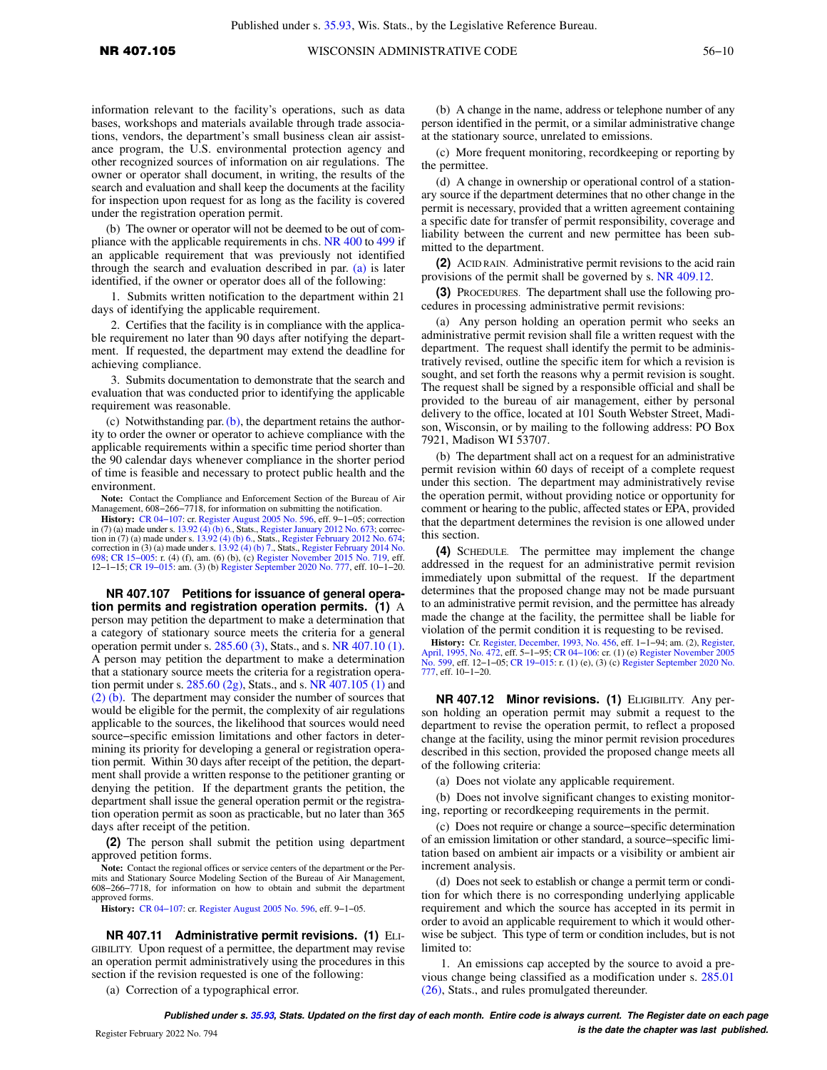information relevant to the facility's operations, such as data bases, workshops and materials available through trade associations, vendors, the department's small business clean air assistance program, the U.S. environmental protection agency and other recognized sources of information on air regulations. The owner or operator shall document, in writing, the results of the search and evaluation and shall keep the documents at the facility for inspection upon request for as long as the facility is covered under the registration operation permit.

(b) The owner or operator will not be deemed to be out of compliance with the applicable requirements in chs. [NR 400](https://docs-preview.legis.wisconsin.gov/document/administrativecode/ch.%20NR%20400) to [499](https://docs-preview.legis.wisconsin.gov/document/administrativecode/ch.%20NR%20499) if an applicable requirement that was previously not identified through the search and evaluation described in par. [\(a\)](https://docs-preview.legis.wisconsin.gov/document/administrativecode/NR%20407.105(7)(a)) is later identified, if the owner or operator does all of the following:

1. Submits written notification to the department within 21 days of identifying the applicable requirement.

2. Certifies that the facility is in compliance with the applicable requirement no later than 90 days after notifying the department. If requested, the department may extend the deadline for achieving compliance.

3. Submits documentation to demonstrate that the search and evaluation that was conducted prior to identifying the applicable requirement was reasonable.

(c) Notwithstanding par.  $(b)$ , the department retains the authority to order the owner or operator to achieve compliance with the applicable requirements within a specific time period shorter than the 90 calendar days whenever compliance in the shorter period of time is feasible and necessary to protect public health and the environment.

**Note:** Contact the Compliance and Enforcement Section of the Bureau of Air Management, 608−266−7718, for information on submitting the notification.

**History:** CR 04-107: cr. [Register August 2005 No. 596](https://docs-preview.legis.wisconsin.gov/document/register/596/B/toc), eff. 9-1-05; correction in (7) (a) made under s. [13.92 \(4\) \(b\) 6.,](https://docs-preview.legis.wisconsin.gov/document/statutes/13.92(4)(b)6.) Stats., [Register January 2012 No. 673](https://docs-preview.legis.wisconsin.gov/document/register/673/B/toc); correction in (7) (a) made under s. [13.92 \(4\) \(b\) 6.](https://docs-preview.legis.wisconsin.gov/document/statutes/13.92(4)(b)6.), Stats. correction in (3) (a) made under s. [13.92 \(4\) \(b\) 7.](https://docs-preview.legis.wisconsin.gov/document/statutes/13.92(4)(b)7.), Stats., [Register February 2014 No.](https://docs-preview.legis.wisconsin.gov/document/register/698/B/toc) [698](https://docs-preview.legis.wisconsin.gov/document/register/698/B/toc); [CR 15−005:](https://docs-preview.legis.wisconsin.gov/document/cr/2015/5) r. (4) (f), am. (6) (b), (c) [Register November 2015 No. 719,](https://docs-preview.legis.wisconsin.gov/document/register/719/B/toc) eff. 12−1−15; [CR 19−015](https://docs-preview.legis.wisconsin.gov/document/cr/2019/15): am. (3) (b) [Register September 2020 No. 777,](https://docs-preview.legis.wisconsin.gov/document/register/777/B/toc) eff. 10−1−20.

**NR 407.107 Petitions for issuance of general operation permits and registration operation permits. (1)** A person may petition the department to make a determination that a category of stationary source meets the criteria for a general operation permit under s. [285.60 \(3\)](https://docs-preview.legis.wisconsin.gov/document/statutes/285.60(3)), Stats., and s. [NR 407.10 \(1\).](https://docs-preview.legis.wisconsin.gov/document/administrativecode/NR%20407.10(1)) A person may petition the department to make a determination that a stationary source meets the criteria for a registration operation permit under s. [285.60 \(2g\),](https://docs-preview.legis.wisconsin.gov/document/statutes/285.60(2g)) Stats., and s. [NR 407.105 \(1\)](https://docs-preview.legis.wisconsin.gov/document/administrativecode/NR%20407.105(1)) and [\(2\) \(b\).](https://docs-preview.legis.wisconsin.gov/document/administrativecode/NR%20407.105(2)(b)) The department may consider the number of sources that would be eligible for the permit, the complexity of air regulations applicable to the sources, the likelihood that sources would need source−specific emission limitations and other factors in determining its priority for developing a general or registration operation permit. Within 30 days after receipt of the petition, the department shall provide a written response to the petitioner granting or denying the petition. If the department grants the petition, the department shall issue the general operation permit or the registration operation permit as soon as practicable, but no later than 365 days after receipt of the petition.

**(2)** The person shall submit the petition using department approved petition forms.

**Note:** Contact the regional offices or service centers of the department or the Permits and Stationary Source Modeling Section of the Bureau of Air Management, 608−266−7718, for information on how to obtain and submit the department approved forms.

**History:** [CR 04−107](https://docs-preview.legis.wisconsin.gov/document/cr/2004/107): cr. [Register August 2005 No. 596](https://docs-preview.legis.wisconsin.gov/document/register/596/B/toc), eff. 9−1−05.

**NR 407.11 Administrative permit revisions. (1)** ELI-GIBILITY. Upon request of a permittee, the department may revise an operation permit administratively using the procedures in this section if the revision requested is one of the following:

(a) Correction of a typographical error.

(b) A change in the name, address or telephone number of any person identified in the permit, or a similar administrative change at the stationary source, unrelated to emissions.

(c) More frequent monitoring, recordkeeping or reporting by the permittee.

(d) A change in ownership or operational control of a stationary source if the department determines that no other change in the permit is necessary, provided that a written agreement containing a specific date for transfer of permit responsibility, coverage and liability between the current and new permittee has been submitted to the department.

**(2)** ACID RAIN. Administrative permit revisions to the acid rain provisions of the permit shall be governed by s. [NR 409.12](https://docs-preview.legis.wisconsin.gov/document/administrativecode/NR%20409.12).

**(3)** PROCEDURES. The department shall use the following procedures in processing administrative permit revisions:

(a) Any person holding an operation permit who seeks an administrative permit revision shall file a written request with the department. The request shall identify the permit to be administratively revised, outline the specific item for which a revision is sought, and set forth the reasons why a permit revision is sought. The request shall be signed by a responsible official and shall be provided to the bureau of air management, either by personal delivery to the office, located at 101 South Webster Street, Madison, Wisconsin, or by mailing to the following address: PO Box 7921, Madison WI 53707.

(b) The department shall act on a request for an administrative permit revision within 60 days of receipt of a complete request under this section. The department may administratively revise the operation permit, without providing notice or opportunity for comment or hearing to the public, affected states or EPA, provided that the department determines the revision is one allowed under this section.

**(4)** SCHEDULE. The permittee may implement the change addressed in the request for an administrative permit revision immediately upon submittal of the request. If the department determines that the proposed change may not be made pursuant to an administrative permit revision, and the permittee has already made the change at the facility, the permittee shall be liable for violation of the permit condition it is requesting to be revised.

**History:** Cr. [Register, December, 1993, No. 456](https://docs-preview.legis.wisconsin.gov/document/register/456/B/toc), eff. 1−1−94; am. (2), [Register,](https://docs-preview.legis.wisconsin.gov/document/register/472/B/toc) [April, 1995, No. 472,](https://docs-preview.legis.wisconsin.gov/document/register/472/B/toc) eff. 5−1−95; [CR 04−106](https://docs-preview.legis.wisconsin.gov/document/cr/2004/106): cr. (1) (e) [Register November 2005](https://docs-preview.legis.wisconsin.gov/document/register/599/B/toc) [No. 599,](https://docs-preview.legis.wisconsin.gov/document/register/599/B/toc) eff. 12−1−05; [CR 19−015](https://docs-preview.legis.wisconsin.gov/document/cr/2019/15): r. (1) (e), (3) (c) [Register September 2020 No.](https://docs-preview.legis.wisconsin.gov/document/register/777/B/toc) [777,](https://docs-preview.legis.wisconsin.gov/document/register/777/B/toc) eff. 10−1−20.

**NR 407.12 Minor revisions. (1)** ELIGIBILITY. Any person holding an operation permit may submit a request to the department to revise the operation permit, to reflect a proposed change at the facility, using the minor permit revision procedures described in this section, provided the proposed change meets all of the following criteria:

(a) Does not violate any applicable requirement.

(b) Does not involve significant changes to existing monitoring, reporting or recordkeeping requirements in the permit.

(c) Does not require or change a source−specific determination of an emission limitation or other standard, a source−specific limitation based on ambient air impacts or a visibility or ambient air increment analysis.

(d) Does not seek to establish or change a permit term or condition for which there is no corresponding underlying applicable requirement and which the source has accepted in its permit in order to avoid an applicable requirement to which it would otherwise be subject. This type of term or condition includes, but is not limited to:

1. An emissions cap accepted by the source to avoid a previous change being classified as a modification under s. [285.01](https://docs-preview.legis.wisconsin.gov/document/statutes/285.01(26)) [\(26\)](https://docs-preview.legis.wisconsin.gov/document/statutes/285.01(26)), Stats., and rules promulgated thereunder.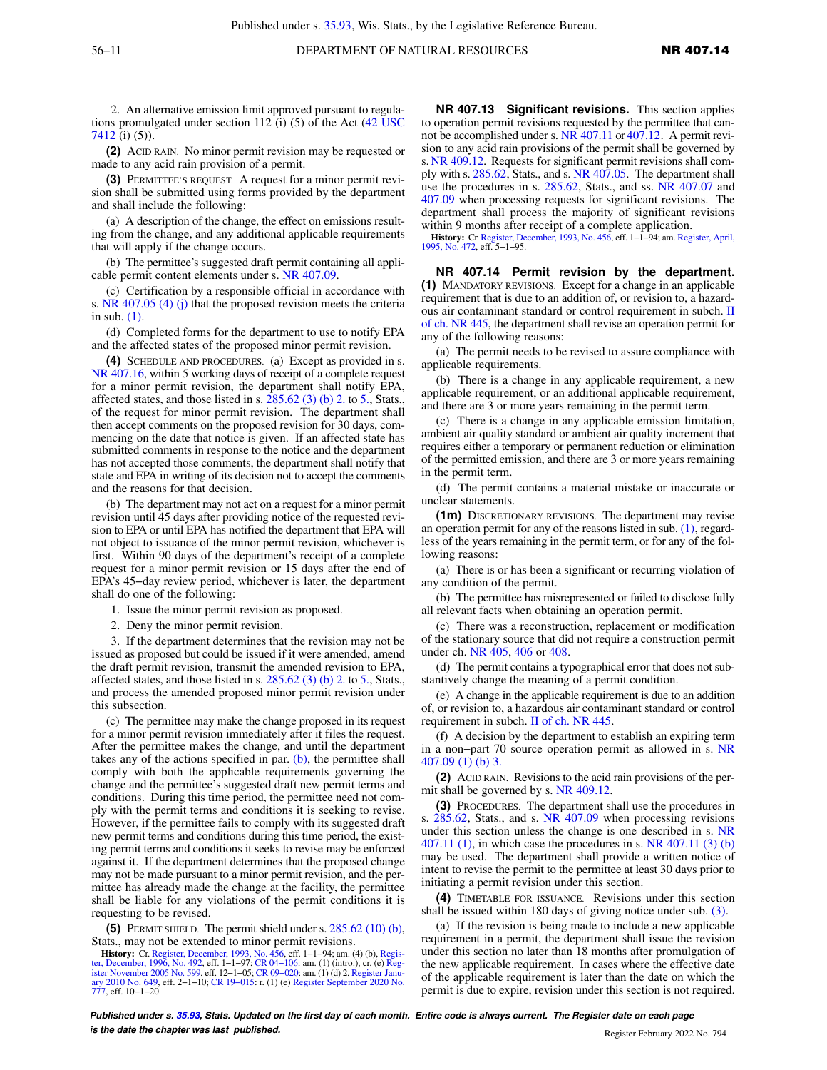2. An alternative emission limit approved pursuant to regulations promulgated under section 112 (i) (5) of the Act ([42 USC](https://docs-preview.legis.wisconsin.gov/document/usc/42%20USC%207412) [7412](https://docs-preview.legis.wisconsin.gov/document/usc/42%20USC%207412) (i) (5)).

**(2)** ACID RAIN. No minor permit revision may be requested or made to any acid rain provision of a permit.

**(3)** PERMITTEE'S REQUEST. A request for a minor permit revision shall be submitted using forms provided by the department and shall include the following:

(a) A description of the change, the effect on emissions resulting from the change, and any additional applicable requirements that will apply if the change occurs.

(b) The permittee's suggested draft permit containing all applicable permit content elements under s. [NR 407.09.](https://docs-preview.legis.wisconsin.gov/document/administrativecode/NR%20407.09)

(c) Certification by a responsible official in accordance with s. [NR 407.05 \(4\) \(j\)](https://docs-preview.legis.wisconsin.gov/document/administrativecode/NR%20407.05(4)(j)) that the proposed revision meets the criteria in sub. [\(1\).](https://docs-preview.legis.wisconsin.gov/document/administrativecode/NR%20407.12(1))

(d) Completed forms for the department to use to notify EPA and the affected states of the proposed minor permit revision.

**(4)** SCHEDULE AND PROCEDURES. (a) Except as provided in s. [NR 407.16,](https://docs-preview.legis.wisconsin.gov/document/administrativecode/NR%20407.16) within 5 working days of receipt of a complete request for a minor permit revision, the department shall notify EPA, affected states, and those listed in s.  $285.62$  (3) (b) 2. to [5.,](https://docs-preview.legis.wisconsin.gov/document/statutes/285.62(3)(b)5.) Stats., of the request for minor permit revision. The department shall then accept comments on the proposed revision for 30 days, commencing on the date that notice is given. If an affected state has submitted comments in response to the notice and the department has not accepted those comments, the department shall notify that state and EPA in writing of its decision not to accept the comments and the reasons for that decision.

(b) The department may not act on a request for a minor permit revision until 45 days after providing notice of the requested revision to EPA or until EPA has notified the department that EPA will not object to issuance of the minor permit revision, whichever is first. Within 90 days of the department's receipt of a complete request for a minor permit revision or 15 days after the end of EPA's 45−day review period, whichever is later, the department shall do one of the following:

1. Issue the minor permit revision as proposed.

2. Deny the minor permit revision.

3. If the department determines that the revision may not be issued as proposed but could be issued if it were amended, amend the draft permit revision, transmit the amended revision to EPA, affected states, and those listed in s.  $285.62$  (3) (b) 2. to [5.,](https://docs-preview.legis.wisconsin.gov/document/statutes/285.62(3)(b)5.) Stats., and process the amended proposed minor permit revision under this subsection.

(c) The permittee may make the change proposed in its request for a minor permit revision immediately after it files the request. After the permittee makes the change, and until the department takes any of the actions specified in par.  $(b)$ , the permittee shall comply with both the applicable requirements governing the change and the permittee's suggested draft new permit terms and conditions. During this time period, the permittee need not comply with the permit terms and conditions it is seeking to revise. However, if the permittee fails to comply with its suggested draft new permit terms and conditions during this time period, the existing permit terms and conditions it seeks to revise may be enforced against it. If the department determines that the proposed change may not be made pursuant to a minor permit revision, and the permittee has already made the change at the facility, the permittee shall be liable for any violations of the permit conditions it is requesting to be revised.

**(5)** PERMIT SHIELD. The permit shield under s. [285.62 \(10\) \(b\),](https://docs-preview.legis.wisconsin.gov/document/statutes/285.62(10)(b)) Stats., may not be extended to minor permit revisions.

**History:** Cr. [Register, December, 1993, No. 456](https://docs-preview.legis.wisconsin.gov/document/register/456/B/toc), eff. 1−1−94; am. (4) (b), [Regis](https://docs-preview.legis.wisconsin.gov/document/register/492/B/toc)[ter, December, 1996, No. 492,](https://docs-preview.legis.wisconsin.gov/document/register/492/B/toc) eff. 1–1–97; CR 04–106: am. (1) (intro.), cr. (e) Reg-<br>[ister November 2005 No. 599,](https://docs-preview.legis.wisconsin.gov/document/register/599/B/toc) eff. 12–1–05; CR 09–020: am. (1) (d) 2. Register Janu-<br>[ary 2010 No. 649,](https://docs-preview.legis.wisconsin.gov/document/register/649/B/toc) eff. 2–1–10; CR 19–015: r. (1) (e) [777](https://docs-preview.legis.wisconsin.gov/document/register/777/B/toc), eff. 10−1−20.

**NR 407.13 Significant revisions.** This section applies to operation permit revisions requested by the permittee that cannot be accomplished under s. [NR 407.11](https://docs-preview.legis.wisconsin.gov/document/administrativecode/NR%20407.11) or [407.12](https://docs-preview.legis.wisconsin.gov/document/administrativecode/NR%20407.12). A permit revision to any acid rain provisions of the permit shall be governed by s. [NR 409.12](https://docs-preview.legis.wisconsin.gov/document/administrativecode/NR%20409.12). Requests for significant permit revisions shall comply with s. [285.62](https://docs-preview.legis.wisconsin.gov/document/statutes/285.62), Stats., and s. [NR 407.05.](https://docs-preview.legis.wisconsin.gov/document/administrativecode/NR%20407.05) The department shall use the procedures in s. [285.62](https://docs-preview.legis.wisconsin.gov/document/statutes/285.62), Stats., and ss. [NR 407.07](https://docs-preview.legis.wisconsin.gov/document/administrativecode/NR%20407.07) and [407.09](https://docs-preview.legis.wisconsin.gov/document/administrativecode/NR%20407.09) when processing requests for significant revisions. The department shall process the majority of significant revisions within 9 months after receipt of a complete application.

**History:** Cr. [Register, December, 1993, No. 456,](https://docs-preview.legis.wisconsin.gov/document/register/456/B/toc) eff. 1−1−94; am. [Register, April,](https://docs-preview.legis.wisconsin.gov/document/register/472/B/toc) [1995, No. 472](https://docs-preview.legis.wisconsin.gov/document/register/472/B/toc), eff. 5−1−95.

**NR 407.14 Permit revision by the department. (1)** MANDATORY REVISIONS. Except for a change in an applicable requirement that is due to an addition of, or revision to, a hazardous air contaminant standard or control requirement in subch. [II](https://docs-preview.legis.wisconsin.gov/document/administrativecode/subch.%20II%20of%20ch.%20NR%20445) [of ch. NR 445,](https://docs-preview.legis.wisconsin.gov/document/administrativecode/subch.%20II%20of%20ch.%20NR%20445) the department shall revise an operation permit for any of the following reasons:

(a) The permit needs to be revised to assure compliance with applicable requirements.

(b) There is a change in any applicable requirement, a new applicable requirement, or an additional applicable requirement, and there are 3 or more years remaining in the permit term.

(c) There is a change in any applicable emission limitation, ambient air quality standard or ambient air quality increment that requires either a temporary or permanent reduction or elimination of the permitted emission, and there are 3 or more years remaining in the permit term.

(d) The permit contains a material mistake or inaccurate or unclear statements.

**(1m)** DISCRETIONARY REVISIONS. The department may revise an operation permit for any of the reasons listed in sub.  $(1)$ , regardless of the years remaining in the permit term, or for any of the following reasons:

(a) There is or has been a significant or recurring violation of any condition of the permit.

(b) The permittee has misrepresented or failed to disclose fully all relevant facts when obtaining an operation permit.

(c) There was a reconstruction, replacement or modification of the stationary source that did not require a construction permit under ch. [NR 405](https://docs-preview.legis.wisconsin.gov/document/administrativecode/ch.%20NR%20405), [406](https://docs-preview.legis.wisconsin.gov/document/administrativecode/ch.%20NR%20406) or [408](https://docs-preview.legis.wisconsin.gov/document/administrativecode/ch.%20NR%20408).

(d) The permit contains a typographical error that does not substantively change the meaning of a permit condition.

(e) A change in the applicable requirement is due to an addition of, or revision to, a hazardous air contaminant standard or control requirement in subch. [II of ch. NR 445.](https://docs-preview.legis.wisconsin.gov/document/administrativecode/subch.%20II%20of%20ch.%20NR%20445)

(f) A decision by the department to establish an expiring term in a non−part 70 source operation permit as allowed in s. [NR](https://docs-preview.legis.wisconsin.gov/document/administrativecode/NR%20407.09(1)(b)3.) [407.09 \(1\) \(b\) 3.](https://docs-preview.legis.wisconsin.gov/document/administrativecode/NR%20407.09(1)(b)3.)

**(2)** ACID RAIN. Revisions to the acid rain provisions of the permit shall be governed by s. [NR 409.12.](https://docs-preview.legis.wisconsin.gov/document/administrativecode/NR%20409.12)

**(3)** PROCEDURES. The department shall use the procedures in s. [285.62](https://docs-preview.legis.wisconsin.gov/document/statutes/285.62), Stats., and s. [NR 407.09](https://docs-preview.legis.wisconsin.gov/document/administrativecode/NR%20407.09) when processing revisions under this section unless the change is one described in s. [NR](https://docs-preview.legis.wisconsin.gov/document/administrativecode/NR%20407.11(1)) [407.11 \(1\),](https://docs-preview.legis.wisconsin.gov/document/administrativecode/NR%20407.11(1)) in which case the procedures in s. [NR 407.11 \(3\) \(b\)](https://docs-preview.legis.wisconsin.gov/document/administrativecode/NR%20407.11(3)(b)) may be used. The department shall provide a written notice of intent to revise the permit to the permittee at least 30 days prior to initiating a permit revision under this section.

**(4)** TIMETABLE FOR ISSUANCE. Revisions under this section shall be issued within 180 days of giving notice under sub. [\(3\)](https://docs-preview.legis.wisconsin.gov/document/administrativecode/NR%20407.14(3)).

(a) If the revision is being made to include a new applicable requirement in a permit, the department shall issue the revision under this section no later than 18 months after promulgation of the new applicable requirement. In cases where the effective date of the applicable requirement is later than the date on which the permit is due to expire, revision under this section is not required.